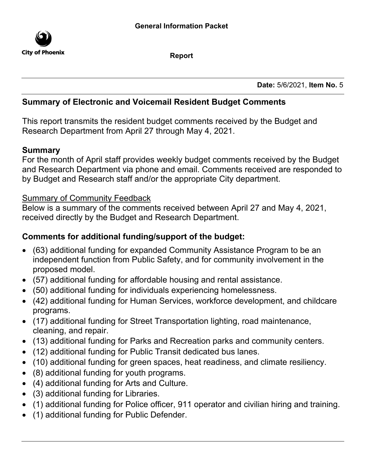

Report

Date: 5/6/2021, Item No. 5

# Summary of Electronic and Voicemail Resident Budget Comments

This report transmits the resident budget comments received by the Budget and Research Department from April 27 through May 4, 2021.

## Summary

For the month of April staff provides weekly budget comments received by the Budget and Research Department via phone and email. Comments received are responded to by Budget and Research staff and/or the appropriate City department.

# Summary of Community Feedback

Below is a summary of the comments received between April 27 and May 4, 2021, received directly by the Budget and Research Department.

# Comments for additional funding/support of the budget:

- · (63) additional funding for expanded Community Assistance Program to be an independent function from Public Safety, and for community involvement in the proposed model.
- · (57) additional funding for affordable housing and rental assistance.
- · (50) additional funding for individuals experiencing homelessness.
- · (42) additional funding for Human Services, workforce development, and childcare programs.
- · (17) additional funding for Street Transportation lighting, road maintenance, cleaning, and repair.
- · (13) additional funding for Parks and Recreation parks and community centers.
- · (12) additional funding for Public Transit dedicated bus lanes.
- · (10) additional funding for green spaces, heat readiness, and climate resiliency.
- · (8) additional funding for youth programs.
- · (4) additional funding for Arts and Culture.
- · (3) additional funding for Libraries.
- · (1) additional funding for Police officer, 911 operator and civilian hiring and training.
- · (1) additional funding for Public Defender.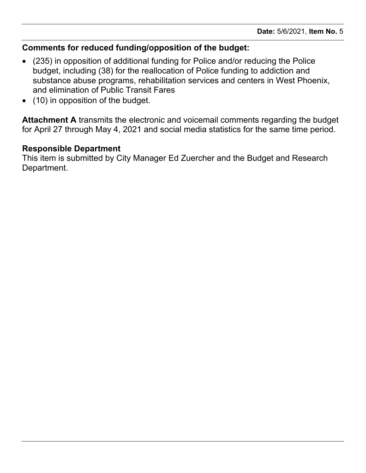# Comments for reduced funding/opposition of the budget:

- · (235) in opposition of additional funding for Police and/or reducing the Police budget, including (38) for the reallocation of Police funding to addiction and substance abuse programs, rehabilitation services and centers in West Phoenix, and elimination of Public Transit Fares
- · (10) in opposition of the budget.

Attachment A transmits the electronic and voicemail comments regarding the budget for April 27 through May 4, 2021 and social media statistics for the same time period.

### Responsible Department

This item is submitted by City Manager Ed Zuercher and the Budget and Research Department.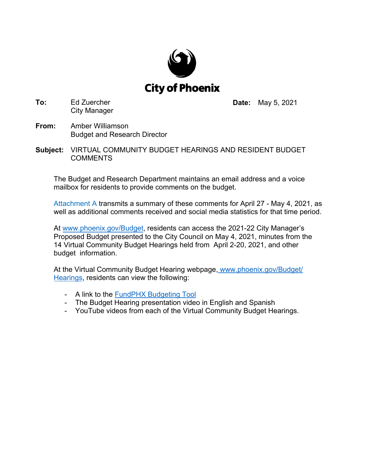

**To:** Ed Zuercher City Manager **Date:** May 5, 2021

- **From:** Amber Williamson Budget and Research Director
- **Subject:** VIRTUAL COMMUNITY BUDGET HEARINGS AND RESIDENT BUDGET **COMMENTS**

The Budget and Research Department maintains an email address and a voice mailbox for residents to provide comments on the budget.

[Attachment A transmits a summary of these](#page-3-0) comments for April 27 - May 4, 2021, as well as additional comments received and social media statistics for that time period.

At www.phoenix.gov/Budget, residents can access the 2021-22 City Manager's Proposed Budget presented to the City Council on May 4, 2021, minutes from the 14 Virtual Community Budget Hearings held from April 2-20, 2021, and other budget information.

At the Virtual Community Budget Hearing webpage, [www.phoenix.gov/Budget/](www.phoenix.gov/Budget/Hearings) Hearings, residents can view the following:

- A link to t[he FundPHX Budgeting Tool](https://www.phoenix.gov/budget/fund)
- The Budget Hearing presentation video in English and Spanish
- YouTube videos from each of the Virtual Community Budget Hearings.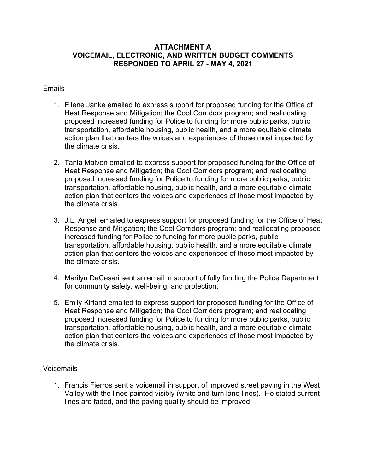#### <span id="page-3-0"></span>**ATTACHMENT A VOICEMAIL, ELECTRONIC, AND WRITTEN BUDGET COMMENTS RESPONDED TO APRIL 27 - MAY 4, 2021**

### Emails

- 1. Eilene Janke emailed to express support for proposed funding for the Office of Heat Response and Mitigation; the Cool Corridors program; and reallocating proposed increased funding for Police to funding for more public parks, public transportation, affordable housing, public health, and a more equitable climate action plan that centers the voices and experiences of those most impacted by the climate crisis.
- 2. Tania Malven emailed to express support for proposed funding for the Office of Heat Response and Mitigation; the Cool Corridors program; and reallocating proposed increased funding for Police to funding for more public parks, public transportation, affordable housing, public health, and a more equitable climate action plan that centers the voices and experiences of those most impacted by the climate crisis.
- 3. J.L. Angell emailed to express support for proposed funding for the Office of Heat Response and Mitigation; the Cool Corridors program; and reallocating proposed increased funding for Police to funding for more public parks, public transportation, affordable housing, public health, and a more equitable climate action plan that centers the voices and experiences of those most impacted by the climate crisis.
- 4. Marilyn DeCesari sent an email in support of fully funding the Police Department for community safety, well-being, and protection.
- 5. Emily Kirland emailed to express support for proposed funding for the Office of Heat Response and Mitigation; the Cool Corridors program; and reallocating proposed increased funding for Police to funding for more public parks, public transportation, affordable housing, public health, and a more equitable climate action plan that centers the voices and experiences of those most impacted by the climate crisis.

### Voicemails

1. Francis Fierros sent a voicemail in support of improved street paving in the West Valley with the lines painted visibly (white and turn lane lines). He stated current lines are faded, and the paving quality should be improved.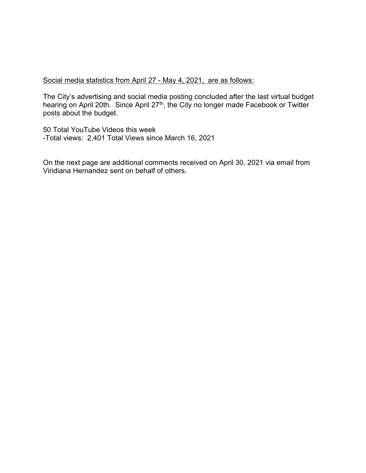#### Social media statistics from April 27 - May 4, 2021, are as follows:

The City's advertising and social media posting concluded after the last virtual budget hearing on April 20th. Since April 27<sup>th</sup>, the City no longer made Facebook or Twitter posts about the budget.

50 Total YouTube Videos this week -Total views: 2,401 Total Views since March 16, 2021

On the next page are additional comments received on April 30, 2021 via email from Viridiana Hernandez sent on behalf of others.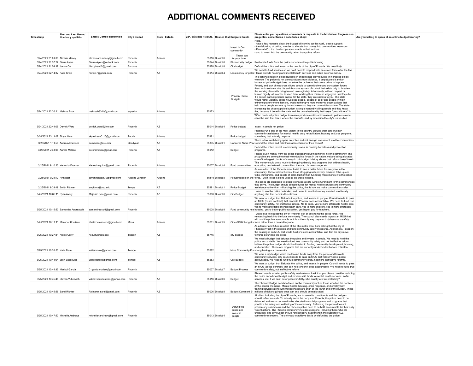### **ADDITIONAL COMMENTS RECEIVED**

| Timestamp                           | First and Last Name<br>Nombre y apellido | Email / Correo electrónico            | City / Ciudad   | State / Estado | ZIP / CÓDIGO POSTAL Council Dist Subject / Sujeto |                  |                                         | Please enter your questions, comments or requests in the box below: / Ingrese sus<br>preguntas, comentarios o solicitudes abajo:                                                                                                                                                                                                                                                                                                                                                                                                                                                                                                                                                                                                                                                                                                                                                                                                                                                                                                                                                                                                                                                      | Are you willing to speak at an online budget hearing? |  |
|-------------------------------------|------------------------------------------|---------------------------------------|-----------------|----------------|---------------------------------------------------|------------------|-----------------------------------------|---------------------------------------------------------------------------------------------------------------------------------------------------------------------------------------------------------------------------------------------------------------------------------------------------------------------------------------------------------------------------------------------------------------------------------------------------------------------------------------------------------------------------------------------------------------------------------------------------------------------------------------------------------------------------------------------------------------------------------------------------------------------------------------------------------------------------------------------------------------------------------------------------------------------------------------------------------------------------------------------------------------------------------------------------------------------------------------------------------------------------------------------------------------------------------------|-------------------------------------------------------|--|
|                                     |                                          |                                       |                 |                |                                                   |                  | Invest In Our<br>community!             | I have a few requests about the budget bill coming up this April, please support:<br>- the defunding of police, in order to allocate that money into communities resources<br>- Pass a MOU that holds cops accountable to their actions                                                                                                                                                                                                                                                                                                                                                                                                                                                                                                                                                                                                                                                                                                                                                                                                                                                                                                                                               |                                                       |  |
|                                     |                                          |                                       |                 |                |                                                   |                  | Thank you                               | - and to invest into the community rather than police reform                                                                                                                                                                                                                                                                                                                                                                                                                                                                                                                                                                                                                                                                                                                                                                                                                                                                                                                                                                                                                                                                                                                          |                                                       |  |
| 3/24/2021 21:01:06 Alizarin Maney   |                                          | alizarin.am.maney@gmail.com           | Phoneix         | Arizona        |                                                   | 85016 District 6 | for your time.                          |                                                                                                                                                                                                                                                                                                                                                                                                                                                                                                                                                                                                                                                                                                                                                                                                                                                                                                                                                                                                                                                                                                                                                                                       |                                                       |  |
| 3/24/2021 21:37:27 Sierra Ayers     |                                          | Sierra-Ayers@outlook.com              | Phoenix         |                |                                                   | 85044 District 6 |                                         | Phoenix city budget Reallocate funds from the police department to public housing                                                                                                                                                                                                                                                                                                                                                                                                                                                                                                                                                                                                                                                                                                                                                                                                                                                                                                                                                                                                                                                                                                     |                                                       |  |
| 3/24/2021 21:54:37 Jackie Orr       |                                          | Nerdyhead2@gmail.com                  | Surprise        |                |                                                   | 85378 District 8 | City budget                             | Defund the police and invest in the people of the city of Phoenix. We need help.<br>We need to fund services so we don't need to respond with an armed force after the fact.                                                                                                                                                                                                                                                                                                                                                                                                                                                                                                                                                                                                                                                                                                                                                                                                                                                                                                                                                                                                          |                                                       |  |
| 3/24/2021 22:14:37 Katie Krejci     |                                          | Kkrejci7@gmail.com                    | Phoenix         | A7             |                                                   | 85014 District 4 |                                         | Less money for poloc Please provide housing and mental health services and public defense money.                                                                                                                                                                                                                                                                                                                                                                                                                                                                                                                                                                                                                                                                                                                                                                                                                                                                                                                                                                                                                                                                                      |                                                       |  |
| 3/24/2021 22:36:21 Melissa Boor     |                                          | melissab3344@gmail.com                | superior        | Arizona        | 85173                                             |                  | <b>Phoenix Police</b><br><b>Budgets</b> | The continual raise in police Budgets in phoenix has only resulted in increased police<br>violence. The police do not protect citizens from violence, it perpetuates it and an<br>increased police budget does not solve the problems that cause crime to happen.<br>Poverty and lack of resources drives people to commit crime and our system forces<br>them to do so to survive. Its an inhumane system of control that exists only to threater<br>the working class with being treated unimaginably, inhumanely, with no respect or<br>human dignity, all in order to keep them working their minimum wage jobs until they die.<br>If a person cannot produce capitol for the state, they are useless to you. The state<br>would rather violently police houseless people, people of color and people living in<br>extreme poverty more than you would rather give more money to organizations that<br>help these people survive by honest means so they can committ less crime. The state<br>increasing the phoenix police budget is single handedly killing people and they know<br>this, because it benefits the state and the perceived reality that keeps "good citizens" in |                                                       |  |
|                                     |                                          |                                       |                 |                |                                                   |                  |                                         | When continual police budget increases produce continual increases in police violence,<br>can it be said that this is where the council's, and by extension the city's, values lie?                                                                                                                                                                                                                                                                                                                                                                                                                                                                                                                                                                                                                                                                                                                                                                                                                                                                                                                                                                                                   |                                                       |  |
| 3/24/2021 22:44:05 Derrick Ward     |                                          | derrick.ward@live.com                 | Phoenix         | A7             |                                                   | 85014 District 4 | Police budget                           | Invest in people not police.                                                                                                                                                                                                                                                                                                                                                                                                                                                                                                                                                                                                                                                                                                                                                                                                                                                                                                                                                                                                                                                                                                                                                          |                                                       |  |
| 3/24/2021 23:11:07 Skyler Keen      |                                          | skylerkeen0115@gmail.com              | Peoria          | Arizona        | 85381                                             |                  | Police budget                           | Phoenix PD is one of the most violent in the country. Defund them and invest in<br>community assistance for mental health, drug rehabilitation, housing and jobs programs,<br>something that actually helps us.                                                                                                                                                                                                                                                                                                                                                                                                                                                                                                                                                                                                                                                                                                                                                                                                                                                                                                                                                                       |                                                       |  |
|                                     |                                          |                                       |                 |                |                                                   |                  |                                         | There is too much being spent on police and not enough investment into the communities.                                                                                                                                                                                                                                                                                                                                                                                                                                                                                                                                                                                                                                                                                                                                                                                                                                                                                                                                                                                                                                                                                               |                                                       |  |
| 3/25/2021 1:11:58 Andrea Amavisca   |                                          | aamavisc@asu.edu                      | Goodyear        | A7             |                                                   | 85395 District 1 |                                         | Concerns About Pho Defund the police and hold them accountable for their crimes!                                                                                                                                                                                                                                                                                                                                                                                                                                                                                                                                                                                                                                                                                                                                                                                                                                                                                                                                                                                                                                                                                                      |                                                       |  |
| 3/25/2021 7:31:08 Aurora McKee      |                                          | auroramckee@gmail.com                 | Phoenix         | AZ             | 85012                                             |                  | Budget                                  | Defund the police, invest in community. Invest in housing homeless and prevention<br>programs                                                                                                                                                                                                                                                                                                                                                                                                                                                                                                                                                                                                                                                                                                                                                                                                                                                                                                                                                                                                                                                                                         |                                                       |  |
| 3/25/2021 9:10:20 Kenosha Drucker   |                                          | Kenosha.quinn@gmail.com               | Phoenix         | Arizona        |                                                   | 85007 District 4 | Fund communities                        | Please divert money from the police budget and put that money into the community. The<br>phx police are among the most violent police forces in the nation, yet are being allocated<br>one of the largest chunks of money in this budget. History shows that reform doesn't work.<br>This money could go so much further going directly into programs that address health,<br>education, unsheltered communities, the arts, climate change, etc.                                                                                                                                                                                                                                                                                                                                                                                                                                                                                                                                                                                                                                                                                                                                      |                                                       |  |
|                                     |                                          |                                       |                 |                |                                                   |                  |                                         | As a resident of the Phoenix area, I wish to see a better future for everyone in the<br>community. Those without homes, those struggling with poverty, disabled folks, queer<br>folks, immigrants, and people of color. Rather than funneling more money into the police                                                                                                                                                                                                                                                                                                                                                                                                                                                                                                                                                                                                                                                                                                                                                                                                                                                                                                              |                                                       |  |
| 3/25/2021 9:24:12 Finn Ban          |                                          | savannahbarr70@gmail.com              | Apache Junction | Arizona        |                                                   | 85119 District 8 |                                         | Focusing less on the force, I wish to see it being used to aid those in need.<br>The police are supposed to exists to provide a safe living environment for the communities                                                                                                                                                                                                                                                                                                                                                                                                                                                                                                                                                                                                                                                                                                                                                                                                                                                                                                                                                                                                           |                                                       |  |
| 3/25/2021 9:29:49 Smith Pittman     |                                          | swpittma@asu.edu                      | Tempe           | AZ             |                                                   | 85281 District 1 | Police Budget                           | they serve. The budget should allocate funds for mental health services and community<br>assistance rather than militarizing the police, this is how we make communities safer.                                                                                                                                                                                                                                                                                                                                                                                                                                                                                                                                                                                                                                                                                                                                                                                                                                                                                                                                                                                                       |                                                       |  |
| 3/25/2021 10:05:11 Ryan Avery       |                                          | Majestic.ryan@gmail.com               | Phoenix         | AZ             |                                                   | 85008 District 6 | <b>City Budget</b>                      | I want to see the police defunded, and I want to see that money invested into literally<br>anything else that benefits the citizens                                                                                                                                                                                                                                                                                                                                                                                                                                                                                                                                                                                                                                                                                                                                                                                                                                                                                                                                                                                                                                                   |                                                       |  |
|                                     | 3/25/2021 10:15:50 Samantha Andreacchi   | samandreacchi@gmail.com               | Phoenix         |                |                                                   | 85008 District 8 |                                         | We want a budget that Defunds the police, and invests in people. Council needs to pass<br>an MOU (police contract) that can hold Phoenix cops accountable. We need to fund true<br>community safety, not ineffective reform. No to cops, yes to more affordable health care,<br>yes to more affordable mental health care, yes to more shelters, yes to more affordable<br>Fund community hea housing, yes to better public education, yes higher pay for teachers.                                                                                                                                                                                                                                                                                                                                                                                                                                                                                                                                                                                                                                                                                                                   |                                                       |  |
| 3/25/2021 10:17:11 Mansoor Khafizov |                                          | Khafizovmansoor@gmail.com             | Mesa            | Arizona        |                                                   | 85201 District 5 |                                         | I would like to request the city of Phoenix look at defunding the police force. And<br>reinvesting back into the local community. The council also needs to pass an MOU that<br>will hold the police accountable as this is the only way they can truly become a safety<br>City of PHX budget v force rather than a paramilitary one.                                                                                                                                                                                                                                                                                                                                                                                                                                                                                                                                                                                                                                                                                                                                                                                                                                                 |                                                       |  |
| 3/25/2021 10:27:31 Nicole Curry     |                                          | necurry@asu.edu                       | Tucson          | AZ             | 85745                                             |                  | city budget                             | As a former and future resident of the phx metro area, I am asking that the city of<br>Phoenix invest in the people and fund community safety measures. Additionally, I support<br>the passing of an MOU that would hold phx cops accountable, and that the city move<br>towards defunding the police.                                                                                                                                                                                                                                                                                                                                                                                                                                                                                                                                                                                                                                                                                                                                                                                                                                                                                |                                                       |  |
| 3/25/2021 10:33:50 Katie Male       |                                          | katiemmale@yahoo.com                  | Tempe           |                | 85282                                             |                  |                                         | We need a budget that defunds the police and invests in people. We need to hold the<br>police accountable. We need to fund true community safety and not ineffective reform. I<br>believe the police budget should be diverted to funding community development, housing,<br>and education. These are programs that are currently underfunded but are critical to<br>More Community Fur strengthening our community.                                                                                                                                                                                                                                                                                                                                                                                                                                                                                                                                                                                                                                                                                                                                                                  |                                                       |  |
|                                     |                                          |                                       |                 |                |                                                   |                  |                                         | We want a city budget which reallocated funds away from the police and towards<br>community services. City council needs to pass an MOU that holds Phoenix police                                                                                                                                                                                                                                                                                                                                                                                                                                                                                                                                                                                                                                                                                                                                                                                                                                                                                                                                                                                                                     |                                                       |  |
| 3/25/2021 10:41:04 Josh Bacopulos   |                                          | Jdbacopulos@gmail.com                 | Tempe           | AZ             | 85283                                             |                  | City Budget                             | accountable. We need to fund true community safety, not more ineffective reforms.<br>We want a budget that Defunds the police, and invests in people. Council needs to pass<br>an MOU (police contract) that can hold phoenix cops accountable. We need to fund true                                                                                                                                                                                                                                                                                                                                                                                                                                                                                                                                                                                                                                                                                                                                                                                                                                                                                                                  |                                                       |  |
| 3/25/2021 10:44:35 Marisol Garcia   |                                          | 01garcia.marisol@gmail.com            | Phoenix         |                |                                                   | 85027 District 7 | <b>Budget Process</b>                   | community safety, not ineffective reform.<br>Phoenix needs smarter public safety mechanisms. I ask that you please consider reducing                                                                                                                                                                                                                                                                                                                                                                                                                                                                                                                                                                                                                                                                                                                                                                                                                                                                                                                                                                                                                                                  |                                                       |  |
| 3/25/2021 10:45:45 Steven Vukcevich |                                          | vukcevichindustries@yahoo.com Phoenix |                 | AZ             |                                                   | 85016 District 6 | Budget                                  | the police department budget and provide said funds to mental health services, traffic<br>services, etc. If we can't deter police brutality, who exactly are we protecting?                                                                                                                                                                                                                                                                                                                                                                                                                                                                                                                                                                                                                                                                                                                                                                                                                                                                                                                                                                                                           |                                                       |  |
|                                     |                                          |                                       |                 |                |                                                   |                  |                                         | The Phoenix Budget needs to focus on the community not on those who line the pockets<br>of the council members. Mental health, housing, crisis response, and employmen<br>training/services along with transportation are often at the lower end of the budget. Those                                                                                                                                                                                                                                                                                                                                                                                                                                                                                                                                                                                                                                                                                                                                                                                                                                                                                                                 |                                                       |  |
| 3/25/2021 10:45:56 Sarai Richter    |                                          | Richter.m.sarai@gmail.com             | Phoenix         | AZ             |                                                   | 85006 District 8 |                                         | Budget Comment 21 millions of dollars going to cops can and should be reallocated                                                                                                                                                                                                                                                                                                                                                                                                                                                                                                                                                                                                                                                                                                                                                                                                                                                                                                                                                                                                                                                                                                     |                                                       |  |
|                                     |                                          |                                       |                 |                |                                                   |                  | Defund the<br>police and                | All cities, including the city of Phoenix, are to serve its constituents and the budgets<br>should reflect as such. To actually serve the people of Phoenix, the police need to be<br>defunded and resources need to be allocated to social programs and programs that<br>prioritize the safety and wellbeing of the community. Reforming the police does not<br>provide any safety to us and the Phoenix police need to be held accountable for their daily<br>violent actions. The Phoenix community includes everyone, including those who are                                                                                                                                                                                                                                                                                                                                                                                                                                                                                                                                                                                                                                     |                                                       |  |
| 3/25/2021 10:47:52 Michelle Andrews |                                          | michellenandrews@gmail.com Phoenix    |                 |                |                                                   | 85013 District 4 | invest in<br>people                     | unhoused. The city budget should reflect heavy investment in the support of ALL<br>community members. The only way to achieve this is by defunding the police.                                                                                                                                                                                                                                                                                                                                                                                                                                                                                                                                                                                                                                                                                                                                                                                                                                                                                                                                                                                                                        |                                                       |  |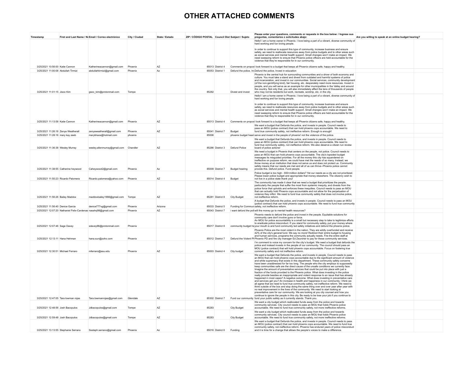#### **OTHER ATTACHED COMMENTS**

| Timestamp                                                              |                                                                | First and Last Name / No Email / Correo electrónico | City / Ciudad      | State / Estado | ZIP / CÓDIGO POSTAL Council Dist Subject / Sujeto |                       | Please enter your questions, comments or requests in the box below: / Ingrese sus<br>preguntas, comentarios o solicitudes abajo:                                                                                                                                                                                                                                                                                                                                                                                                                                                                                                                                                                                                                                                                                                                                                                                                                                                                                                                                                                                                                                                                                                                                                                                                                                                      | Are you willing to speak at an online budget hearing? |  |
|------------------------------------------------------------------------|----------------------------------------------------------------|-----------------------------------------------------|--------------------|----------------|---------------------------------------------------|-----------------------|---------------------------------------------------------------------------------------------------------------------------------------------------------------------------------------------------------------------------------------------------------------------------------------------------------------------------------------------------------------------------------------------------------------------------------------------------------------------------------------------------------------------------------------------------------------------------------------------------------------------------------------------------------------------------------------------------------------------------------------------------------------------------------------------------------------------------------------------------------------------------------------------------------------------------------------------------------------------------------------------------------------------------------------------------------------------------------------------------------------------------------------------------------------------------------------------------------------------------------------------------------------------------------------------------------------------------------------------------------------------------------------|-------------------------------------------------------|--|
|                                                                        |                                                                |                                                     |                    |                |                                                   |                       | Hello! I am a home owner in Phoenix. I love being a part of a vibrant, diverse community of<br>hard working and fun loving people                                                                                                                                                                                                                                                                                                                                                                                                                                                                                                                                                                                                                                                                                                                                                                                                                                                                                                                                                                                                                                                                                                                                                                                                                                                     |                                                       |  |
|                                                                        |                                                                |                                                     |                    |                |                                                   |                       | In order to continue to support this type of community, increase business and ensure<br>safety, we need to reallocate resources away from police budgets and to other areas such<br>as social services and mental health support. Small changes won't make an impact. We<br>need sweeping reform to ensure that Phoenix police officers are held accountable for the<br>violence that they're responsible for in our community.                                                                                                                                                                                                                                                                                                                                                                                                                                                                                                                                                                                                                                                                                                                                                                                                                                                                                                                                                       |                                                       |  |
| 3/25/2021 10:56:00 Katie Cannon<br>3/25/2021 11:00:08 Abdullah Tirmizi |                                                                | Katherineacannon@gmail.com                          | Phoenix<br>Phoenix | AZ<br>Az       | 85013 District 4<br>85053 District 1              |                       | Comments on propos I look forward to a budget that keeps all Phoenix citizens safe, happy and healthy.                                                                                                                                                                                                                                                                                                                                                                                                                                                                                                                                                                                                                                                                                                                                                                                                                                                                                                                                                                                                                                                                                                                                                                                                                                                                                |                                                       |  |
|                                                                        |                                                                | abdullahtirmizi@gmail.com                           |                    |                |                                                   |                       | Defund the police, In Defund the police, Invest in education<br>Phoenix is the central hub for surrounding communities and a driver of both economy and                                                                                                                                                                                                                                                                                                                                                                                                                                                                                                                                                                                                                                                                                                                                                                                                                                                                                                                                                                                                                                                                                                                                                                                                                               |                                                       |  |
| 3/25/2021 11:01:15 Jisoo Kim                                           |                                                                | gsoo kim@protonmail.com                             | Tempe              |                | 85282                                             | Divest and invest     | culture. You must take a stand and divest from outdated and harmful systems of police<br>and incarceration, and invest in our communities. Social services, community development<br>(of the non-gentrifying kind), fair housing, etc. desperately need more resources. Invest in<br>people, and you will serve as an example for other municipalities in the Valley and around<br>the country. Not only that, you will also immediately affect the tens of thousands of people<br>who may not be residents but work, recreate, worship, etc. in the city.                                                                                                                                                                                                                                                                                                                                                                                                                                                                                                                                                                                                                                                                                                                                                                                                                            |                                                       |  |
|                                                                        |                                                                |                                                     |                    |                |                                                   |                       | Hello! I am a home owner in Phoenix. I love being a part of a vibrant, diverse community of                                                                                                                                                                                                                                                                                                                                                                                                                                                                                                                                                                                                                                                                                                                                                                                                                                                                                                                                                                                                                                                                                                                                                                                                                                                                                           |                                                       |  |
| 3/25/2021 11:13:58 Katie Cannon                                        |                                                                | Katherineacannon@gmail.com                          | Phoenix            | A7             | 85013 District 4                                  |                       | hard working and fun loving people.<br>In order to continue to support this type of community, increase business and ensure<br>safety, we need to reallocate resources away from police budgets and to other areas such<br>as social services and mental health support. Small changes won't make an impact. We<br>need sweeping reform to ensure that Phoenix police officers are held accountable for the<br>violence that they're responsible for in our community.<br>Comments on propos I look forward to a budget that keeps all Phoenix citizens safe, happy and healthy.                                                                                                                                                                                                                                                                                                                                                                                                                                                                                                                                                                                                                                                                                                                                                                                                      |                                                       |  |
|                                                                        |                                                                |                                                     |                    |                |                                                   |                       | We want a budget that Defunds the police, and invests in people. Council needs to<br>pass an MOU (police contract) that can hold phoenix cops accountable. We need to                                                                                                                                                                                                                                                                                                                                                                                                                                                                                                                                                                                                                                                                                                                                                                                                                                                                                                                                                                                                                                                                                                                                                                                                                 |                                                       |  |
| 3/25/2021 11:26:16 Zenya Weatherall                                    |                                                                | zenyaweatherall@gmail.com                           | Phoenix            | AZ             | 85041 District 7                                  | Budget                | fund true community safety, not ineffective reform. Enough is enough!                                                                                                                                                                                                                                                                                                                                                                                                                                                                                                                                                                                                                                                                                                                                                                                                                                                                                                                                                                                                                                                                                                                                                                                                                                                                                                                 |                                                       |  |
| 3/25/2021 11:28:16 mary kay zeeb                                       |                                                                | marykhaos@hotmail.com                               | phoenix            |                | 85006                                             |                       | phoenix budget heari serve and invest in the people of phoenix! not the violence of the police.                                                                                                                                                                                                                                                                                                                                                                                                                                                                                                                                                                                                                                                                                                                                                                                                                                                                                                                                                                                                                                                                                                                                                                                                                                                                                       |                                                       |  |
| 3/25/2021 11:36:38 Wesley Murray                                       |                                                                | wesley.allenmurray@gmail.com Chandler               |                    | AZ             | 85286 District 3                                  | Defund Police         | We want a budget that Defunds the police, and invests in people. Council needs to<br>pass an MOU (police contract) that can hold phoenix cops accountable. We need to<br>fund true community safety, not ineffective reform. We also deserve a citizen run review<br>board of police actions!                                                                                                                                                                                                                                                                                                                                                                                                                                                                                                                                                                                                                                                                                                                                                                                                                                                                                                                                                                                                                                                                                         |                                                       |  |
|                                                                        |                                                                |                                                     |                    |                | 85009 District 7                                  |                       | We need a budget in Phoenix that centers on the people, not police. Council needs to<br>pass an MOU that can hold phoenix cops accountable. The city's lopsided budget<br>messages its misguided priorities. For all the money this city has squandered on<br>ineffective on purpose reform, we could have met the needs of so many. Instead, we<br>throw money at an institution that does not serve us and does not protect us. Community<br>safety means that our needs are met and all of us can thrive--Phoenix police cannot                                                                                                                                                                                                                                                                                                                                                                                                                                                                                                                                                                                                                                                                                                                                                                                                                                                    |                                                       |  |
|                                                                        | 3/25/2021 11:38:55 Catherine heywood                           | Cahevwood2@gmail.com                                | Phoenix            | Az             |                                                   | <b>Budget hearing</b> | provide this. Defund police. Fund people.<br>Police budget is too high - 600+million dollars? Yet our needs as a city are not prioritized.                                                                                                                                                                                                                                                                                                                                                                                                                                                                                                                                                                                                                                                                                                                                                                                                                                                                                                                                                                                                                                                                                                                                                                                                                                            |                                                       |  |
| 3/25/2021 11:50:23 Ricardo Palomera                                    |                                                                | Ricardo.palomera@yahoo.com                          | Phoenix            | AZ             | 85014 District 4                                  | Budget                | Please lower police budget and appropriate that money elsewhere. The citizenry wish to<br>not live in a police state thank you!<br>The community has made it clear that we need a budget that prioritizes the people,                                                                                                                                                                                                                                                                                                                                                                                                                                                                                                                                                                                                                                                                                                                                                                                                                                                                                                                                                                                                                                                                                                                                                                 |                                                       |  |
| 3/25/2021 11:56:26 Bailey Maddox                                       |                                                                | maddoxbailey1998@gmail.com                          | Tempe              | AZ             | 85281 District 8                                  | <b>City Budget</b>    | particularly the people that suffer the most from systemic inequity, and divests from the<br>police force that upholds and enforces these inequities. Council needs to pass an MOU<br>that can actually hold Phoenix cops accountable and not allow for the perpetuation of<br>violence they inflict. We need to fund true community safety that does not involve police,<br>not ineffective reform.                                                                                                                                                                                                                                                                                                                                                                                                                                                                                                                                                                                                                                                                                                                                                                                                                                                                                                                                                                                  |                                                       |  |
| 3/25/2021 11:56:40 Denice Garcia                                       |                                                                | denice777vg@gmail.com                               | Phoenix            | Arizona        | 85033 District 5                                  |                       | A budget that Defunds the police, and invests in people. Council needs to pass an MOU<br>(police contract) that can hold phoenix cops accountable. We need to fund true community<br>Funding for Commun safety, not ineffective reform                                                                                                                                                                                                                                                                                                                                                                                                                                                                                                                                                                                                                                                                                                                                                                                                                                                                                                                                                                                                                                                                                                                                                |                                                       |  |
|                                                                        | 3/25/2021 12:07:20 Nathaniel Felix-Cardenas nasahg98@gmail.com |                                                     | Phoenix            | AZ             | 85043 District 7                                  |                       | i want defund the poli will the money go to mental health resources?                                                                                                                                                                                                                                                                                                                                                                                                                                                                                                                                                                                                                                                                                                                                                                                                                                                                                                                                                                                                                                                                                                                                                                                                                                                                                                                  |                                                       |  |
| 3/25/2021 12:07:46 Sage Davey                                          |                                                                | sdavey96@protonmail.com                             | Phoenix            |                | 85017 District 8                                  |                       | Phoenix needs to defund the police and invest in the people. Equitable solutions for<br>community care don't involve guns or force.<br>An MOU for police accountability is a small but necessary step to take to legitimize efforts<br>to eradicate police misconduct. If you stand for community safety, put your money where<br>community budget he your mouth is and fund community led safety initiatives and defund the phoenix police.                                                                                                                                                                                                                                                                                                                                                                                                                                                                                                                                                                                                                                                                                                                                                                                                                                                                                                                                          |                                                       |  |
|                                                                        |                                                                |                                                     |                    |                |                                                   |                       | Phoenix Police are the most violent in the nation. They are wildly overfunded and receive<br>42% of the city's general fund. We say no more! Redirect their entire budget to housing<br>and human services, programs the community actually needs. Fire the entire staff at                                                                                                                                                                                                                                                                                                                                                                                                                                                                                                                                                                                                                                                                                                                                                                                                                                                                                                                                                                                                                                                                                                           |                                                       |  |
| 3/25/2021 12:13:11 Hana Hehman                                         |                                                                | hana.sun@zoho.com                                   | Phoenix            |                | 85012 District 7                                  |                       | Defund the Violent PI Phoenix PD and fire city manager Ed Zeurcher to pay for these community services.<br>I'm comment to voice my concern for the city's budget. We need a budget that defunds the<br>police and instead invests in the people of our community. The council should pass an                                                                                                                                                                                                                                                                                                                                                                                                                                                                                                                                                                                                                                                                                                                                                                                                                                                                                                                                                                                                                                                                                          |                                                       |  |
| 3/25/2021 12:30:51 Michael Ferraro                                     |                                                                | mferraro@asu.edu                                    | Phoenix            | AZ             | 85003 District 4                                  | City budget           | MOU (police contract) that will hold phoenix cops accountable. Focus on fostering true<br>community safety and not ineffective reform<br>We want a budget that Defunds the police, and invests in people. Council needs to pass                                                                                                                                                                                                                                                                                                                                                                                                                                                                                                                                                                                                                                                                                                                                                                                                                                                                                                                                                                                                                                                                                                                                                       |                                                       |  |
| 3/25/2021 12:47:05 Tara lowman rojas                                   |                                                                | Tara.lowmanrojas@gmail.com                          | Glendale           | AZ             | 85302 District 7                                  |                       | an MOU that can hold phoenix cops accountable due to the significant amount of violence<br>and white supremacy that exists in this department. These community safety concerns<br>have been unaddressed for far too long. The people who the city employs to supposedly<br>keep communities safe are the direct cause of the unsafe conditions we currently face.<br>Imagine the amount of preventative services that could be put into place with just a<br>fraction of the funds provided to the Phoenix police. What does investing in the police<br>really provide besides an inappropriate and violent response to an issue that has already<br>happened in most cases? A negative outcome. What does investing in preventative care<br>and services get you? An increase in health and happiness in our community. I think we<br>all agree that we need to fund true community safety, not ineffective reform. We need to<br>think outside of the box and stop doing the same thing over and over year after year with<br>no real improvement in the lives of the community. We need to start looking at<br>preventative care for our community. We are looking at you city counsel and how you<br>continue to ignore the people in this city. Be ready to be lose your job if you continue to<br>Fund our community fund your public safety as it currently stands. Thank you. |                                                       |  |
|                                                                        |                                                                |                                                     |                    |                |                                                   |                       | We want a city budget which reallocated funds away from the police and towards<br>community services. City council needs to pass an MOU that holds Phoenix police                                                                                                                                                                                                                                                                                                                                                                                                                                                                                                                                                                                                                                                                                                                                                                                                                                                                                                                                                                                                                                                                                                                                                                                                                     |                                                       |  |
| 3/25/2021 12:48:56 Josh Bacopulos                                      |                                                                | Jdbacopulos@gmail.com                               | Tempe              | A7             | 85283                                             | City Budget           | accountable. We need to fund true community safety, not more ineffective reforms.<br>We want a city budget which reallocated funds away from the police and towards                                                                                                                                                                                                                                                                                                                                                                                                                                                                                                                                                                                                                                                                                                                                                                                                                                                                                                                                                                                                                                                                                                                                                                                                                   |                                                       |  |
| 3/25/2021 12:59:48 Josh Bacopulos                                      |                                                                | Jdbacopulos@gmail.com                               | Tempe              | AZ             | 85283                                             | City Budget           | community services. City council needs to pass an MOU that holds Phoenix police<br>accountable. We need to fund true community safety, not more ineffective reforms                                                                                                                                                                                                                                                                                                                                                                                                                                                                                                                                                                                                                                                                                                                                                                                                                                                                                                                                                                                                                                                                                                                                                                                                                   |                                                       |  |
|                                                                        |                                                                |                                                     |                    |                |                                                   |                       | We want a budget that Defunds the police, and invests in people. Council needs to pass<br>an MOU (police contract) that can hold phoenix cops accountable. We need to fund true<br>community safety, not ineffective reform. Phoenix has endured years of police misconduct                                                                                                                                                                                                                                                                                                                                                                                                                                                                                                                                                                                                                                                                                                                                                                                                                                                                                                                                                                                                                                                                                                           |                                                       |  |
| 3/25/2021 13:13:55 Stephanie Serrano                                   |                                                                | Sssteph.serrano@gmail.com                           | Phoenix            | Az             | 85016 District 6                                  | Funding               | and it is time for a change that allows the people's voices to make a difference.                                                                                                                                                                                                                                                                                                                                                                                                                                                                                                                                                                                                                                                                                                                                                                                                                                                                                                                                                                                                                                                                                                                                                                                                                                                                                                     |                                                       |  |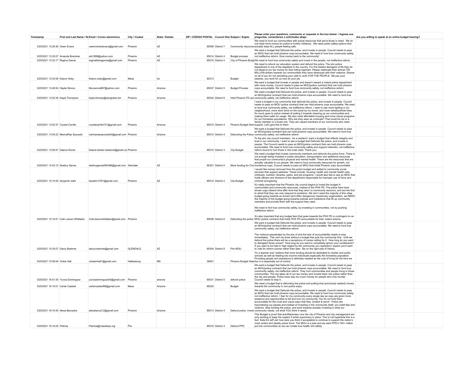| Timestamp                           |                                      | First and Last Name / No Email / Correo electrónico                             | City / Ciudad   | State / Estado | ZIP / CÓDIGO POSTAL Council Dist Subject / Sujeto |                             |                       | Please enter your questions, comments or requests in the box below: / Ingrese sus<br>preguntas, comentarios o solicitudes abajo:                                                                                                                                                                                                                                                                                                                                                                                                                                                                                                                                                                                                                                                      | Are you willing to speak at an online budget hearing? |  |
|-------------------------------------|--------------------------------------|---------------------------------------------------------------------------------|-----------------|----------------|---------------------------------------------------|-----------------------------|-----------------------|---------------------------------------------------------------------------------------------------------------------------------------------------------------------------------------------------------------------------------------------------------------------------------------------------------------------------------------------------------------------------------------------------------------------------------------------------------------------------------------------------------------------------------------------------------------------------------------------------------------------------------------------------------------------------------------------------------------------------------------------------------------------------------------|-------------------------------------------------------|--|
| 3/25/2021 13:26:36 Owen Evans       |                                      | owenrichardevans@gmail.com                                                      | Phoenix         | AZ             |                                                   | 85009 District 7            |                       | We need to fund our communities with actual resources that serve those in need. We do<br>not need more money for police to further militarize. We need public safety options that<br>Community resource: actually keep ALL people feeling safe.                                                                                                                                                                                                                                                                                                                                                                                                                                                                                                                                       |                                                       |  |
|                                     |                                      |                                                                                 |                 |                |                                                   |                             |                       | We want a budget that Defunds the police, and invests in people. Council needs to pass<br>an MOU that can hold phoenix cops accountable. We need to fund true community safety,                                                                                                                                                                                                                                                                                                                                                                                                                                                                                                                                                                                                       |                                                       |  |
| 3/25/2021 13:32:07 Amanda Brandner  |                                      | arb1998@yahoo.com                                                               | Phoenix         | AZ             |                                                   | 85014 District 4            | <b>Budget process</b> | not ineffective reform. Give money back to the community!                                                                                                                                                                                                                                                                                                                                                                                                                                                                                                                                                                                                                                                                                                                             |                                                       |  |
| 3/25/2021 13:32:17 Regina Garcia    |                                      | reginafelicegarcia@gmail.com                                                    | Phoenix         | AZ             |                                                   | 85015 District 4            |                       | City of Phoenix Budg We need to fund true community safety and invest in the people, not ineffective reform.                                                                                                                                                                                                                                                                                                                                                                                                                                                                                                                                                                                                                                                                          |                                                       |  |
|                                     |                                      |                                                                                 |                 |                |                                                   |                             |                       | We need to refund our education system and defund the police. The phx police<br>department is one of the deadliest in the country. For this blatant disregard of life they do<br>not deserve our tax money for their killing regiment. Please reallocate their almost 750<br>MILLION dollars towards our communities they have destroyed with their violence. Shame<br>on all of you for not upholding your oath to work FOR THE PEOPLE. We pay your                                                                                                                                                                                                                                                                                                                                  |                                                       |  |
| 3/25/2021 13:34:58 Kalvnn Sobv      |                                      | Kalynn.soby@gmail.com                                                           | Mesa            | Az             | 85213                                             |                             | Budget                | salaries, you work for us now do your job.                                                                                                                                                                                                                                                                                                                                                                                                                                                                                                                                                                                                                                                                                                                                            |                                                       |  |
| 3/25/2021 13:49:54 Hayler Munoz     |                                      | Munozone987@yahoo.com                                                           | Phoenix         | Arizona        |                                                   | 85037 District 5            | <b>Budget Process</b> | We want a budget that Invests in people and doesn't reward a violent police department<br>with more money. Council needs to pass an MOU(police contract) that can hold phoenix<br>cops accountable. We need to fund true community safety, not ineffective reform.                                                                                                                                                                                                                                                                                                                                                                                                                                                                                                                    |                                                       |  |
| 3/25/2021 13:52:36 Kayla Thompson   |                                      | kayla.thomps@sbcglobal.net                                                      | Phoenix         | Arizona        |                                                   | 85044 District 6            |                       | We need a budget that Defunds the police, and invests in people. Council needs to pass<br>an MOU(police contract) that can hold phoenix cops accountable. We need to fund true<br>Hold Phoenix PD acc community safety, not ineffective reform.                                                                                                                                                                                                                                                                                                                                                                                                                                                                                                                                       |                                                       |  |
|                                     |                                      |                                                                                 |                 |                |                                                   |                             |                       | I want a budget in my community that defunds the police, and invests in people. Council                                                                                                                                                                                                                                                                                                                                                                                                                                                                                                                                                                                                                                                                                               |                                                       |  |
| 3/25/2021 13:52:37 Crystal Carrillo |                                      | crystalcarrillo721@gmail.com                                                    | Phoenix         | Arizona        |                                                   | 85015 District 4            |                       | needs to pass an MOU (police contract) that can hold phoenix cops accountable. We need<br>to fund true community safety, not ineffective reform. I want to see more lighting in my<br>neighborhood, more work done on the canal by my home, and more street/pothole fixes.<br>So much goes to police instead of putting it towards cleaning up our communities and<br>making them safer for usage. We also need affordable housing and more robust programs<br>for our homeless populations. Why are they seen as criminals? That could be me or a<br>family member or a loved one. They are valued members of our community who need<br>Phoenix Budget Dem support. Let's give this to them.                                                                                         |                                                       |  |
|                                     |                                      |                                                                                 |                 |                |                                                   |                             |                       | We want a budget that Defunds the police, and invests in people. Council needs to pass                                                                                                                                                                                                                                                                                                                                                                                                                                                                                                                                                                                                                                                                                                |                                                       |  |
|                                     | 3/25/2021 13:54:22 MarinaRae Saucedo | marinaraesaucedo04@gmail.com Phoenix                                            |                 | Arizona        |                                                   | 85012 District 4            |                       | an MOU(police contract) that can hold phoenix cops accountable. We need to fund true<br>Defunding the Police community safety, not ineffective reform.<br>To the phx city council members: As a resident I want a budget that reflects integrity and                                                                                                                                                                                                                                                                                                                                                                                                                                                                                                                                  |                                                       |  |
| 3/25/2021 13:59:47 Daena Homer      |                                      | Daena.herbal medicine@gmail.cor Phoenix                                         |                 |                |                                                   | 85015 District 3            | City Budget           | trust in our community. I want to see a budget that Defunds the police, and invests in<br>people. The Council needs to pass an MOU(police contract) that can hold phoenix cops<br>accountable. We need to fund true community safety and support networks, not ineffective<br>reform bound to hurt those in the most need. Thank you.                                                                                                                                                                                                                                                                                                                                                                                                                                                 |                                                       |  |
|                                     |                                      |                                                                                 |                 |                |                                                   |                             |                       | We need a budget that invests community members and defunds the police force. There is                                                                                                                                                                                                                                                                                                                                                                                                                                                                                                                                                                                                                                                                                                |                                                       |  |
|                                     |                                      |                                                                                 |                 |                |                                                   |                             |                       | not enough being invested in public education, transportation and additional resources<br>that propel our community's physical and mental health. These are the resources that are<br>actually valuable to our people. We need to fund community resources for growth, not                                                                                                                                                                                                                                                                                                                                                                                                                                                                                                            |                                                       |  |
| 3/25/2021 14:53:12 Destiny Garcia   |                                      | destinygarcia090398@gmail.com Glendale                                          |                 | AZ             |                                                   | 85301 District 5            |                       | More funding for Con murderous cops. Council needs to pass an MOU that holds Phoenix cops accountable.                                                                                                                                                                                                                                                                                                                                                                                                                                                                                                                                                                                                                                                                                |                                                       |  |
| 3/25/2021 15:10:50 benjamin clark   |                                      | baclark12781@gmail.com                                                          | Phoenix         | AZ             |                                                   | 85014 District 4            | City Budget           | I would like money removed from the police budget and added to community social<br>services that support wellness. These include: housing, health and mental health care,<br>childcare, nutrition, libraries, parks, and job programs. I would also like to see an MOU that<br>holds officers and divisions of the department responsible for improper use of force and<br>criminal wrongdoing.                                                                                                                                                                                                                                                                                                                                                                                       |                                                       |  |
|                                     |                                      |                                                                                 |                 |                |                                                   |                             |                       | It's really important that the Phoenix city council begins to invest the budget in                                                                                                                                                                                                                                                                                                                                                                                                                                                                                                                                                                                                                                                                                                    |                                                       |  |
|                                     |                                      |                                                                                 |                 |                |                                                   |                             |                       | communities and community resources, instead of the PHX PD. The police here have<br>shown urge citizens time after time that they aren't a community resource, and are the first<br>to admit that they can only respond to problems. We don't need the majority of this cities.<br>budget going towards an armed (and often dangerous) reactionary organization, we NEED<br>the majority of the budget going towards policies and institutions that lift up community<br>members and provide them with the support they need.<br>We need to find true community safety, by investing in communities, not by pushing<br>ineffective reform<br>It's also important that any budget item that goes towards the PHX PD is contingent on an                                                |                                                       |  |
|                                     |                                      | 3/25/2021 15:14:51 Cole Larson-Whittaker Cole.larsonwhittaker@gmail.com Phoenix |                 |                |                                                   |                             |                       | 85008 District 8 Defunding the police MOU (police contract) that holds PHX PD accountable for their violent actions.                                                                                                                                                                                                                                                                                                                                                                                                                                                                                                                                                                                                                                                                  |                                                       |  |
| 3/25/2021 15:35:07 Darcy Boehme     |                                      | darcy.boehme@gmail.com                                                          | <b>GLENDALE</b> | AZ             |                                                   | 85304 District 8            | Phx MOU               | We want a budget that Defunds the police, and invests in people. Council needs to pass<br>an MOU(police contract) that can hold phoenix cops accountable. We need to fund true<br>community safety, not ineffective reform.<br>The violence perpetrated by the phx of and the lack of accountability needs to stop<br>immediately. This can't be done without a budget that puts the community first. Until we<br>defund the police there will be a cacophony of voices calling for it. How long do you want<br>to disregard those voices? How long do you want to completely ignore your constituents?<br>If you want to be held in high regard by the community you represent I expect you'll want<br>to vote for reform sooner rather than later. Be on the right side of history. |                                                       |  |
|                                     |                                      |                                                                                 |                 |                |                                                   |                             |                       | I'm a teacher and I believe that more funding should be dedicated to charter and public                                                                                                                                                                                                                                                                                                                                                                                                                                                                                                                                                                                                                                                                                               |                                                       |  |
| 3/25/2021 15:59:40 Vickie Hall      |                                      | vickiemhall1@gmail.com                                                          | Hattiesburg     | MS             | 39401                                             |                             |                       | schools as well as feeding low income individuals especially the homeless population.<br>Providing people rent assistance is definitely needed as the cost of living for the time we<br>Phoenix Budget Hearlive in is especially out of control                                                                                                                                                                                                                                                                                                                                                                                                                                                                                                                                       |                                                       |  |
| 3/25/2021 16:01:35 Yuvixa Dominguez |                                      | yuvixadominguez04@gmail.com Phoenix                                             |                 | arizona        |                                                   | 85031 District 5            | defund police         | We want a budget that Defunds the police, and invests in people. Council needs to pass<br>an MOU(police contract) that can hold phoenix cops accountable. We need to fund true<br>community safety, not ineffective reform. They hurt communities and people living in those<br>communities. The city takes all of our tax money and invests them into police rather than<br>the city and people. Police have way too much money for people who only murder.<br>Council needs to stop it.                                                                                                                                                                                                                                                                                             |                                                       |  |
|                                     |                                      |                                                                                 |                 |                |                                                   |                             |                       | We need a budget that is defunding the police and putting that (previously wasted) money                                                                                                                                                                                                                                                                                                                                                                                                                                                                                                                                                                                                                                                                                              |                                                       |  |
| 3/25/2021 16:10:01 Carter Casteel   |                                      | cartercasteel99@gmail.com                                                       | Mesa            | Arizona        | 85203                                             |                             | Budget                | towards the community in non-police ways                                                                                                                                                                                                                                                                                                                                                                                                                                                                                                                                                                                                                                                                                                                                              |                                                       |  |
| 3/25/2021 16:10:40 Alexa Banuelos   |                                      | alexabanu212@gmail.com                                                          | Phoenix         | Arizona        |                                                   |                             |                       | We want a budget that Defunds the police, and invests in people. Council needs to pass<br>an MOU that can hold phoenix cops accountable. We need to fund true community safety,<br>not ineffective reform. I fear for my community every single day as cops are given more<br>weapons and opportunities to kill and hurt my community. You do not hold them<br>accountable for the cruel and unjust ways that they "protect & serve". Police are<br>traumatizing our people and instead of investing in the community itself, you instill fear and<br>violence. Stop funding the police, and work towards actually investing in what our<br>85013 District 4 Defund police, invest community needs, not what YOU think it needs.                                                      |                                                       |  |
|                                     |                                      |                                                                                 |                 |                |                                                   |                             |                       | This Budget is proof that anti-Blackness runs the city of Phoenix and city management are<br>only working to keep the system if white supremacy in place. This is not hyperbole this is a<br>fact. Kate Ed Jeff Jeri how dare you think it acceptable to continue to support the nation's<br>most violent and deadly police force. The MOU is a joke and we want PPD's 745+ million                                                                                                                                                                                                                                                                                                                                                                                                   |                                                       |  |
| 3/25/2021 16:18:25 Patricia         |                                      | Patricia@masslibaz.org                                                          | Phx             |                |                                                   | 85016 District 4 Defund PPD |                       | put into communities so we can create true health snd safety.                                                                                                                                                                                                                                                                                                                                                                                                                                                                                                                                                                                                                                                                                                                         |                                                       |  |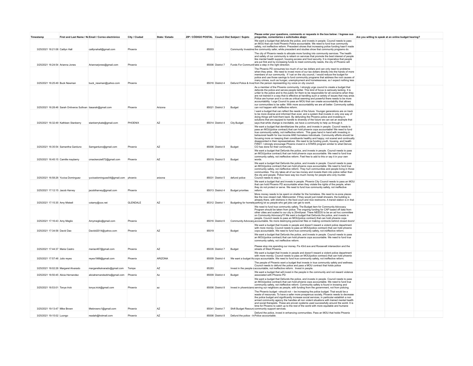| Timestamp                             |                                                                | First and Last Name / No Email / Correo electrónico | City / Ciudad   | State / Estado | ZIP / CÓDIGO POSTAL Council Dist Subject / Sujeto |                  |                                            | Please enter your questions, comments or requests in the box below: / Ingrese sus<br>preguntas, comentarios o solicitudes abajo:                                                                                                                                                                                                                                                                                                                                                                                                                                                               | Are you willing to speak at an online budget hearing? |  |
|---------------------------------------|----------------------------------------------------------------|-----------------------------------------------------|-----------------|----------------|---------------------------------------------------|------------------|--------------------------------------------|------------------------------------------------------------------------------------------------------------------------------------------------------------------------------------------------------------------------------------------------------------------------------------------------------------------------------------------------------------------------------------------------------------------------------------------------------------------------------------------------------------------------------------------------------------------------------------------------|-------------------------------------------------------|--|
|                                       |                                                                |                                                     |                 |                |                                                   |                  |                                            | We want a budget that defunds the police, and invests in people. Council needs to pass<br>an MOU that can hold Phoenix Police accountable. We need to fund true community                                                                                                                                                                                                                                                                                                                                                                                                                      |                                                       |  |
| 3/25/2021 16:21:08 Caitlyn Hall       |                                                                | caitlynahall@gmail.com                              | Phoenix         |                | 85003                                             |                  |                                            | safety, not ineffective reform. Precedent shows that increasing police funding hasn't made<br>Community Investme the community safer, while precedent and studies show that community programs do.                                                                                                                                                                                                                                                                                                                                                                                             |                                                       |  |
|                                       |                                                                |                                                     |                 |                |                                                   |                  |                                            | The city of Phoenix needs to allocate more funding into community services. The health<br>and safety of our community is reliant on services that promote the best interest of people<br>like mental health support, housing access and food security. It is imperative that people                                                                                                                                                                                                                                                                                                            |                                                       |  |
| 3/25/2021 16:24:54 Arianna Jones      |                                                                | Ariannarjones@gmail.com                             | Phoenix         |                |                                                   | 85006 District 7 |                                            | are put first and by increasing funds to meet community needs, the city of Phoenix will<br>Funds For Communit take a step in the right direction.                                                                                                                                                                                                                                                                                                                                                                                                                                              |                                                       |  |
| 3/25/2021 16:25:49 Buck Newman        |                                                                | buck newman@vahoo.com                               | Phoenix         |                |                                                   | 85016 District 4 |                                            | The Phoenix PD consumes too much of our tax dollars and can only react to problems<br>when they arise. We need to invest more of our tax dollars directly into the hands of more<br>members of our community. If I sat on the city council, I would reduce the budget for<br>police and use those savings to fund community programs that address the root causes of<br>many crimes, such as hunger, unemployment and homelessness, so I expect nothing less<br>Defund Police & Inve from the person representing my voice on city council.                                                    |                                                       |  |
|                                       |                                                                |                                                     |                 |                |                                                   |                  |                                            | As a member of the Phoenix community, I strongly urge council to create a budget that<br>defunds the police and serves people better. This kind of focus is seriously lacking. It is                                                                                                                                                                                                                                                                                                                                                                                                           |                                                       |  |
|                                       | 3/25/2021 16:28:46 Sarah Ontiveros Sullivan tiasarah@gmail.com |                                                     | Phoenix         | Arizona        |                                                   | 85021 District 3 | Budget                                     | unfair to the police and to the public for them to be responsible for all concerns when they<br>are not trained in a way that is effective at handling such a variety of issues that may arise.<br>Police are human and in a role as critical seeming and powerful there needs to be more<br>accountability. I urge Council to pass an MOU that can create accountability that allows<br>our communities to be safer. With more accountability we are all better. Community safety<br>can not happen with ineffective reform.                                                                  |                                                       |  |
| 3/25/2021 16:32:49 Kathleen Stanberry |                                                                | stanberrykate@gmail.com                             | PHOENIX         | AZ             |                                                   | 85014 District 4 | <b>City Budget</b>                         | I want a budget that can reflect the needs of the future. Younger generations are on track<br>to be more diverse and informed than ever, and a system that invests in only one way of<br>doing things will hold them back. By defunding the Phoenix police and investing in<br>solutions that are equiped to handle to diversity of the future we can set an example that<br>says that while change is inevitable, we have a community to help us through it.                                                                                                                                  |                                                       |  |
|                                       |                                                                |                                                     |                 |                |                                                   |                  |                                            | We want a budget that demilitarizes the police, and invests in people. Council needs to                                                                                                                                                                                                                                                                                                                                                                                                                                                                                                        |                                                       |  |
| 3/25/2021 16:35:54 Samantha Garduno   |                                                                | Samgarduno@gmail.com                                | Phoenix         | A7             |                                                   | 85006 District 8 | Budget                                     | pass an MOU(police contract) that can hold phoenix cops accountable! We need to fund<br>true community safety, not ineffective reform. This goes hand in hand with investing in<br>behavioral health for low income AND homeless individuals. Community efforts should be<br>focusing more on keeping their constituents healthy and happy; not scared and continually<br>disappointed in their representatives. We need to be funding youth, housing, and health<br>FIRST. I strongly encourage Phoenix invest in a STARS program similar to what Denver,<br>CO has done for their community. |                                                       |  |
|                                       |                                                                |                                                     |                 |                |                                                   |                  |                                            | We want a budget that Defunds the police, and invests in people. Council needs to pass                                                                                                                                                                                                                                                                                                                                                                                                                                                                                                         |                                                       |  |
| 3/25/2021 16:45:15 Camille mayberry   |                                                                | cmackenzie672@gmail.com                             | Phoenix         | AZ             |                                                   | 85019 District 5 | Budget                                     | an MOU(police contract) that can hold phoenix cops accountable. We need to fund true<br>community safety, not ineffective reform. Feel free to add to this or say it in your own<br>words                                                                                                                                                                                                                                                                                                                                                                                                      |                                                       |  |
|                                       |                                                                |                                                     |                 |                |                                                   |                  |                                            | We want a budget that Defunds the police, and invests in people. Council needs to pass<br>an MOU(police contract) that can hold phoenix cops accountable. We need to fund true<br>community safety, not ineffective reform. They hurt communities and people living in those<br>communities. The city takes all of our tax money and invests them into police rather than<br>the city and people. Police have way too much money for people who only murder.                                                                                                                                   |                                                       |  |
| 3/25/2021 16:58:26 Yuvixa Dominguez   |                                                                | yuvixadominguez04@gmail.com phoenix                 |                 | arizona        |                                                   | 85031 District 5 | defund police                              | Council needs to stop it.<br>We want a budget that and invests in people. Phoenix City Council needs to pass an MOU                                                                                                                                                                                                                                                                                                                                                                                                                                                                            |                                                       |  |
|                                       |                                                                |                                                     |                 |                |                                                   |                  |                                            | that can hold Phoenix PD accountable when they violate the rights of the people, when<br>they do not protect or serve. We need to fund true community safety, not ineffective                                                                                                                                                                                                                                                                                                                                                                                                                  |                                                       |  |
| 3/25/2021 17:12:15 Jacob Harvey       |                                                                | jacobtharvey@gmail.com                              | Phoenix         |                |                                                   | 85013 District 4 | <b>Budget priorities</b>                   | reform.<br>More money needs to be spent on shelter for the homeless. We need to re-zone places                                                                                                                                                                                                                                                                                                                                                                                                                                                                                                 |                                                       |  |
| 3/25/2021 17:15:35 Amy Miskell        |                                                                | cotamy@cox.net                                      | <b>GLENDALE</b> | A7             |                                                   | 85312 District 1 |                                            | like the now closed mall, Metrocenter. If they would just install showers, the building is<br>already there, with kitchens in the food court and nice restrooms. A transit station is in that<br>Budgeting for homele parking lot so people who get jobs can get to work.                                                                                                                                                                                                                                                                                                                      |                                                       |  |
|                                       |                                                                |                                                     |                 |                |                                                   |                  |                                            | We need to fund true community safety. The Budget item for Community Advocacy<br>Program should be taken from police. The ongoing funding for CAP based off data from                                                                                                                                                                                                                                                                                                                                                                                                                          |                                                       |  |
| 3/25/2021 17:16:43 Amy Meglio         |                                                                | Amymeglio@gmail.com                                 | Phoenix         |                |                                                   | 85016 District 6 |                                            | other cities and scaled to our city is 20mil/year. There NEEDS to be an ad hoc committee<br>on Community Advocacy!!!! We want a budget that Defunds the police, and invests in<br>people. Council needs to pass an MOU(police contract) that can hold phoenix cops<br>Community Advocac <sub>)</sub> accountable. No more destroying personnel files or making contracts behind closed doors!                                                                                                                                                                                                  |                                                       |  |
|                                       |                                                                |                                                     |                 |                |                                                   |                  |                                            | We want a budget that Invests in people and doesn't reward a violent police department<br>with more money. Council needs to pass an MOU(police contract) that can hold phoenix                                                                                                                                                                                                                                                                                                                                                                                                                 |                                                       |  |
| 3/25/2021 17:34:58 David Dao          |                                                                | Davidd2014@yahoo.com                                | Phoenix         | A7             | 85019                                             |                  | Budget                                     | cops accountable. We need to fund true community safety, not ineffective reform.<br>We want a budget that Defunds the police, and invests in people. Council needs to pass                                                                                                                                                                                                                                                                                                                                                                                                                     |                                                       |  |
|                                       |                                                                |                                                     |                 |                |                                                   |                  |                                            | an MOU(police contract) that can hold phoenix cops accountable. We need to fund true<br>community safety, not ineffective reform.<br>Please stop mis spending our money. Fix 43rd ave and Roosevelt intersection and the                                                                                                                                                                                                                                                                                                                                                                       |                                                       |  |
| 3/25/2021 17:44:37 Maria Castro       |                                                                | mariac467@gmail.com                                 | Phoenix         | AZ             |                                                   | 85035 District 7 | Budget                                     | streets of West Phoenix                                                                                                                                                                                                                                                                                                                                                                                                                                                                                                                                                                        |                                                       |  |
| 3/25/2021 17:57:46 Julio reyes        |                                                                | reyex1988@gmail.com                                 | Phoenix         | ARIZONA        |                                                   | 85009 District 4 |                                            | We want a budget that Invests in people and doesn't reward a violent police department<br>with more money. Council needs to pass an MOU(police contract) that can hold phoenix<br>We want a budget thi cops accountable. We need to fund true community safety, not ineffective reform                                                                                                                                                                                                                                                                                                         |                                                       |  |
| 3/25/2021 18:02:28 Margaret Alvarado  |                                                                | margaretkalvarado@gmail.com                         | Tempe           | AZ             | 85283                                             |                  |                                            | The people of Phoenix want a budget that invests in true community safety and wellness.<br>Council needs to defund the police and pass a MOU contract that holds police<br>Invest in the people c accountable, not ineffective reform. Invest in people                                                                                                                                                                                                                                                                                                                                        |                                                       |  |
| 3/25/2021 18:50:45 Alicia Hernandez   |                                                                | aliciahernandezbhs@gmail.com Phoenix                |                 | Az             |                                                   | 85009 District 4 | Budget                                     | We want a budget that will invest in the people in the community and not reward violence<br>associated with Phoenix PD                                                                                                                                                                                                                                                                                                                                                                                                                                                                         |                                                       |  |
| 3/25/2021 18:53:01 Tonya Irick        |                                                                | tonya.irick@gmail.com                               | Phoenix         | az             |                                                   | 85006 District 8 |                                            | We want a budget that Defunds the police, and invests in people. Council needs to pass<br>an MOU(police contract) that can hold phoenix cops accountable. We need to fund true<br>community safety, not ineffective reform. Community safety is found in knowing and<br>Invest in phoenicians serving our neighbors as people, with funding from the government, not from policing.                                                                                                                                                                                                            |                                                       |  |
|                                       |                                                                |                                                     |                 |                |                                                   |                  |                                            | The Phoenix budget --should not -- be increasing the police budget. That would be a<br>waste of resources. To have a safer more prosperous society, Phoenix needs to decrease<br>the police budget and significantly increase social services, in particular establish a non<br>armed community agency the handles all non violent situations with trained mental health<br>and social therapists. These are proven systems used successfully around the world. It is<br>time for Phoenix to catch up to the rest of the world with more equitable and humane                                  |                                                       |  |
| 3/25/2021 19:13:47 Mike Brown         |                                                                | Mwbrownc1@gmail.com                                 | Phoenix         | AZ             |                                                   | 85041 District 7 |                                            | Shift Budget Resourc community support services<br>Defund the police, invest in enhancing communities. Pass an MOU that holds Phoenix                                                                                                                                                                                                                                                                                                                                                                                                                                                          |                                                       |  |
| 3/25/2021 19:15:02 Luongo             |                                                                | readah@hotmail.com                                  | Phoenix         | A7             |                                                   | 85006 District 8 | Defund the police - In Police accountable. |                                                                                                                                                                                                                                                                                                                                                                                                                                                                                                                                                                                                |                                                       |  |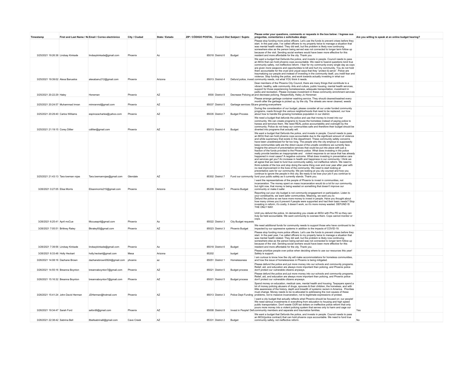| Timestamp                            | First and Last Name / No Email / Correo electrónico | City / Ciudad | State / Estado | ZIP / CÓDIGO POSTAL Council Dist Subject / Sujeto |                  |                       | Please enter your questions, comments or requests in the box below: / Ingrese sus<br>preguntas, comentarios o solicitudes abajo:                                                                                                                                                                                                                                                                                                                                                                                                                                                                                                                                                                                                                                                                                                                                                                                                                                                                                                                                                                                                                                                                                                                                                                                                                                                                                                                                                | Are you willing to speak at an online budget hearing? |  |
|--------------------------------------|-----------------------------------------------------|---------------|----------------|---------------------------------------------------|------------------|-----------------------|---------------------------------------------------------------------------------------------------------------------------------------------------------------------------------------------------------------------------------------------------------------------------------------------------------------------------------------------------------------------------------------------------------------------------------------------------------------------------------------------------------------------------------------------------------------------------------------------------------------------------------------------------------------------------------------------------------------------------------------------------------------------------------------------------------------------------------------------------------------------------------------------------------------------------------------------------------------------------------------------------------------------------------------------------------------------------------------------------------------------------------------------------------------------------------------------------------------------------------------------------------------------------------------------------------------------------------------------------------------------------------------------------------------------------------------------------------------------------------|-------------------------------------------------------|--|
| 3/25/2021 19:26:38 Lindsay Kinkade   | lindsaykinkade@gmail.com                            | Phoenix       | Az             |                                                   | 85018 District 6 | Budget                | Please stop funding more police officers. Let's use the funds to prevent crises before they<br>start. In the past year, I've called officers to my property twice to manage a situation that<br>was mental health related. They did well, but the problem is likely now continuing<br>somewhere else as the person being served was not connected to longer term follow up<br>because of the visit. Sending social workers would have been more effective for this<br>resident and more affordable for the city. Thank you                                                                                                                                                                                                                                                                                                                                                                                                                                                                                                                                                                                                                                                                                                                                                                                                                                                                                                                                                      |                                                       |  |
| 3/25/2021 19:39:02 Alexa Banuelos    | alexabanu212@gmail.com                              | Phoenix       | Arizona        |                                                   | 85013 District 4 |                       | We want a budget that Defunds the police, and invests in people. Council needs to pass<br>an MOU that can hold phoenix cops accountable. We need to fusend questions tond true<br>community safety, not ineffective reform. I fear for my community every single day as cops<br>are given more weapons and opportunities to kill and hurt my community. You do not hold<br>them accountable for the cruel and unjust ways that they "protect & serve". Police are<br>traumatizing our people and instead of investing in the community itself, you instill fear and<br>violence. Stop funding the police, and work towards actually investing in what our<br>Defund police, invest community needs, not what YOU think it needs.                                                                                                                                                                                                                                                                                                                                                                                                                                                                                                                                                                                                                                                                                                                                                |                                                       |  |
| 3/25/2021 20:22:29 Haley             | Honeman                                             | Phoenix       | AZ             |                                                   | 8500 District 8  |                       | Dear members of the Phoenix City Council, there are many things that contribute to a<br>vibrant, healthy, safe community. Arts and culture, public housing, mental health services,<br>support for those experiencing homelessness, adequate transportation, investment in<br>parks and recreation. Please increase investment in these community enrichment services<br>Decrease Policing an and decrease policing. Respectfully, Haley Jo Honeman                                                                                                                                                                                                                                                                                                                                                                                                                                                                                                                                                                                                                                                                                                                                                                                                                                                                                                                                                                                                                             |                                                       |  |
| 3/25/2021 20:24:57 Muhammad Imran    | mimranmd@gmail.com                                  | Phoenix       | AZ             |                                                   | 85037 District 5 |                       | Please arrange garbage container washing service. They should cleaned/washed every<br>month after the garbage is picked up, by the city. The streets are never cleaned, weeds<br>Garbage services /St are growing everywhere                                                                                                                                                                                                                                                                                                                                                                                                                                                                                                                                                                                                                                                                                                                                                                                                                                                                                                                                                                                                                                                                                                                                                                                                                                                    |                                                       |  |
| 3/25/2021 20:29:40 Carlos Williams   | espinozacharles@yahoo.com                           | Phoenix       | A7             |                                                   | 85035 District 7 | <b>Budget Process</b> | During the consideration of our budget, please consider all our under funded community<br>programs, roads through the various neighborhoods that need to be replaced, our how<br>about how to handle the growing homeless population in our district.                                                                                                                                                                                                                                                                                                                                                                                                                                                                                                                                                                                                                                                                                                                                                                                                                                                                                                                                                                                                                                                                                                                                                                                                                           |                                                       |  |
| 3/25/2021 21:19:15 Corey Dillier     | cdillier@gmail.com                                  | Phoenix       | AZ             |                                                   | 85013 District 4 | Budget                | We need a budget that defunds the police and use that money to invest into our<br>community. We can create programs to house the homeless instead of paying police to<br>harass and terrorize them. We need REAL police accountability and oversight by the<br>community. Police do not keep our communities safe and therefore their budget should be<br>diverted into programs that actually will.                                                                                                                                                                                                                                                                                                                                                                                                                                                                                                                                                                                                                                                                                                                                                                                                                                                                                                                                                                                                                                                                            |                                                       |  |
| 3/25/2021 21:43:13 Tara lowman roias | Tara.lowmanrojas@gmail.com                          | Glendale      | A7             |                                                   | 85302 District 7 |                       | We want a budget that Defunds the police, and invests in people. Council needs to pass<br>an MOU that can hold phoenix cops accountable due to the significant amount of violence<br>and white supremacy that exists in this department. These community safety concerns<br>have been unaddressed for far too long. The people who the city employs to supposedly<br>keep communities safe are the direct cause of the unsafe conditions we currently face.<br>Imagine the amount of preventative services that could be put into place with just a<br>fraction of the funds provided to the Phoenix police. What does investing in the police<br>really provide besides an inappropriate and violent response to an issue that has already<br>happened in most cases? A negative outcome. What does investing in preventative care<br>and services get you? An increase in health and happiness in our community. I think we<br>all agree that we need to fund true community safety, not ineffective reform. We need to<br>think outside of the box and stop doing the same thing over and over year after year with<br>no real improvement in the lives of the community. We need to start looking at<br>preventative care for our community. We are looking at you city counsel and how you<br>continue to ignore the people in this city. Be ready to be lose your job if you continue to<br>Fund our community fund your public safety as it currently stands. Thank you. |                                                       |  |
| 3/26/2021 0:27:05 Elisa Morris       | Elisanmorris215@gmail.com                           | Phoenix       | Arizona        |                                                   | 85209 District 7 | Phoenix Budget        | I want the representatives of the people of Phoenix to invest in communities, not<br>incarceration. The money spent on mass incarceration would do a lot for our community.<br>but right now, that money is being wasted on something that doesn't improve our<br>community or make it safer                                                                                                                                                                                                                                                                                                                                                                                                                                                                                                                                                                                                                                                                                                                                                                                                                                                                                                                                                                                                                                                                                                                                                                                    |                                                       |  |
|                                      |                                                     |               |                |                                                   |                  |                       | Reporting out your city budget is not community engagement or participation. Listen to<br>vour constituents, we want safer communities. Meaning, we want you to:<br>Defund the police so we have more money to invest in people. Have you thought about<br>how many crimes you'd prevent if people were supported and had their basic needs? Stop<br>investing in reform, it's costly, it doesn't work, so it's more money wasted. DEFUND IS<br>THE ONLY WAY.<br>Until you defund the police, Im demanding you create an MOU with Phx PD so they can<br>truly be held accountable. We want community to oversee them. Cops cannot monitor or<br>cops.                                                                                                                                                                                                                                                                                                                                                                                                                                                                                                                                                                                                                                                                                                                                                                                                                           |                                                       |  |
| 3/26/2021 6:25:41 April mcCue        | Mccueapril@gmail.com                                | Phoenix       | Az             |                                                   | 85022 District 3 | City Budget requests  | We need additional funds for community needs to support those who have continued to be                                                                                                                                                                                                                                                                                                                                                                                                                                                                                                                                                                                                                                                                                                                                                                                                                                                                                                                                                                                                                                                                                                                                                                                                                                                                                                                                                                                          |                                                       |  |
| 3/26/2021 7:05:51 Brittney Raley     | Bkraley93@gmail.com                                 | Phoenix       | AZ             |                                                   | 85023 District 3 | <b>Phoenix Budget</b> | impacted by our oppressive systems in addition to the impacts of COVID-19.                                                                                                                                                                                                                                                                                                                                                                                                                                                                                                                                                                                                                                                                                                                                                                                                                                                                                                                                                                                                                                                                                                                                                                                                                                                                                                                                                                                                      |                                                       |  |
| 3/26/2021 7:39:56 Lindsay Kinkade    | lindsaykinkade@gmail.com                            | Phoenix       | Az             |                                                   | 85018 District 6 | Budget                | Please stop funding more police officers. Let's use the funds to prevent crises before they<br>start. In the past year, I've called officers to my property twice to manage a situation that<br>was mental health related. They did well, but the problem is likely now continuing<br>somewhere else as the person being served was not connected to longer term follow up<br>because of the visit. Sending social workers would have been more effective for this<br>resident and more affordable for the city. Thank you                                                                                                                                                                                                                                                                                                                                                                                                                                                                                                                                                                                                                                                                                                                                                                                                                                                                                                                                                      |                                                       |  |
| 3/26/2021 8:33:48 Holly Heckart      | holly.heckart@gmail.com                             | Mesa          | Arizona        | 85202                                             |                  | budget                | Please prioritize people over police when deciding where to use our resources this year!<br>Safety is support                                                                                                                                                                                                                                                                                                                                                                                                                                                                                                                                                                                                                                                                                                                                                                                                                                                                                                                                                                                                                                                                                                                                                                                                                                                                                                                                                                   |                                                       |  |
| 3/26/2021 14:08:16 Dazhane Brown     | dazhanebrown0924@gmail.com phoenix                  |               | az             |                                                   | 85051 District 1 | Homelessness          | I am curious to know how the city will make accommodations for homeless communities,<br>and how the issue of homelessness in Phoenix is being mitigated.                                                                                                                                                                                                                                                                                                                                                                                                                                                                                                                                                                                                                                                                                                                                                                                                                                                                                                                                                                                                                                                                                                                                                                                                                                                                                                                        |                                                       |  |
|                                      |                                                     |               | A7             |                                                   |                  |                       | Please defund the police and put more money into our schools and community programs.<br>Relief, aid, and education are always more important than policing, and Phoenix police                                                                                                                                                                                                                                                                                                                                                                                                                                                                                                                                                                                                                                                                                                                                                                                                                                                                                                                                                                                                                                                                                                                                                                                                                                                                                                  |                                                       |  |
| 3/26/2021 14:55:16 Breanna Boynton   | breannaboynton7@gmail.com                           | Phoenix       |                |                                                   | 85021 District 5 | <b>Budget process</b> | don't protect our vulnerable citizens anyways.<br>Please defund the police and put more money into our schools and community programs.<br>Relief, aid, and education are always more important than policing, and Phoenix police                                                                                                                                                                                                                                                                                                                                                                                                                                                                                                                                                                                                                                                                                                                                                                                                                                                                                                                                                                                                                                                                                                                                                                                                                                                |                                                       |  |
| 3/26/2021 15:16:32 Breanna Boynton   | breannaboynton7@gmail.com                           | Phoenix       | AZ             |                                                   | 85021 District 5 | <b>Budget process</b> | don't protect our vulnerable citizens anyways.<br>Spend money on education, medical care, mental health and housing. Taxpayers spend a<br>lot of money policing abusers of drugs, spouses & their children, the homeless, and with<br>little awareness of the history, depth and breadth of systemic racism in America. Priorities<br>must change. Money needs to be re-allocated to addressing the root causes of these                                                                                                                                                                                                                                                                                                                                                                                                                                                                                                                                                                                                                                                                                                                                                                                                                                                                                                                                                                                                                                                        |                                                       |  |
| 3/26/2021 15:41:24 John David Herman | JDHerman@hotmail.com                                | Phoenix       | A7             |                                                   | 85013 District 3 |                       | Police Dept Funding problems, not to massive incarceration, not to legitimate expressions of protest<br>I want a city budget that actually reflects what Phoenix should be focused on: our people!<br>We need serious investments in everything from education to housing and high speed                                                                                                                                                                                                                                                                                                                                                                                                                                                                                                                                                                                                                                                                                                                                                                                                                                                                                                                                                                                                                                                                                                                                                                                        |                                                       |  |
| 3/26/2021 19:34:47 Sarah Ford        | seford9@gmail.com                                   | Phoenix       | A7             |                                                   | 85008 District 8 |                       | public transportation. Don't waste OUR tax dollars on ineffective police reform that only<br>pours more money into a violent policing system that serves only to harm and cage our<br>Invest in People! Defi community members and separate and traumatize families.                                                                                                                                                                                                                                                                                                                                                                                                                                                                                                                                                                                                                                                                                                                                                                                                                                                                                                                                                                                                                                                                                                                                                                                                            | Yes                                                   |  |
| 3/26/2021 22:38:42 Sabrina Bell      | 8bellsabrina8@gmail.com                             | Cave Creek    | AZ             |                                                   | 85331 District 2 | Budget                | We want a budget that Defunds the police, and invests in people. Council needs to pass<br>an MOU(police contract) that can hold phoenix cops accountable. We need to fund true<br>community safety, not ineffective reform.                                                                                                                                                                                                                                                                                                                                                                                                                                                                                                                                                                                                                                                                                                                                                                                                                                                                                                                                                                                                                                                                                                                                                                                                                                                     | No                                                    |  |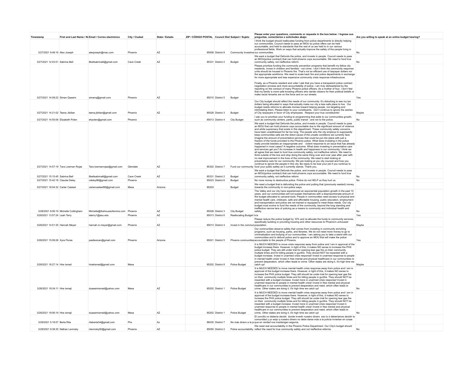| Timestamp                          |                                       | First and Last Name / No Email / Correo electrónico | City / Ciudad | State / Estado | ZIP / CÓDIGO POSTAL Council Dist Subject / Sujeto |                  |                                     | Please enter your questions, comments or requests in the box below: / Ingrese sus<br>preguntas, comentarios o solicitudes abajo:                                                                                                                                                                                                                                                                                                                                                                                                                                                                                                                                                                                                                                                                                                                                                                                                                                                                                                                                                                                                                                                                                                                                                                | Are you willing to speak at an online budget hearing? |  |
|------------------------------------|---------------------------------------|-----------------------------------------------------|---------------|----------------|---------------------------------------------------|------------------|-------------------------------------|-------------------------------------------------------------------------------------------------------------------------------------------------------------------------------------------------------------------------------------------------------------------------------------------------------------------------------------------------------------------------------------------------------------------------------------------------------------------------------------------------------------------------------------------------------------------------------------------------------------------------------------------------------------------------------------------------------------------------------------------------------------------------------------------------------------------------------------------------------------------------------------------------------------------------------------------------------------------------------------------------------------------------------------------------------------------------------------------------------------------------------------------------------------------------------------------------------------------------------------------------------------------------------------------------|-------------------------------------------------------|--|
|                                    |                                       |                                                     |               |                |                                                   |                  |                                     | I think the budget should reallocates funding from police departments to directly helping                                                                                                                                                                                                                                                                                                                                                                                                                                                                                                                                                                                                                                                                                                                                                                                                                                                                                                                                                                                                                                                                                                                                                                                                       |                                                       |  |
|                                    |                                       |                                                     |               |                |                                                   |                  |                                     | our communities. Council needs to pass an MOU so police offers can be held<br>accountable, and held to standards that the rest of us are held to in our various                                                                                                                                                                                                                                                                                                                                                                                                                                                                                                                                                                                                                                                                                                                                                                                                                                                                                                                                                                                                                                                                                                                                 |                                                       |  |
| 3/27/2021 9:48:16 Alex Joseph      |                                       | alexjoseph@mac.com                                  | Phoenix       | AZ             |                                                   | 85008 District 8 | Community Investme our communities. | professional fields. Work on ways that actually improve the safety of the people living in                                                                                                                                                                                                                                                                                                                                                                                                                                                                                                                                                                                                                                                                                                                                                                                                                                                                                                                                                                                                                                                                                                                                                                                                      | No                                                    |  |
| 3/27/2021 12:03:51 Sabrina Bell    |                                       | 8bellsabrina8@gmail.com                             | Cave Creek    | AZ             |                                                   | 85331 District 2 | Budget                              | We want a budget that Defunds the police, and invests in people. Council needs to pass<br>an MOU(police contract) that can hold phoenix cops accountable. We need to fund true<br>community safety, not ineffective reform.                                                                                                                                                                                                                                                                                                                                                                                                                                                                                                                                                                                                                                                                                                                                                                                                                                                                                                                                                                                                                                                                     | No                                                    |  |
|                                    |                                       |                                                     |               |                |                                                   |                  |                                     | Please prioritize funding the community prevention programs that benefit my fellow city                                                                                                                                                                                                                                                                                                                                                                                                                                                                                                                                                                                                                                                                                                                                                                                                                                                                                                                                                                                                                                                                                                                                                                                                         |                                                       |  |
|                                    |                                       |                                                     |               |                |                                                   |                  |                                     | residents. Invest in children and families - not crime. I don't think the community response<br>units should be housed in Phoenix fire. That's not an efficient use of taxpayer dollars nor<br>the appropriate workforce. We need to scale back fire and police departments in exchange<br>for more appropriate and less expensive community crisis response infrastructure.                                                                                                                                                                                                                                                                                                                                                                                                                                                                                                                                                                                                                                                                                                                                                                                                                                                                                                                    |                                                       |  |
|                                    |                                       |                                                     |               |                |                                                   |                  |                                     | Finally, as a Phoenix resident and voter I ask that you have a transparent police contract<br>negotiation process and more accountability of police. I am truly disheartened by the<br>reporting on the conduct of many Phoenix police officers. As a mother of four, I don't feel<br>that my family is more safe knowing officers who deride citizens for their political beliefs or<br>make racist remarks are on the force and on our streets.                                                                                                                                                                                                                                                                                                                                                                                                                                                                                                                                                                                                                                                                                                                                                                                                                                               |                                                       |  |
| 3/27/2021 14:09:22 Siman Qaasim    |                                       | simang@gmail.com                                    | Phoenix       | AZ             |                                                   | 85015 District 5 | Budget                              |                                                                                                                                                                                                                                                                                                                                                                                                                                                                                                                                                                                                                                                                                                                                                                                                                                                                                                                                                                                                                                                                                                                                                                                                                                                                                                 | Yes                                                   |  |
| 3/27/2021 14:21:02 Teena Jibilian  |                                       | teena.jibilian@gmail.com                            | Phoenix       | AZ             |                                                   | 85028 District 3 | Budget                              | Our City budget should reflect the needs of our community. It's disturbing to see my tax<br>dollars being allocated in ways that actually make our city a less safe place to live. Our<br>budget needs reforms to allocate monies toward helping people, not targeting and<br>intimidating them. Please listen to your constituents. Don't continue to ignore the wishes<br>of City taxpayers in favor of City employees. Respect your true constituents!                                                                                                                                                                                                                                                                                                                                                                                                                                                                                                                                                                                                                                                                                                                                                                                                                                       | Maybe                                                 |  |
| 3/27/2021 14:55:06 Elizabeth Polen |                                       | ehpolen@gmail.com                                   | Phoenix       |                |                                                   | 85013 District 4 | City Budget                         | I ask you to prioritize your funding to programming that adds to our communities growth,<br>such as community centers, parks, public transit - and not to the police.                                                                                                                                                                                                                                                                                                                                                                                                                                                                                                                                                                                                                                                                                                                                                                                                                                                                                                                                                                                                                                                                                                                           | No                                                    |  |
|                                    |                                       |                                                     |               |                |                                                   |                  |                                     | We want a budget that Defunds the police, and invests in people. Council needs to pass<br>an MOU that can hold phoenix cops accountable due to the significant amount of violence<br>and white supremacy that exists in this department. These community safety concerns<br>have been unaddressed for far too long. The people who the city employs to supposedly<br>keep communities safe are the direct cause of the unsafe conditions we currently face.<br>Imagine the amount of preventative services that could be put into place with just a<br>fraction of the funds provided to the Phoenix police. What does investing in the police<br>really provide besides an inappropriate and violent response to an issue that has already<br>happened in most cases? A negative outcome. What does investing in preventative care<br>and services get you? An increase in health and happiness in our community. I think we<br>all agree that we need to fund true community safety, not ineffective reform. We need to<br>think outside of the box and stop doing the same thing over and over year after year with<br>no real improvement in the lives of the community. We need to start looking at<br>preventative care for our community. We are looking at you city counsel and how you |                                                       |  |
|                                    | 3/27/2021 14:57:19 Tara Lowman Roias  | Tara.lowmanrojas@gmail.com                          | Glendale      | AZ             |                                                   | 85302 District 7 |                                     | continue to ignore the people in this city. Be ready to be lose your job if you continue to<br>Fund our community fund your public safety as it currently stands. Thank you.                                                                                                                                                                                                                                                                                                                                                                                                                                                                                                                                                                                                                                                                                                                                                                                                                                                                                                                                                                                                                                                                                                                    |                                                       |  |
| 3/27/2021 15:15:45 Sabrina Bell    |                                       | 8bellsabrina8@gmail.com                             | Cave Creek    | AZ             |                                                   | 85331 District 2 | Budget                              | We want a budget that Defunds the police, and invests in people. Council needs to pass<br>an MOU(police contract) that can hold phoenix cops accountable. We need to fund true<br>community safety, not ineffective reform.                                                                                                                                                                                                                                                                                                                                                                                                                                                                                                                                                                                                                                                                                                                                                                                                                                                                                                                                                                                                                                                                     | No                                                    |  |
| 3/27/2021 15:42:18 Claudia Deley   |                                       | cdeley98@gmail.com                                  | Phoenix       |                |                                                   | 85023 District 6 | Budget                              | No more money to destructive police. Police do not HELP us they hurt us.                                                                                                                                                                                                                                                                                                                                                                                                                                                                                                                                                                                                                                                                                                                                                                                                                                                                                                                                                                                                                                                                                                                                                                                                                        | No                                                    |  |
| 3/27/2021 18:04:32 Carter Casteel  |                                       | cartercasteel99@gmail.com                           | Mesa          | Arizona        | 85203                                             |                  | Budge                               | We need a budget that is defunding the police and putting that (previously wasted) money<br>towards the community in non-police ways.                                                                                                                                                                                                                                                                                                                                                                                                                                                                                                                                                                                                                                                                                                                                                                                                                                                                                                                                                                                                                                                                                                                                                           |                                                       |  |
|                                    | 3/28/2021 8:06:19 Michelle Cottingham | Michelle@thehouseofemme.com Phoenix                 |               | AZ             |                                                   | 85028 District 3 | <b>City Budget</b>                  | The Valley and our city have experienced an exponential population growth in the past 10<br>years, and our communities will not sustain themselves with a disproportionate amount of<br>the budget allocated to carceral tools. People in communities need access to physical and<br>mental health care, childcare, safe and affordable housing, public education, employment<br>and transportation and police are not trained or equipped to meet these needs. Our city<br>budget must evolve to fund the needs of the community, beyond the long standing and<br>ineffective narrow lens of policing as a means to community and individual health and<br>safety.                                                                                                                                                                                                                                                                                                                                                                                                                                                                                                                                                                                                                             | No                                                    |  |
| 3/28/2021 13:57:24 Leah Terry      |                                       | laterry1@asu.edu                                    | Phoenix       | AZ             |                                                   | 85013 District 6 | Reallocating Budget In/a            |                                                                                                                                                                                                                                                                                                                                                                                                                                                                                                                                                                                                                                                                                                                                                                                                                                                                                                                                                                                                                                                                                                                                                                                                                                                                                                 | Yes                                                   |  |
| 3/28/2021 14:51:35 Hannah Meyer    |                                       | hannah.m.meyer@gmail.com                            | Phoenix       | AZ             |                                                   | 85013 District 4 | Invest in the commun population     | Please reduce the police budget by 10% and re-allocate the funds to community services,<br>specifically building or providing housing and other resources to Phoenix's unhoused                                                                                                                                                                                                                                                                                                                                                                                                                                                                                                                                                                                                                                                                                                                                                                                                                                                                                                                                                                                                                                                                                                                 | Maybe                                                 |  |
| 3/28/2021 15:09:28 Xyra Flores     |                                       | pastlexican@gmail.com                               | Phoenix       | Arizona        |                                                   | 85021 District 5 |                                     | Our communities deserve safety that comes from investing in community enriching<br>programs, such as housing, parks, and libraries. We do not need more money to go to<br>criminalization and bullying of our communities. I am asking you to take a stand with our<br>communities and to defund police and to approve an MOU that will make the police<br>Phoenix communities accountable to the people of Phoenix.                                                                                                                                                                                                                                                                                                                                                                                                                                                                                                                                                                                                                                                                                                                                                                                                                                                                            | Yes                                                   |  |
|                                    |                                       |                                                     |               |                |                                                   |                  |                                     | It is MUCH NEEDED to move crisis response away from police and I am in approval of the                                                                                                                                                                                                                                                                                                                                                                                                                                                                                                                                                                                                                                                                                                                                                                                                                                                                                                                                                                                                                                                                                                                                                                                                          |                                                       |  |
| 3/28/2021 16:27:14 Hira Ismail     |                                       | hirakismail@gmail.com                               | Mesa          |                |                                                   |                  | 85202 District 8 Police Budget      | budget increase there. However, in light of this, it makes NO sense to increase the PHX<br>police budget. They are still under trial for opening tear gas fire on their community<br>multiple times and for killing people in gunfire. They should NOT be rewarded with a<br>budget increase. Invest in unarmed crisis response! Invest in unarmed response to people<br>in mental health crisis! Invest in free mental and physical healthcare in our communities to<br>prevent desperation, which often leads to crime. Other states are doing it, it's high time we<br>catch up!                                                                                                                                                                                                                                                                                                                                                                                                                                                                                                                                                                                                                                                                                                             | Maybe                                                 |  |
| 3/28/2021 19:34:11 Hira Ismajl     |                                       | duaasimismail@yahoo.com                             | Mesa          | AZ             |                                                   |                  | 85202 District 1 Police Budget      | It is MUCH NEEDED to move mental health crisis response away from police and I am in<br>approval of the budget increase there. However, in light of this, it makes NO sense to<br>increase the PHX police budget. They still should be under trial for opening tear gas fire<br>on their community multiple times and for killing people in gunfire. They should NOT be<br>rewarded with a budget increase. Invest more in unarmed crisis response! Invest in<br>unarmed response to people in mental health crisis! Invest in free mental and physical<br>healthcare in our communities to prevent desperation and need, which often leads to<br>crime. Other states are doing it, it's high time we catch up!                                                                                                                                                                                                                                                                                                                                                                                                                                                                                                                                                                                 | No                                                    |  |
| 3/28/2021 19:56:19 Hira Ismajl     |                                       | duaasimismail@yahoo.com                             | Mesa          | AZ             |                                                   | 85202 District 1 | Police Budget                       | It is MUCH NEEDED to move mental health crisis response away from police and I am in<br>approval of the budget increase there. However, in light of this, it makes NO sense to<br>increase the PHX police budget. They still should be under trial for opening tear gas fire<br>on their community multiple times and for killing people in gunfire. They should NOT be<br>rewarded with a budget increase. Invest more in unarmed crisis response! Invest in<br>unarmed response to people in mental health crisis! Invest in free mental and physical<br>healthcare in our communities to prevent desperation and need, which often leads to<br>crime. Other states are doing it, it's high time we catch up!                                                                                                                                                                                                                                                                                                                                                                                                                                                                                                                                                                                 | No                                                    |  |
| 3/29/2021 5:18:57 Berta Rita       |                                       | ritaberta34@gmail,com                               | Phx           | Az             |                                                   | 86035 District 7 |                                     | El concilio no debería decidir donde invertir nuestro dinero eso lo d deberíamos decidir la<br>comunidad y yo exijo q nuestro dinero no debe darse más a la policía inviertan en cosas<br>No más dinero a la pi que en verdad nos mantengan seguros,                                                                                                                                                                                                                                                                                                                                                                                                                                                                                                                                                                                                                                                                                                                                                                                                                                                                                                                                                                                                                                            |                                                       |  |
| 3/29/2021 9:38:35 Nathan Levinsky  |                                       | nlevinsky00@gmail.com                               | Phoenix       | AZ             |                                                   | 85050 District 2 |                                     | We need real accountability in the Phoenix Police Department. Our City's budget should<br>Police accountability reflect the need for true community safety and not ineffective reforms                                                                                                                                                                                                                                                                                                                                                                                                                                                                                                                                                                                                                                                                                                                                                                                                                                                                                                                                                                                                                                                                                                          | No                                                    |  |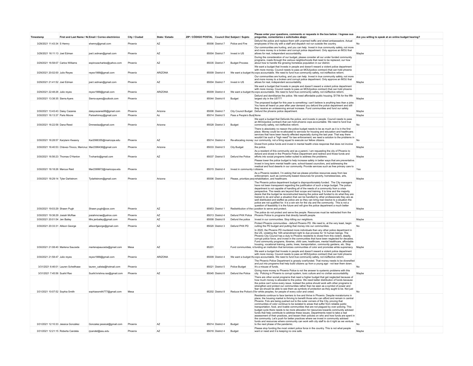| Timestamp                           |                                                                 | First and Last Name / No Email / Correo electrónico | City / Ciudad | State / Estado | ZIP / CÓDIGO POSTAL Council Dist Subject / Sujeto |                  |                                | Please enter your questions, comments or requests in the box below: / Ingrese sus<br>preguntas, comentarios o solicitudes abajo:                                                                                                                                                                                                                                                                                                                                                                                                                                                                                                                                                                                                                                                                                                                                                                                                                                                                                                                                           | Are you willing to speak at an online budget hearing? |  |
|-------------------------------------|-----------------------------------------------------------------|-----------------------------------------------------|---------------|----------------|---------------------------------------------------|------------------|--------------------------------|----------------------------------------------------------------------------------------------------------------------------------------------------------------------------------------------------------------------------------------------------------------------------------------------------------------------------------------------------------------------------------------------------------------------------------------------------------------------------------------------------------------------------------------------------------------------------------------------------------------------------------------------------------------------------------------------------------------------------------------------------------------------------------------------------------------------------------------------------------------------------------------------------------------------------------------------------------------------------------------------------------------------------------------------------------------------------|-------------------------------------------------------|--|
| 3/29/2021 11:43:34 S Hemry          |                                                                 | shemry@gmail.com                                    | Phoenix       | AZ             |                                                   | 85006 District 7 | Police and Fire                | Defund the police and replace them with unarmed traffic and street ambassadors. Actual<br>employees of the city with a staff and dispatch not run outside the country                                                                                                                                                                                                                                                                                                                                                                                                                                                                                                                                                                                                                                                                                                                                                                                                                                                                                                      |                                                       |  |
| 3/29/2021 16:11:13 Joel Edman       |                                                                 | joel.t.edman@gmail.com                              | Phoenix       | AZ             |                                                   | 85004 District 7 | Invest in US                   | Our communities are hurting, and you can help. Invest in true community safety, not more<br>and more money to a broken and corrupt police department. Only approve an MOU that<br>allows for real, independent accountability                                                                                                                                                                                                                                                                                                                                                                                                                                                                                                                                                                                                                                                                                                                                                                                                                                              | Maybe                                                 |  |
|                                     |                                                                 |                                                     |               |                |                                                   |                  |                                | During the consideration of our budget, please consider all our under funded community<br>programs, roads through the various neighborhoods that need to be replaced, our how                                                                                                                                                                                                                                                                                                                                                                                                                                                                                                                                                                                                                                                                                                                                                                                                                                                                                              |                                                       |  |
| 3/29/2021 16:58:07 Carlos Williams  |                                                                 | espinozacharles@yahoo.com                           | Phoenix       | AZ             |                                                   | 85035 District 7 | <b>Budget Process</b>          | about how to handle the growing homeless population in our district.<br>We want a budget that Invests in people and doesn't reward a violent police department                                                                                                                                                                                                                                                                                                                                                                                                                                                                                                                                                                                                                                                                                                                                                                                                                                                                                                             |                                                       |  |
| 3/29/2021 20:02:00 Julio Reyes      |                                                                 | reyex1988@gmail.com                                 | Phoenix       | ARIZONA        |                                                   | 85009 District 4 |                                | with more money. Council needs to pass an MOU(police contract) that can hold phoenix<br>We want a budget thi cops accountable. We need to fund true community safety, not ineffective reform.<br>Our communities are hurting, and you can help. Invest in true community safety, not more                                                                                                                                                                                                                                                                                                                                                                                                                                                                                                                                                                                                                                                                                                                                                                                  |                                                       |  |
| 3/29/2021 21:41:52 Joel Edman       |                                                                 | ioel.t.edman@gmail.com                              | Phoenix       | AZ             |                                                   | 85004 District 7 | Invest in US                   | and more money to a broken and corrupt police department. Only approve an MOU that<br>allows for real, independent accountability                                                                                                                                                                                                                                                                                                                                                                                                                                                                                                                                                                                                                                                                                                                                                                                                                                                                                                                                          | Maybe                                                 |  |
| 3/29/2021 22:48:26 Julio reyes      |                                                                 | reyex1988@gmail.com                                 | Phoenix       | ARIZONA        |                                                   | 85009 District 4 |                                | We want a budget that Invests in people and doesn't reward a violent police department<br>with more money. Council needs to pass an MOU(police contract) that can hold phoenix<br>We want a budget thi cops accountable. We need to fund true community safety, not ineffective reform                                                                                                                                                                                                                                                                                                                                                                                                                                                                                                                                                                                                                                                                                                                                                                                     |                                                       |  |
| 3/30/2021 13:38:35 Sierra Ayers     |                                                                 | Sierra-ayers@outlook.com                            | Phoenix       |                |                                                   | 85044 District 6 | Budget                         | Defund and demilitarize the police. We need affordable public housing. \$174k for the fifth<br>largest city in the US???                                                                                                                                                                                                                                                                                                                                                                                                                                                                                                                                                                                                                                                                                                                                                                                                                                                                                                                                                   | Maybe                                                 |  |
|                                     |                                                                 |                                                     |               |                |                                                   |                  |                                | The proposed budget for this year is something i can't believe is anything less than a joke<br>You have all heard us year after year demand you defund the police department and still<br>they receive an undeserving annual increase. Fund communities and fund our safety.                                                                                                                                                                                                                                                                                                                                                                                                                                                                                                                                                                                                                                                                                                                                                                                               |                                                       |  |
| 3/30/2021 13:43:43 Daisy Cazares    |                                                                 | daisycazares99@gmail.com                            | Phoenix       | Arizona        |                                                   | 85006 District 7 |                                | City Council Budget Defund the phoenix police department.                                                                                                                                                                                                                                                                                                                                                                                                                                                                                                                                                                                                                                                                                                                                                                                                                                                                                                                                                                                                                  | Maybe                                                 |  |
| 3/30/2021 16:13:37 Paris Moore      |                                                                 | Pariswhimsv@gmail.com                               | Phoenix       | Az             |                                                   | 85014 District 5 | Pass a People's Bud None       | We want a budget that Defunds the police, and invests in people. Council needs to pass                                                                                                                                                                                                                                                                                                                                                                                                                                                                                                                                                                                                                                                                                                                                                                                                                                                                                                                                                                                     | Maybe                                                 |  |
| 3/30/2021 16:22:58 Dana Reed        |                                                                 | Dmreedaz@gmail.com                                  | Phoenix       | Arizona        |                                                   | 85028 District 3 | Budget                         | an MOU(police contract) that can hold phoenix cops accountable. We need to fund true<br>community safety, not ineffective reform.                                                                                                                                                                                                                                                                                                                                                                                                                                                                                                                                                                                                                                                                                                                                                                                                                                                                                                                                          | No                                                    |  |
|                                     |                                                                 |                                                     |               |                |                                                   |                  |                                | There is absolutely no reason the police budget needs to be as much as it is in the first<br>place. Money could be re-allocated to services for housing and education and healthcare:<br>services that have been heavily effected especially during the last year. That way there<br>wouldn't be such a "high need" for law enforcement; we need a solution to the problems in                                                                                                                                                                                                                                                                                                                                                                                                                                                                                                                                                                                                                                                                                             | No                                                    |  |
| 3/30/2021 16:28:57 Karylann Kwasny  |                                                                 | Kar2066355@maricopa.edu                             | Phoenix       | AZ             |                                                   | 85014 District 4 |                                | Re-allocating money our community, not a firing squad to execute our fellow citizens.<br>Divest from police funds and invest in mental health crisis response that does not involve                                                                                                                                                                                                                                                                                                                                                                                                                                                                                                                                                                                                                                                                                                                                                                                                                                                                                        |                                                       |  |
|                                     | 3/30/2021 16:40:53 Chávez-Tinoco, Maricruz Mar2396436@gmail.com |                                                     | Phoenix       | Arizona        |                                                   | 85033 District 5 | <b>City Budget</b>             | the police<br>As a resident of this community and as a parent, I am requesting the city of Phoenix to                                                                                                                                                                                                                                                                                                                                                                                                                                                                                                                                                                                                                                                                                                                                                                                                                                                                                                                                                                      | Maybe                                                 |  |
| 3/30/2021 16:56:23 Thomas O'Hanlon  |                                                                 | Tvohanlo@gmail.com                                  | Phoenix       | AZ             |                                                   | 85037 District 5 | Defund the Police              | defund and divest in the Phoenix Police Department and redirect and those funds and<br>efforts into social programs better suited to address the problems.<br>Please lower the police budget to help increase safety in better ways that are preventative.                                                                                                                                                                                                                                                                                                                                                                                                                                                                                                                                                                                                                                                                                                                                                                                                                 | Maybe                                                 |  |
| 3/30/2021 18:18:26 Marcus Reid      |                                                                 | Mar2399972@maricopa.edu                             | Phoenix       |                |                                                   | 85015 District 4 | Invest in community r citizens | Invest in long term mental health care, school-based councilors, and addressing the<br>medical and food deserts in our community. Provide services such as free primary care to                                                                                                                                                                                                                                                                                                                                                                                                                                                                                                                                                                                                                                                                                                                                                                                                                                                                                            | Yes                                                   |  |
| 3/30/2021 18:29:14 Tyler Dahlstrom  |                                                                 | Tydahlstrom@gmail.com                               | Phoenix       | Arizona        |                                                   | 85006 District 4 |                                | As a Phoenix resident, I'm asking that we please prioritize resources away from law<br>enforcement, such as community-based resources for poverty, homelessness, arts,<br>Please, prioritize peo rehabilitation, and healthcare.                                                                                                                                                                                                                                                                                                                                                                                                                                                                                                                                                                                                                                                                                                                                                                                                                                           | Maybe                                                 |  |
| 3/30/2021 19:03:29 Shawn Pugh       |                                                                 | Shawn.pugh@cox.com                                  | Phoenix       | AZ             |                                                   | 85953 District 1 |                                | The Phoenix police department budget is disproportionately funded. The City managers<br>have not been transparent regarding the justification of such a large budget. The police<br>department is not capable of handling all of the needs of a community from a crisis<br>perspective. The needs are beyond their scope and training. It is time and the majority<br>desire that the budget be reconstructed leaving the police well funded to do what they are<br>trained to do and when a situation that can be handled by other professionals they are as<br>well distributed and staffed as police are so they can bring real resolve to a situation the<br>police are not qualified for. It is a win win for the city and the community. This is not a<br>question of feasibility it is the future and will give the police department a much better<br>Redistribution of the « position to serve and protect.                                                                                                                                                       | Maybe                                                 |  |
| 3/30/2021 19:38:29 Josiah McRae     |                                                                 | josiahmcrae@yahoo.com                               | Phoenix       | AZ             |                                                   | 85013 District 4 | Defund PHX Police              | The police do not protect and serve the people. Resources must be redirected from the<br>Phoenix Police to programs that directly benefit people.                                                                                                                                                                                                                                                                                                                                                                                                                                                                                                                                                                                                                                                                                                                                                                                                                                                                                                                          |                                                       |  |
| 3/30/2021 20:01:54 Jen Bailey       |                                                                 | Mrs.jenbailey@gmail.com                             | Phoenix       | AZ             |                                                   | 85008 District 8 | Defund the police              | Invest in our communities. Stop killing our neighbors.                                                                                                                                                                                                                                                                                                                                                                                                                                                                                                                                                                                                                                                                                                                                                                                                                                                                                                                                                                                                                     | Maybe                                                 |  |
| 3/30/2021 20:33:31 Allison George   |                                                                 | allisonfgeorge@gmail.com                            | Phoenix       | AZ             |                                                   | 85020 District 3 | Defund PHX PD                  | Protect Phoenix communities - defund Phoenix PD. We need to, at the very least, begin<br>cutting the PD budget and putting that money into our communities.                                                                                                                                                                                                                                                                                                                                                                                                                                                                                                                                                                                                                                                                                                                                                                                                                                                                                                                | No                                                    |  |
| 3/30/2021 21:08:40 Marlena Sauceda  |                                                                 | marlenaisauceda@gmail.com                           | Mesa          | AZ             | 85201                                             |                  |                                | In 2020, the Phoenix PD murdered more individuals than any other police department in<br>the US, violating the 14th amendment right to due process for 14 human beings. The<br>Phoenix City Council has a duty to Phoenix residents to divest from this violent, deadly,<br>corrupt police force, and invest in the communities that have been neglected for decades<br>Fund community programs, libraries, child care, healthcare, mental healthcare. affordable<br>housing, vocational training, parks, trees, transportation, community gardens, etc. Stop<br>Fund communities, n funding an institution that terrorizes communities of color and promotes white supremacy.                                                                                                                                                                                                                                                                                                                                                                                             | Maybe                                                 |  |
| 3/30/2021 21:58:47 Julio reyes      |                                                                 | reyex1988@gmail.com                                 | Phoenix       | ARIZONA        |                                                   | 85009 District 4 |                                | We want a budget that Invests in people and doesn't reward a violent police departmen<br>with more money. Council needs to pass an MOU(police contract) that can hold phoenix<br>We want a budget thi cops accountable. We need to fund true community safety, not ineffective reform.                                                                                                                                                                                                                                                                                                                                                                                                                                                                                                                                                                                                                                                                                                                                                                                     |                                                       |  |
|                                     | 3/31/2021 6:46:01 Lauren Schellhase                             | lauren calista@hotmail.com                          | Phoenix       |                |                                                   | 85021 District 5 | Police Budget                  | The Phoenix Police Department is grossly overfunded. That money needs to be diversified<br>and put into programs that help build citizens up from a young age - not tear them down.<br>It's a misuse of funds.                                                                                                                                                                                                                                                                                                                                                                                                                                                                                                                                                                                                                                                                                                                                                                                                                                                             | No                                                    |  |
| 3/31/2021 7:45:56 Sushil Rao        |                                                                 |                                                     | Phoenix       | AZ             |                                                   | 85045 District 6 | Defund the Police              | Giving more money to Phoenix Police is not the answer to systemic problems with this                                                                                                                                                                                                                                                                                                                                                                                                                                                                                                                                                                                                                                                                                                                                                                                                                                                                                                                                                                                       | Maybe                                                 |  |
|                                     |                                                                 | Sushil.krishna.rao@gmail.com                        |               |                |                                                   |                  |                                | city. Policing in Phoenix is corrupt system, toxic culture and no civilian accountability.<br>There are other social programs that need a higher budget that get neglected because of                                                                                                                                                                                                                                                                                                                                                                                                                                                                                                                                                                                                                                                                                                                                                                                                                                                                                      |                                                       |  |
| 3/31/2021 10:07:52 Sophia Smith     |                                                                 | sophiaxsmith777@gmail.com                           | Mesa          |                |                                                   | 85202 District 8 |                                | how much money is allocated to the police. We need better distribution of funds because<br>the police can't solve every issue. Instead the police should work with other programs to<br>strengthen and protect our communities rather than be seen as a symbol of power and<br>fear we should be able to see them as symbols of protection as they aught to be. Not just<br>Reduce the Police's I for white peoples, for people of every color and creed.                                                                                                                                                                                                                                                                                                                                                                                                                                                                                                                                                                                                                  |                                                       |  |
| 3/31/2021 12:10:33 Jessica González |                                                                 | Gonzalez.jessical@gmail.com                         | Phoenix       | A7             |                                                   | 85014 District 4 | Budget                         | Residents continue to face barriers to live and thrive in Phoenix. Despite moratoriums in<br>place, the housing market is thriving to benefit those who can afford and remain in central<br>Phoenix. Folx are being pushed out to the outer corners of the City, proving that<br>communities of color continue to be isolated to areas that suffer from reliable public<br>transportation, food, and livable communities that are not plaqued by over policing. This<br>budget cycle there needs to be more allocation for resources towards community advised<br>funds that help contribute to address these issues. Departments need to take a real<br>assessment of their practices, and lessen their policies on who and how funds are spent in<br>the community. Let's push for better practices where we invest in community advised<br>funds and resources where community can work with city staff to do it right as we venture<br>to the next phase of the pandemic.<br>Please stop funding the most violent police force in the country. This is not what people | No                                                    |  |
| 3/31/2021 12:21:15 Roberta Candela  |                                                                 | rjcandel@asu.edu                                    | Phoenix       | AZ             |                                                   | 85016 District 4 | Budget                         | want or need and it is keeping no one safe.                                                                                                                                                                                                                                                                                                                                                                                                                                                                                                                                                                                                                                                                                                                                                                                                                                                                                                                                                                                                                                | Maybe                                                 |  |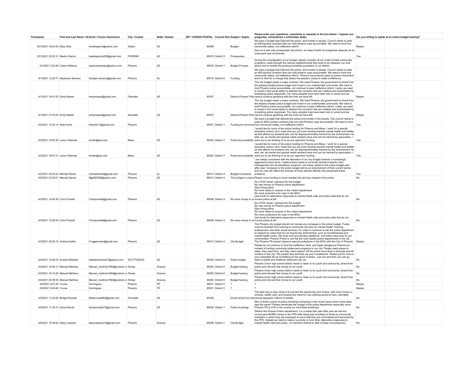| Timestamp                                                          |                                     | First and Last Name / No Email / Correo electrónico | City / Ciudad      | State / Estado | ZIP / CÓDIGO POSTAL Council Dist Subject / Sujeto |                                      |                                            | Please enter your questions, comments or requests in the box below: / Ingrese sus<br>preguntas, comentarios o solicitudes abajo:                                                          | Are you willing to speak at an online budget hearing? |  |
|--------------------------------------------------------------------|-------------------------------------|-----------------------------------------------------|--------------------|----------------|---------------------------------------------------|--------------------------------------|--------------------------------------------|-------------------------------------------------------------------------------------------------------------------------------------------------------------------------------------------|-------------------------------------------------------|--|
|                                                                    |                                     |                                                     |                    |                |                                                   |                                      |                                            | We want a budget that Defunds the police, and invests in people. Council needs to pass                                                                                                    |                                                       |  |
| 3/31/2021 18:24:30 Flisa Olea                                      |                                     | emailingemo@yahoo.com                               | Gilbert            | AZ             | 85298                                             |                                      | Budget                                     | an MOU(police contract) that can hold phoenix cops accountable. We need to fund true<br>community safety, not ineffective reform                                                          | Maybe                                                 |  |
|                                                                    |                                     |                                                     |                    |                |                                                   |                                      |                                            | Que no le den más prosupuesto ala policía. es mejor invertir en programas después de es                                                                                                   |                                                       |  |
| 3/31/2021 20:22:31 Beatriz García                                  |                                     | beatrisgarcia205@gmail.com                          | PHOENIX            | AZ             |                                                   | 85019 District 5                     | Prosupuesto                                | cuela para que los jóvenes.                                                                                                                                                               | Yes                                                   |  |
|                                                                    |                                     |                                                     |                    |                |                                                   |                                      |                                            | During the consideration of our budget, please consider all our under funded community                                                                                                    |                                                       |  |
| 4/1/2021 3:52:38 Carlos Williams                                   |                                     | espinozacharles@vahoo.com                           | Phoenix            | A7             |                                                   | 85035 District 7                     | <b>Budget Process</b>                      | programs, roads through the various neighborhoods that need to be replaced, our how<br>about how to handle the growing homeless population in our district.                               |                                                       |  |
|                                                                    |                                     |                                                     |                    |                |                                                   |                                      |                                            | We want a budget that Defunds the police, and invests in people. Council needs to pass                                                                                                    |                                                       |  |
|                                                                    |                                     |                                                     |                    |                |                                                   |                                      |                                            | an MOU(police contract) that can hold phoenix cops accountable. We need to fund true<br>community safety, not ineffective reform. Phoenix has endured years of police misconduct          |                                                       |  |
|                                                                    | 4/1/2021 12:29:11 Stephanie Serrano | Sssteph.serrano@gmail.com                           | Phoenix            | Az             |                                                   | 85016 District 6                     | Funding                                    | and it is time for a change that allows the people's voices to make a difference.                                                                                                         |                                                       |  |
|                                                                    |                                     |                                                     |                    |                |                                                   |                                      |                                            | The city budget needs a major overhaul. We need Phoenix city government to divest from<br>the already bloated police budget and invest in our underfunded community. We need to           |                                                       |  |
|                                                                    |                                     |                                                     |                    |                |                                                   |                                      |                                            | hold Phoenix police accountable, not continue to pass ineffective reform. Lastly, we need                                                                                                 |                                                       |  |
|                                                                    |                                     |                                                     |                    |                |                                                   |                                      |                                            | to invest in the social safety to address the concerns that are masked and exacerbated by<br>brutalizing police responses. Too many peoples lives have been lost or ruined and we         |                                                       |  |
| 4/1/2021 16:41:55 Emily Masek                                      |                                     | emilymasek@gmail.com                                | Glendale           | A7             | 85307                                             |                                      |                                            | Defund Phoenix Polic cannot continue gambling with the lives we have left.                                                                                                                | Maybe                                                 |  |
|                                                                    |                                     |                                                     |                    |                |                                                   |                                      |                                            | The city budget needs a major overhaul. We need Phoenix city government to divest from<br>the already bloated police budget and invest in our underfunded community. We need to           |                                                       |  |
|                                                                    |                                     |                                                     |                    |                |                                                   |                                      |                                            | hold Phoenix police accountable, not continue to pass ineffective reform. Lastly, we need                                                                                                 |                                                       |  |
|                                                                    |                                     |                                                     |                    |                |                                                   |                                      |                                            | to invest in the social safety to address the concerns that are masked and exacerbated by<br>brutalizing police responses. Too many peoples lives have been lost or ruined and we         |                                                       |  |
| 4/1/2021 21:03:54 Emily Masek                                      |                                     | emilymasek@gmail.com                                | Glendale           | AZ             | 85307                                             |                                      |                                            | Defund Phoenix Polic cannot continue gambling with the lives we have left.                                                                                                                | Maybe                                                 |  |
|                                                                    |                                     |                                                     |                    |                |                                                   |                                      |                                            | We want a budget that defunds the police and invests in the people. City council needs to<br>pass an MOU (police contract) that can hold Phoenix cops accountable. We need to fund        |                                                       |  |
| 4/2/2021 12:30:14 Kelly Kwok                                       |                                     | Kkwok417@gmail.com                                  | Phoenix            |                |                                                   | 85051 District 1                     |                                            | Funding for communi true community safety, not ineffective reform.                                                                                                                        | Yes                                                   |  |
|                                                                    |                                     |                                                     |                    |                |                                                   |                                      |                                            | I would like for more of the police funding for Phoenix and Mesa. I work for a special<br>education school, and I hope that you put more funding towards mental health and shelter,       |                                                       |  |
|                                                                    |                                     |                                                     |                    |                |                                                   |                                      |                                            | as that affects my students who can be disproportionately harmed by law enforcement. As                                                                                                   |                                                       |  |
| 4/2/2021 18:00:36 Lance Villarreal                                 |                                     | levillar@asu.edu                                    | Mesa               | AZ             |                                                   | 85202 District 7                     |                                            | well, we, as mental and special needs workers have and can be harmed by association. I<br>Police Accountability want you to be thinking of us as you apportion funding.                   | Yes                                                   |  |
|                                                                    |                                     |                                                     |                    |                |                                                   |                                      |                                            | I would like for more of the police funding for Phoenix and Mesa. I work for a special                                                                                                    |                                                       |  |
|                                                                    |                                     |                                                     |                    |                |                                                   |                                      |                                            | education school, and I hope that you put more funding towards mental health and shelter,<br>as that affects my students who can be disproportionately harmed by law enforcement. As      |                                                       |  |
|                                                                    |                                     |                                                     |                    |                |                                                   |                                      |                                            | well, we, as mental and special needs workers have and can be harmed by association. I                                                                                                    |                                                       |  |
| 4/2/2021 18:07:31 Lance Villarreal                                 |                                     | levillar@asu.edu                                    | Mesa               | A7             |                                                   | 85202 District 7                     |                                            | Police Accountability want you to be thinking of us as you apportion funding.                                                                                                             | Yes                                                   |  |
|                                                                    |                                     |                                                     |                    |                |                                                   |                                      |                                            | I am deeply concerned with the allocation of our city budget towards a increasingly<br>aggressive police force. I believe there needs to be funds directed towards crisis                 |                                                       |  |
|                                                                    |                                     |                                                     |                    |                |                                                   |                                      |                                            | management and de-escalatory programs, not simply added to the police budget year<br>after year. Increases to the police budget will be an endorsement of their current tactics           |                                                       |  |
|                                                                    |                                     |                                                     |                    |                |                                                   |                                      |                                            | and my vote will reflect the choices of those elected officials that perpetuate these                                                                                                     |                                                       |  |
| 4/2/2021 20:22:02 Michael Ranta<br>4/2/2021 22:30:01 Manuel Garcia |                                     | michaeltranta@gmail.com<br>Mjg292008@yahoo.com      | Phoenix<br>Phoenix | az<br>AZ       |                                                   | 85013 District 4<br>85014 District 4 | Budget Comments problems.                  | This budget is unacci Please move funding to much needed city services instead of the police                                                                                              | Yes<br>No                                             |  |
|                                                                    |                                     |                                                     |                    |                |                                                   |                                      |                                            | As a PHX citizen I demand for the budget:                                                                                                                                                 |                                                       |  |
|                                                                    |                                     |                                                     |                    |                |                                                   |                                      |                                            | No new money to Phoenix police department                                                                                                                                                 |                                                       |  |
|                                                                    |                                     |                                                     |                    |                |                                                   |                                      |                                            | Stop hiring police<br>No more raises to anyone in this violent department.                                                                                                                |                                                       |  |
|                                                                    |                                     |                                                     |                    |                |                                                   |                                      |                                            | No more protections for cops in the MOU<br>Use funds for alternative responses to mental Heath calls and police calls that do not                                                         |                                                       |  |
| 4/3/2021 14:45:39 Corin Puckett                                    |                                     | Corinpuckett@gmail.com                              | Phoenix            | AZ             |                                                   | 85006 District 4                     | No more money to cc involve police at all! |                                                                                                                                                                                           | No                                                    |  |
|                                                                    |                                     |                                                     |                    |                |                                                   |                                      |                                            | As a PHX citizen I demand for the budget:<br>No new money to Phoenix police department                                                                                                    |                                                       |  |
|                                                                    |                                     |                                                     |                    |                |                                                   |                                      |                                            | Stop hiring police                                                                                                                                                                        |                                                       |  |
|                                                                    |                                     |                                                     |                    |                |                                                   |                                      |                                            | No more raises to anyone in this violent department.<br>No more protections for cops in the MOU                                                                                           |                                                       |  |
| 4/3/2021 15:28:45 Corin Puckett                                    |                                     |                                                     | Phoenix            | A7             |                                                   | 85006 District 4                     |                                            | Use funds for alternative responses to mental Heath calls and police calls that do not                                                                                                    | No                                                    |  |
|                                                                    |                                     | Corinpuckett@gmail.com                              |                    |                |                                                   |                                      | No more money to cc involve police at all! | The Phoenix city budget should not include any increases in the police budget. Funds                                                                                                      |                                                       |  |
|                                                                    |                                     |                                                     |                    |                |                                                   |                                      |                                            | must be diverted from policing to community services for mental health, housing.<br>employment, and other social services. It's unfair to continue to ask the police department           |                                                       |  |
|                                                                    |                                     |                                                     |                    |                |                                                   |                                      |                                            | to respond to crises that do not require law enforcement, such as homelessness and                                                                                                        |                                                       |  |
|                                                                    |                                     |                                                     |                    |                |                                                   |                                      |                                            | mental health crises. We must fund and develop additional nonviolent resources for our<br>communities. Phoenix Police is one the the most deadly police departments in the US.            |                                                       |  |
| 4/3/2021 20:56:16 Andrea Golfen                                    |                                     | Froggermario@gmail.com                              | Phoenix            | AZ             |                                                   | 85013 District 4                     | <b>City Budget</b>                         | The Phoenix PD doesn't deserve special protections in the MOU with the City of Phoenix. Maybe                                                                                             |                                                       |  |
|                                                                    |                                     |                                                     |                    |                |                                                   |                                      |                                            | Please do not continue to fund the ineffective, feral, and highly dangerous Phoenix pd<br>instead of funding community betterment programs in our city. People need places to             |                                                       |  |
|                                                                    |                                     |                                                     |                    |                |                                                   |                                      |                                            | sleep, they need food, and they need support. All the police have done is terrorize and kill                                                                                              |                                                       |  |
|                                                                    |                                     |                                                     |                    |                |                                                   |                                      |                                            | civilians in this city. The people they terrorize are your constituents. Please just for once in<br>your miserable life do something for the good of others. Just one and then you can go |                                                       |  |
| 4/4/2021 10:26:23 Andrew Webster                                   |                                     | websterandrew27@yahoo.com SCOTTSDALE                |                    | AZ             |                                                   | 85254 District 8                     | Police budget                              | back to bribes and whatever backroom you do                                                                                                                                               | No                                                    |  |
| 4/4/2021 16:58:13 Manuel Martinez                                  |                                     | Manuel_martinez1994@outlook.cc Tempe                |                    | Arizona        |                                                   | 85283 District 6                     | <b>Budget hearing</b>                      | Phoenix Union high school district needs to listen to its youth and community, divest from<br>police and reinvest that money to our youth.                                                | No                                                    |  |
|                                                                    |                                     |                                                     |                    |                |                                                   |                                      |                                            | Phoenix Union high school district needs to listen to its youth and community, divest from                                                                                                |                                                       |  |
| 4/4/2021 18:14:26 Manuel Martinez                                  |                                     | Manuel martinez1994@outlook.cc Tempe                |                    | Arizona        |                                                   | 85283 District 6                     | Budget hearing                             | police and reinvest that money to our youth.                                                                                                                                              | No                                                    |  |
| 4/4/2021 20:39:38 Manuel Martinez                                  |                                     | Manuel martinez1994@outlook.cc Tempe                |                    | Arizona        |                                                   | 85283 District 6                     | Budget hearing                             | Phoenix Union high school district needs to listen to its youth and community, divest from<br>police and reinvest that money to our youth.                                                | No                                                    |  |
| 4/5/2021 9:21:29 Yuvixa                                            |                                     | Dominguez                                           | Phoenix            | AZ             |                                                   | 85031 District 5                     | $\overline{2}$                             |                                                                                                                                                                                           | Maybe                                                 |  |
| 4/5/2021 9:46:40 Yuvixa                                            |                                     | Dominguez                                           | Phoenix            | AZ             |                                                   | 85031 District 5                     | $\overline{2}$                             |                                                                                                                                                                                           | Maybe                                                 |  |
|                                                                    |                                     |                                                     |                    |                |                                                   |                                      |                                            | The best way to stop crime is to prevent the opportunity and motive- with more money in                                                                                                   |                                                       |  |
| 4/5/2021 11:24:50 Bridget Russell                                  |                                     | 8bitbcrussell94@gmail.com                           | Avondale           | AZ             | 85392                                             |                                      |                                            | schools, health care, and housing the need for over policing would be less, ultimately<br>Divest funds from the saving taxpayers millions of dollars.                                     | No                                                    |  |
|                                                                    |                                     |                                                     |                    |                |                                                   |                                      |                                            | Why is there a trend of police shootings increasing in the recent years when crime rates                                                                                                  |                                                       |  |
| 4/5/2021 11:34:15 Sylvia Murillo                                   |                                     | Sylviamurillo37@gmail.com                           | Phoenix            | AZ             |                                                   | 85009 District 1                     | Police shootings                           | stay the same? Please reevaluate the budget of the police department especially since<br>Phoenix PD is 27th in the country for most fatal shootings!                                      | No                                                    |  |
|                                                                    |                                     |                                                     |                    |                |                                                   |                                      |                                            | Defund the Phoenix Police department. it is a waste that year after year we see the                                                                                                       |                                                       |  |
|                                                                    |                                     |                                                     |                    |                |                                                   |                                      |                                            | council give MORE money to the PPD after being told countless of times by community<br>members in which they are supposed to serve that they are criminalized and terrorized by           |                                                       |  |
| 4/5/2021 15:49:04 Daisy Cazares                                    |                                     | daisycazares14@gmail.com                            | Phoenix            | Arizona        |                                                   | 85006 District 7                     | <b>City Budget</b>                         | the PPD. Instead we need to make it a priority to fund other alternative responses to<br>mental health calls and police, to members trained to deal w these circumstances.                | No                                                    |  |
|                                                                    |                                     |                                                     |                    |                |                                                   |                                      |                                            |                                                                                                                                                                                           |                                                       |  |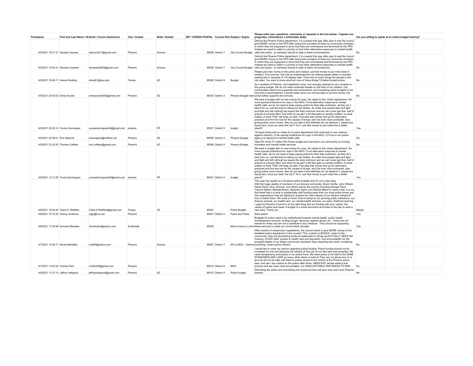| Timestamp                        |                                      | First and Last Name / No Email / Correo electrónico | City / Ciudad | State / Estado | ZIP / CÓDIGO POSTAL Council Dist Subject / Sujeto |                  |                  | Please enter your questions, comments or requests in the box below: / Ingrese sus<br>preguntas, comentarios o solicitudes abajo:                                                                                                                                                                                                                                                                                                                                                                                                                                                                                                                                                                                                                                                                                                                                                                                                                                         | Are you willing to speak at an online budget hearing? |  |
|----------------------------------|--------------------------------------|-----------------------------------------------------|---------------|----------------|---------------------------------------------------|------------------|------------------|--------------------------------------------------------------------------------------------------------------------------------------------------------------------------------------------------------------------------------------------------------------------------------------------------------------------------------------------------------------------------------------------------------------------------------------------------------------------------------------------------------------------------------------------------------------------------------------------------------------------------------------------------------------------------------------------------------------------------------------------------------------------------------------------------------------------------------------------------------------------------------------------------------------------------------------------------------------------------|-------------------------------------------------------|--|
|                                  | 4/5/2021 15:51:47 Daniela Cazares    | daniczrs517@gmail.com                               | Phoenix       | Arizona        |                                                   | 85006 District 7 |                  | Defund the Phoenix Police department. it is a waste that year after year to see the council<br>give MORE money to the PPD after being told countless of times by community members<br>in which they are supposed to serve that they are criminalized and terrorized by the PPD.<br>Instead we need to make it a priority to fund other alternative responses to mental health<br>City Council Budget calls and police, to members trained to deal w these circumstances.                                                                                                                                                                                                                                                                                                                                                                                                                                                                                                 | No                                                    |  |
|                                  | 4/5/2021 15:54:31 Denisse Cazares    | denisse42903@gmail.com                              | Phoenix       | Arizona        |                                                   | 85006 District 7 |                  | Defund the Phoenix Police department. it is a waste that year after year to see the council<br>give MORE money to the PPD after being told countless of times by community members<br>in which they are supposed to serve that they are criminalized and terrorized by the PPD.<br>Instead we need to make it a priority to fund other alternative responses to mental health<br>City Council Budget calls and police, to members trained to deal w these circumstances.                                                                                                                                                                                                                                                                                                                                                                                                                                                                                                 | No                                                    |  |
|                                  | 4/5/2021 16:48:17 Ariane Redding     | afreddi1@asu.edu                                    | Tempe         | AZ             |                                                   | 85282 District 8 | Budget           | Please give less money to the police and instead, use that money to put more beds in<br>shelters. This summer, don't be an embarrassment by making people sleep in concrete<br>parking lots in upwards of 110 degree heat. There are so many things the people in this<br>city need. You want to know what isn't one of those things? A better-funded police.                                                                                                                                                                                                                                                                                                                                                                                                                                                                                                                                                                                                            | No                                                    |  |
| 4/5/2021 20:42:03 Emily Snyder   |                                      | emilysnyder525@gmail.com                            | Phoenix       | AZ             |                                                   | 85020 District 3 |                  | As a resident of Phoenix, and registered nurse I am strongly opposed to any increase in<br>the police budget. We do not need continued threats on the lives of our citizens. Our<br>communities need to be supported and empowered, and increasing police budgets is not<br>how that is accomplished. It would better serve our communities to put this money into<br>Phoenix Budget hear social safety supports and schools.                                                                                                                                                                                                                                                                                                                                                                                                                                                                                                                                            | No                                                    |  |
|                                  | 4/5/2021 22:06:14 Yuvixa Dominguez   | yuvixadominguez04@gmail.com phoenix                 |               | AZ             |                                                   | 85031 District 5 | budget           | We want a budget with no new money for cops. No raises to this violent department. No<br>more special protections for cops in the MOU. Fund alternative response to mental<br>health calls. we do not need to keep paying police for their fake protection. all they do it<br>take from us- just like they're taking our tax dollars, its unfair how people fight and fight<br>and fight and still nothing! we expect the bare minimum and we can't even get that. half of<br>arizona is minority filled, and what do we get? a bill that gets us racially profiled- so what<br>makes us think THAT will keep us safe, if we take that money and go for alternative<br>practices and find the root for the causes of things- we'd be even more protected. stop<br>giving police more money- they do not need it and definitely do not deserve it. people are<br>dying here, have you seen the city?? fix it- use that money to just make this a better<br>place!!!       | Yes                                                   |  |
| 4/5/2021 22:29:21 Eva Valencia   |                                      | evanospam@coffeen.net                               | Phoenix       | AZ             |                                                   | 85006 District 4 | Phoenix Budget   | 1) Freeze hiring and no raises for a police department that continues to use violence<br>against citizenry. 2) No special protections for cops in the MOU. 3) Fund a non-police<br>agency to respond to mental health calls.                                                                                                                                                                                                                                                                                                                                                                                                                                                                                                                                                                                                                                                                                                                                             | No                                                    |  |
|                                  | 4/5/2021 22:32:50 Thomas Coffeen     | tom.coffeen@gmail.com                               | Phoenix       | AZ             |                                                   | 85006 District 4 | Phoenix Budget   | Take 5% of the 37 million Phx Police budget and reinvest in our community by funding<br>homeless and mental health services.                                                                                                                                                                                                                                                                                                                                                                                                                                                                                                                                                                                                                                                                                                                                                                                                                                             | No                                                    |  |
|                                  | 4/6/2021 12:11:25 Yuvixa Dominguez   | yuvixadominguez04@gmail.com phoenix                 |               | AZ             |                                                   | 85031 District 5 | budget           | We want a budget with no new money for cops. No raises to this violent department. No<br>more special protections for cops in the MOU. Fund alternative response to mental<br>health calls, we do not need to keep paying police for their fake protection, all they do it<br>take from us- just like they're taking our tax dollars. its unfair how people fight and fight<br>and fight and still nothing! we expect the bare minimum and we can't even get that. half of<br>arizona is minority filled, and what do we get? a bill that gets us racially profiled- so what<br>makes us think THAT will keep us safe, if we take that money and go for alternative<br>practices and find the root for the causes of things- we'd be even more protected, stop<br>giving police more money- they do not need it and definitely do not deserve it, people are<br>dying here, have you seen the city?? fix it- use that money to just make this a better<br>place!!!       | Yes                                                   |  |
|                                  | 4/6/2021 14:54:45 Claire K. Redfield | Claire.K.Redfield@gmail.com                         | Tempe         | AZ             | 85281                                             |                  | Police Budget    | This year has taught us a lot about police brutality and it's not a new story.<br>With the tragic deaths of members of our Arizona community: Ekom Udofia, John William<br>Hardy Davis, Dion Johnson, and others across the country including George Floyd,<br>Trayvon Martin, Michael Brown, Breonna Taylor, and Sandra Bland to name a few. It is my<br>firm belief that it is time to substantially shift funding away from our local police forces and<br>into organizations that are fighting to support the vast majority of our citizens instead of<br>hurt or detain them. We need so much more funding for our growing public institutions: our<br>Arizona schools, our health care, our mental health services, our early childhood learning.<br>I urge the Phoenix Council to do the right thing and put funding with your values, the<br>values of justice and repair. A budget is a moral document and today is the day to write a<br>new story. Thank you. | Maybe                                                 |  |
|                                  | 4/6/2021 15:16:35 Aubrey Gutierrez   | Jagz@cox.net                                        | Phoenix       |                |                                                   | 85021 District 5 | Parks and Police | More parks!                                                                                                                                                                                                                                                                                                                                                                                                                                                                                                                                                                                                                                                                                                                                                                                                                                                                                                                                                              | Yes                                                   |  |
|                                  | 4/6/2021 17:54:48 Sumana Mandala     | Sumanator@yahoo.com                                 | Scottsdale    |                | 85250                                             |                  |                  | Budgets for police need to be redistributed towards mental health, public health,<br>homelessness services, ending hunger, advocacy against abuse, etc. Police are not<br>trained for these and are not a substitute in any measure. They should be supporting<br>Move money to comr these services to make our communities stronger.                                                                                                                                                                                                                                                                                                                                                                                                                                                                                                                                                                                                                                    | Yes                                                   |  |
|                                  | 4/7/2021 10:38:11 Nicole Mehaffey    | nic845@yahoo.com                                    | Phoenix       | Arizona        |                                                   | 85007 District 7 |                  | After months of closed-door negotiations, the council wants to give MORE money to the<br>deadliest police department in the country? This contract is BOGUS. Listen to the<br>community: they are demanding funds be reallocated to things we ACTUALLY NEED like<br>housing. COVID relief, access to health care and education, and accountability for the<br>wrongful deaths of our fellow community members! Stop rewarding the racist, murdering,<br>NO to MOU - Defund scheming, violent police officers!                                                                                                                                                                                                                                                                                                                                                                                                                                                            | No                                                    |  |
| 4/7/2021 13:02:26 Victoria Fitch |                                      | vmfitch95@gmail.com                                 | Phoenix       |                |                                                   | 85014 District 8 | <b>MUO</b>       | I would like to voice my opinion regarding police funding. Police funding should not be<br>increased by one cent because the citizens of this city do not feel safe and protected. We<br>need transparency and justice in our police force. We need police to be held to the SAME<br>STANDARDS AND LAWS as every other citizen is held to! They are not above any of us<br>and we will not be safe until there is justice served to the victims of the Phoenix police<br>dept. and yes I say victims bc the police often times INNOCENT people without due<br>process and are never held accountable. It is UNACCEPTABLE AND NEEDS TO END                                                                                                                                                                                                                                                                                                                                | No                                                    |  |
|                                  | 4/8/2021 11:27:15 Jeffrey Habgood    | jeffreyhabgood@gmail.com                            | Phoenix       | AZ             |                                                   | 85012 District 4 | Police budget    | Defunding the police and reinvesting into social services will save lives and move Phoenix<br>forward                                                                                                                                                                                                                                                                                                                                                                                                                                                                                                                                                                                                                                                                                                                                                                                                                                                                    | No                                                    |  |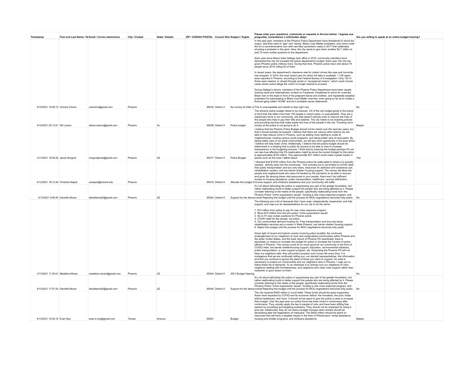| Timestamp                           | First and Last Name / No Email / Correo electrónico | City / Ciudad | State / Estado | ZIP / CÓDIGO POSTAL Council Dist Subject / Sujeto |                  |                                      | Please enter your questions, comments or requests in the box below: / Ingrese sus<br>preguntas, comentarios o solicitudes abajo:                                                                                                                                                                                                                                                                                                                                                                                                                                                                                                                                                                                                                                                                                                                                                                                                                                                                                                                                                                                                                                                                                                                     | Are you willing to speak at an online budget hearing? |  |
|-------------------------------------|-----------------------------------------------------|---------------|----------------|---------------------------------------------------|------------------|--------------------------------------|------------------------------------------------------------------------------------------------------------------------------------------------------------------------------------------------------------------------------------------------------------------------------------------------------------------------------------------------------------------------------------------------------------------------------------------------------------------------------------------------------------------------------------------------------------------------------------------------------------------------------------------------------------------------------------------------------------------------------------------------------------------------------------------------------------------------------------------------------------------------------------------------------------------------------------------------------------------------------------------------------------------------------------------------------------------------------------------------------------------------------------------------------------------------------------------------------------------------------------------------------|-------------------------------------------------------|--|
|                                     |                                                     |               |                |                                                   |                  |                                      | In the past year, members of the Phoenix Police Department have threatened to shoot the<br>mayor, said they want to "gas" and "stomp" Black Lives Matter protesters, and come under<br>fire for a commemorative coin with neo-Nazi symbolism made in 2017 that celebrates<br>shooting a protester in the groin. Now, the city wants to give them another \$3.7 million to<br>add 75 more civilian positions to the department.                                                                                                                                                                                                                                                                                                                                                                                                                                                                                                                                                                                                                                                                                                                                                                                                                       |                                                       |  |
|                                     |                                                     |               |                |                                                   |                  |                                      | Each year since Mayor Kate Gallego took office in 2019, community members have<br>demanded the city not increase the police department's budget. Each year, the city has<br>given Phoenix police millions more. During that time, Phoenix police have shot about 79<br>people since 2018, killing 55 of them.                                                                                                                                                                                                                                                                                                                                                                                                                                                                                                                                                                                                                                                                                                                                                                                                                                                                                                                                        |                                                       |  |
|                                     |                                                     |               |                |                                                   |                  |                                      | In recent years, the department's clearance rate for violent crimes like rape and homicide<br>has dropped. In 2019, the most recent year for which full data is available, 1,139 rapes<br>were reported in Phoenix, according to the Federal Bureau of Investigation. Only 123 of<br>those were cleared, or closed through arrest or "exceptional means," which could include<br>cases where police allege the victim no longer wished to proceed.                                                                                                                                                                                                                                                                                                                                                                                                                                                                                                                                                                                                                                                                                                                                                                                                   |                                                       |  |
|                                     |                                                     |               |                |                                                   |                  |                                      | During Gallego's tenure, members of the Phoenix Police Department have been caught<br>sharing racist and Islamophobic content on Facebook, threatened to shoot an unarmed<br>Black man in the head in front of his pregnant fiance and children, and repeatedly targeted<br>protesters for participating in Black Lives Matter marches, even going so far as to create a<br>fictional gang called "ACAB" and lie in probable cause statements.                                                                                                                                                                                                                                                                                                                                                                                                                                                                                                                                                                                                                                                                                                                                                                                                       |                                                       |  |
| 4/10/2021 16:26:15 Vincent Cimino   | vacimino@gmail.com                                  | Phoenix       |                |                                                   |                  |                                      | 85032 District 2 No money for killer co This is unacceptable and needs to stop right now.                                                                                                                                                                                                                                                                                                                                                                                                                                                                                                                                                                                                                                                                                                                                                                                                                                                                                                                                                                                                                                                                                                                                                            | No                                                    |  |
|                                     |                                                     |               |                |                                                   |                  |                                      | The phoenix police budget needs to be reduced. 3/4 of the city budget going to the police,<br>a force that has killed more than 100 people in recent years, is unacceptable. They are a<br>reactionary force in our community, one that doesn't actively work to improve the lives of<br>the people who help to pay their bills and salaries. The city needs to be enacting policies<br>and providing services that make easier the lives of the people in the city. Throwing more                                                                                                                                                                                                                                                                                                                                                                                                                                                                                                                                                                                                                                                                                                                                                                   |                                                       |  |
| 4/10/2021 20:13:01 Wil Larson       | wilson.larson@gmail.com                             | Phoenix       | Az             |                                                   |                  | 85008 District 8 Police budget       | money at the police is not going to do it.<br>I believe that the Phoenix Police Budget should not be raised over the next two years, but                                                                                                                                                                                                                                                                                                                                                                                                                                                                                                                                                                                                                                                                                                                                                                                                                                                                                                                                                                                                                                                                                                             | Maybe                                                 |  |
| 4/11/2021 16:50:26 Jacob Norgord    | norgordjacob@gmail.com                              | Phoenix       | AZ             |                                                   |                  | 85017 District 5 Police Budget       | that it should actually be lowered. I believe that there are various other actions we can<br>take to help reduce crime in Phoenix, such as adding more lighting to under-lit<br>neighborhoods, funding various youth programs, and taking better care of local parks. By<br>taking better care of our great communities, we will see more opportunity in the area which<br>I believe will help lower crime. Additionally, I believe that the police budget should be<br>determined in a meeting that is public for anyone to be able to view to increase<br>transparency in the budgeting process. I think that by lowering the budget perhaps 5% we<br>can see how effective this 5% reallocation might be since the current budget for the police<br>is approximately \$745 million. This approximate \$37 million could make a great impact in<br>places such as the ones I talked about.                                                                                                                                                                                                                                                                                                                                                         | Yes                                                   |  |
|                                     |                                                     |               |                |                                                   |                  |                                      | I demand that \$15/20 million from the Phoenix police be reallocated to where it is actually<br>needed, directly back into the community. This includes but is not limited to COVID relief,<br>free public transportation and bus only lanes, resources for addiction and substance use,<br>rehabilitation centers, and low barrier shelter/ housing support. The money will allow the<br>people and neighborhoods who were hit hardest by the pandemic to be able to recover<br>and grow. By denying these vital resources to your people, there won't be sufficient                                                                                                                                                                                                                                                                                                                                                                                                                                                                                                                                                                                                                                                                                |                                                       |  |
| 4/12/2021 18:12:49 Christina Napoli | canapoli@eckerd.edu                                 | Pheonix       |                |                                                   | 85018 District 8 |                                      | access to housing assistance, public transportation, healthcare, vaccine distribution,<br>Allocate the budget fr income support, and childcare assistance and your community will suffer                                                                                                                                                                                                                                                                                                                                                                                                                                                                                                                                                                                                                                                                                                                                                                                                                                                                                                                                                                                                                                                             |                                                       |  |
|                                     |                                                     |               |                |                                                   |                  |                                      | It's not about defunding the police or suppressing any part of the greater foundation, but<br>rather reallocating funds to better support the people who are being affected by it. Please<br>consider listening to the needs of the people, specifically reallocating funds from the<br>Phoenix Police "crime suppression squad", funding a new crisis response program, and                                                                                                                                                                                                                                                                                                                                                                                                                                                                                                                                                                                                                                                                                                                                                                                                                                                                         |                                                       |  |
| 4/13/2021 9:46:36 Danielle Moran    | daniellemail2@gmail.com                             | Phoenix       | AZ             |                                                   | 85044 District 6 |                                      | Support for the dema overall Rejecting this budget until the process for MOU negotiations becomes fully public. No<br>The following are a list of demands that I have read, independently researched, and fully                                                                                                                                                                                                                                                                                                                                                                                                                                                                                                                                                                                                                                                                                                                                                                                                                                                                                                                                                                                                                                      |                                                       |  |
|                                     |                                                     |               |                |                                                   |                  |                                      | support, and urge you as representatives for our city to do the same<br>1. \$15 million from police to pay for new crisis response program<br>2. Move \$10 million from the phx police "crime suppression squad"<br>3. No to 75 new civilian positions for Phoenix police<br>4. COVID relief for the people, not police<br>5. Our communities demand funding for: Free transportation and bus only lanes,<br>rehabilitation services and a center in West Phoenix, low barrier shelter/ housing support<br>6. Reject this budget until the process for MOU negotiations becomes fully public                                                                                                                                                                                                                                                                                                                                                                                                                                                                                                                                                                                                                                                         |                                                       |  |
|                                     |                                                     |               |                |                                                   |                  |                                      | Given light of recent and historic events involving police brutality, the continued<br>endangerment of our neighbors of color and marginalized communities within Phoenix and<br>the wider United States, and the track record of Phoenix PD specifically, there is<br>absolutely no reason to increase the budget for police or increase the number of police<br>officers in Phoenix. This money could do so much good for our community in the form of<br>COVID relief, low barrier shelter/housing support, education, environmental initiatives,<br>public transportation, a crisis support program, etc. Expanding the Phoenix PD will not<br>keep my neighbors safe, they will protect property over human life every time. It is<br>outrageous that we are continually telling you, our elected representatives, this information<br>and that you continue to ignore the pleas of those you claim to support. Do what is<br>necessary to protect our communities and our neighbors here in Phoenix. I urge you to<br>follow these list of demands. To do otherwise is to actively hurt our neighbors of color,<br>neighbors dealing with homelessness, and neighbors who need crisis support rather than<br>restraints or guns drawn on them. |                                                       |  |
| 4/13/2021 11:50:01 Madeline Moran   | madeline.moran@gmail.com                            | Phoenix       | AZ             |                                                   |                  | 85044 District 6 2021 Budget Hearing |                                                                                                                                                                                                                                                                                                                                                                                                                                                                                                                                                                                                                                                                                                                                                                                                                                                                                                                                                                                                                                                                                                                                                                                                                                                      | No                                                    |  |
| 4/13/2021 17:57:24 Danielle Moran   | daniellemail2@gmail.com                             | Phoenix       | AZ             |                                                   | 85044 District 6 |                                      | It's not about defunding the police or suppressing any part of the greater foundation, but<br>rather reallocating funds to better support the people who are being affected by it. Please<br>consider listening to the needs of the people, specifically reallocating funds from the<br>Phoenix Police "crime suppression squad", funding a new crisis response program, and<br>Support for the dema overall Rejecting this budget until the process for MOU negotiations becomes fully public. No                                                                                                                                                                                                                                                                                                                                                                                                                                                                                                                                                                                                                                                                                                                                                   |                                                       |  |
|                                     |                                                     |               |                |                                                   |                  |                                      | The city received \$400 million in covid relief. These funds should be spent supporting<br>those most impacted by COVID and its economic fallout- the homeless, the poor, those<br>without healthcare, and more. It should not be spent to give the police a raise or increase<br>their budget. Over the past year our police force has been mired in controversy after<br>controversy. They unjustly apply the law to people of color and have been stifling free<br>speech by surveilling and targeting protestors. They should not be rewarded for doing a<br>poor job. Additionally, they do not need a budget increase when arrests should be<br>decreasing after the legalization of marijuana. This \$400 million should be spent on                                                                                                                                                                                                                                                                                                                                                                                                                                                                                                          |                                                       |  |
| 4/13/2021 19:34:16 Evan Nye         | evan.e.nye@gmail.com                                | Tempe         | Arizona        | 85281                                             |                  | Budget                               | resources that will have a tangible impact in the lives of Phoenicians- rental assistance,<br>housing and shelter programs, and childcare assistance.                                                                                                                                                                                                                                                                                                                                                                                                                                                                                                                                                                                                                                                                                                                                                                                                                                                                                                                                                                                                                                                                                                | Maybe                                                 |  |
|                                     |                                                     |               |                |                                                   |                  |                                      |                                                                                                                                                                                                                                                                                                                                                                                                                                                                                                                                                                                                                                                                                                                                                                                                                                                                                                                                                                                                                                                                                                                                                                                                                                                      |                                                       |  |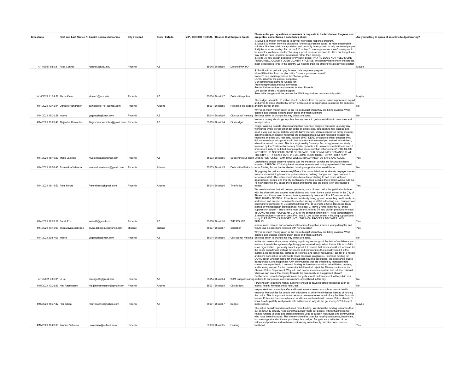| Timestamp                              |                                          | First and Last Name / No Email / Correo electrónico | City / Ciudad | State / Estado | ZIP / CÓDIGO POSTAL Council Dist Subject / Sujeto |                           |                   | Please enter your questions, comments or requests in the box below: / Ingrese sus<br>preguntas, comentarios o solicitudes abajo:                                                                                                                                                                                                                                                                                                                                                                                                                                                                                                                                                                                                                                                                                                                                                                                                                                                                                                                                                                                                                                                                                                     | Are you willing to speak at an online budget hearing? |  |
|----------------------------------------|------------------------------------------|-----------------------------------------------------|---------------|----------------|---------------------------------------------------|---------------------------|-------------------|--------------------------------------------------------------------------------------------------------------------------------------------------------------------------------------------------------------------------------------------------------------------------------------------------------------------------------------------------------------------------------------------------------------------------------------------------------------------------------------------------------------------------------------------------------------------------------------------------------------------------------------------------------------------------------------------------------------------------------------------------------------------------------------------------------------------------------------------------------------------------------------------------------------------------------------------------------------------------------------------------------------------------------------------------------------------------------------------------------------------------------------------------------------------------------------------------------------------------------------|-------------------------------------------------------|--|
|                                        |                                          |                                                     |               |                |                                                   |                           |                   | 1. Move \$15 million from police to pay for new crisis response program.<br>2. Move \$10 million from the phx police "crime suppression squad" to more sustainable<br>solutions like free public transportation and bus only lanes proven to help unhomed people<br>find jobs more accessibly. Part of the \$10 million "crime suppression squad" money could<br>be used for low barrier shelter/ housing support because we need to utilize our budget in a<br>way that will have longer term solutions rather than policing.<br>3. No to 75 new civilian positions for Phoenix police. PHX PD DOES NOT NEED MORE<br>PERSONNEL. QUALITY OVER QUANTITY PLEASE. We already have one of the largest,<br>most lethal police force in the country, we need to train the officers we already have better.                                                                                                                                                                                                                                                                                                                                                                                                                                 |                                                       |  |
| 4/14/2021 8:50:31 Riley Connor         |                                          | rconnor2@asu.edu                                    | Phoenix       | AZ             |                                                   | 85048 District 6          | Defund PHX PD     |                                                                                                                                                                                                                                                                                                                                                                                                                                                                                                                                                                                                                                                                                                                                                                                                                                                                                                                                                                                                                                                                                                                                                                                                                                      | Maybe                                                 |  |
| 4/14/2021 11:24:58 Alexis Kwan         |                                          | akwan1@asu.edu                                      | Phoenix       | A7             |                                                   | 85004 District 7          | Defund the police | \$15 million from police to pay for new crisis response program<br>Move \$10 million from the phx police "crime suppression squad"<br>No to 75 new civilian positions for Phoenix police<br>COVID relief for the people, not police<br>Our communities demand funding for:<br>Free transportation and bus only lanes<br>Rehabilitation services and a center in West Phoenix<br>Low barrier shelter/ housing support<br>Reject this budget until the process for MOU negotiations becomes fully public                                                                                                                                                                                                                                                                                                                                                                                                                                                                                                                                                                                                                                                                                                                               | Maybe                                                 |  |
|                                        |                                          |                                                     |               |                |                                                   |                           |                   | The budget is terrible. 10 million should be taken from the police crime suppression squad                                                                                                                                                                                                                                                                                                                                                                                                                                                                                                                                                                                                                                                                                                                                                                                                                                                                                                                                                                                                                                                                                                                                           |                                                       |  |
| 4/14/2021 13:42:44 Danielle Richardson |                                          | daniellerob1764@gmail.com                           | Phoenix       | Arizona        |                                                   | 85031 District 5          |                   | and given to those affected by covid 19, free public transportation, resources for addiction<br>Rejecting the budget and low barrier shelter                                                                                                                                                                                                                                                                                                                                                                                                                                                                                                                                                                                                                                                                                                                                                                                                                                                                                                                                                                                                                                                                                         | <b>No</b>                                             |  |
|                                        |                                          |                                                     |               |                |                                                   |                           |                   | Why is so much money given to the Police budget when they are killing civilians. What<br>controls and training is being put in place and when will there                                                                                                                                                                                                                                                                                                                                                                                                                                                                                                                                                                                                                                                                                                                                                                                                                                                                                                                                                                                                                                                                             |                                                       |  |
| 4/14/2021 15:20:28 moore               |                                          | yoganusha@msn.com                                   | Phoenix       | AZ             |                                                   | 85014 District 6          |                   | City council meeting Be steps taken to change the way things are done.<br>No more money should go to police. Money needs to go to mental health resources and                                                                                                                                                                                                                                                                                                                                                                                                                                                                                                                                                                                                                                                                                                                                                                                                                                                                                                                                                                                                                                                                        | No                                                    |  |
| 4/14/2021 15:29:49 Alejandra Cervantes |                                          | Alejandrancervantes@gmail.com Phoenix               |               | AZ             |                                                   | 85015 District 4          | City budget       |                                                                                                                                                                                                                                                                                                                                                                                                                                                                                                                                                                                                                                                                                                                                                                                                                                                                                                                                                                                                                                                                                                                                                                                                                                      |                                                       |  |
| 4/14/2021 16:19:27 Maria Valencia      |                                          | mvalenciaa28@gmail.com                              | Phoenix       | AZ             |                                                   | 85033 District 5          |                   | Trigger warning (suicide ideation and police violence): Imagine you wake up every day,<br>wondering when life will either get better or simply stop. You begin to feel trapped and<br>need a way out, so you look for ways to harm yourself, when a concerned family member<br>calls the police. Instead of receiving the compassionate support you need to keep you<br>regulated and help you feel safe, you are SHOT DEAD by a police officer because they<br>did not know how to support you in that moment and assumed you wanted to hurt them.<br>when that wasn't the case. This is a tragic reality for many. According to a recent study<br>released by the Treatment Advocacy Center, "people with untreated mental illness are 16<br>times more likely to be killed during a police encounter than other civilians". POLICE DO<br>NOT KEEP US NOR OUR LOVED ONES SAFE. OUR COMMUNITY DEMANDS THAT<br>THE CITY OF PHOENIX TAKE \$15 MILLION FROM POLICE TO PAY FOR A NEW<br>Supporting our comm CRISIS RESPONSE TEAM THAT WILL ACTUALLY KEEP US SAFE AND ALIVE.                                                                                                                                                             | Yes                                                   |  |
|                                        |                                          |                                                     |               |                |                                                   |                           |                   | Unsheltered people deserve housing just like the rest of us who are fortunate to have<br>housing, ESPECIALLY during harsh weather seasons and during a pandemic! We need                                                                                                                                                                                                                                                                                                                                                                                                                                                                                                                                                                                                                                                                                                                                                                                                                                                                                                                                                                                                                                                             |                                                       |  |
| 4/14/2021 16:58:46 Esmeralda Valencia  |                                          | esmeraldavxlencia@gmail.com                         | Phoenix       | Arizona        |                                                   | 85033 District 5          |                   | Defund the Police to more funding for low barrier shelter/ housing support and we need it now.                                                                                                                                                                                                                                                                                                                                                                                                                                                                                                                                                                                                                                                                                                                                                                                                                                                                                                                                                                                                                                                                                                                                       | N <sub>0</sub>                                        |  |
| 4/14/2021 19:14:53 Paris Moore         |                                          | Pariswhimsy@gmail.com                               | Phoenix       | Arizona        |                                                   | 85014 District 6          | The Police        | Stop giving the police more money! Every time council decides to allocate taxpayer money<br>towards more training to combat police violence, nothing changes and cops continue to<br>terrorize and kill. The entire country has been demonstrating to end police violence<br>against black people and this city continually chooses to make the problem worse. Adding<br>75 new cops will only cause more death and trauma and the blood is on this council's<br>hands                                                                                                                                                                                                                                                                                                                                                                                                                                                                                                                                                                                                                                                                                                                                                               | Yes                                                   |  |
| 4/14/2021 19:29:22 Sarah Ford          |                                          | seford9@gmail.com                                   | Phoenix       | AZ             |                                                   | 85008 District 8          | THE POLICE        | We need solutions that will prevent problems, not a bloated police budget that only deals<br>with the aftermath and causes more violence and harm! I am a social worker in the City of<br>Phoenix and I have seen time and time again exactly how much Phx PD wastes while<br>TRUE HUMAN NEEDS in Phoenix are constantly being ignored when they could easily be<br>addressed and prevent harm (not to mention saving us all \$\$ in the long run). I support our<br>community's demands: 1) Divest \$15mil from PhxPD to create a Crisis Response team<br>staffed by mental health professionals, not cops! 2) Move \$10mil from PhxPD "crime<br>suppression squad" - they are the most violent! 3) No to 75 new civilian positions for cops!<br>4) COVID relief for PEOPLE not COPS 5) We demand funding for 1. Free transportation!<br>2. rehab services + center in West Phx, and 3. Low barrier shelter + housing support! and<br>lastly 6) REJECT THIS BUDGET UNTIL THE MOU PROCESS BECOMES 100%<br>PUBLIC!                                                                                                                                                                                                                    | Yes                                                   |  |
|                                        |                                          |                                                     |               |                |                                                   |                           |                   | please invest more in our schools and less from the police. i have a young daughter and i                                                                                                                                                                                                                                                                                                                                                                                                                                                                                                                                                                                                                                                                                                                                                                                                                                                                                                                                                                                                                                                                                                                                            | Yes                                                   |  |
|                                        | 4/14/2021 19:45:00 alysa zavala-gallegos | alysa-gallegos93@yahoo.com                          | phoenix       | arizona        |                                                   | 85037 District 7          | education         | would love do see more invested with her education<br>Why is so much money given to the Police budget when they are killing civilians. What<br>controls and training is being put in place and when will there                                                                                                                                                                                                                                                                                                                                                                                                                                                                                                                                                                                                                                                                                                                                                                                                                                                                                                                                                                                                                       |                                                       |  |
| 4/14/2021 20:57:09 moore               |                                          | voganusha@msn.com                                   | Phoenix       | A7             |                                                   | 85014 District 6          |                   | City council meeting Be steps taken to change the way things are done.                                                                                                                                                                                                                                                                                                                                                                                                                                                                                                                                                                                                                                                                                                                                                                                                                                                                                                                                                                                                                                                                                                                                                               | N <sub>0</sub>                                        |  |
| 4/15/2021 0:02:01 Di Le                |                                          |                                                     | Phoenix       | AZ             |                                                   | 85014 District 4          |                   | In the past weeks alone, news relating to policing are not good. My lack of confidence and<br>mistrust towards the systems of policing grew tremendously. When I have little to no faith<br>in an organization, I generally do not support it. I request that funds should not increase for<br>the police department, instead for people and communities that actually need it in the<br>current a global pandemic, increase in violence, and lack of resources. I call for \$15 million<br>and more from police to to towards crises response program(s). I demand funding for<br>COVID relief, whether that is for child support, housing assistance, job assistance, public<br>transportation, and support for AAPI communities that are affected by increased hate<br>crimes due to pandemic. I demand funding for free transportation, rehabilitation centers,<br>and housing support for the community. Additionally I reject the 75 new positions at the<br>Phoenix Police Department. Why add and pay for more in a system that is full of mistrust<br>when we can invest that money towards the community as I suggested above?<br>Furthermore, record of negotiations on budgets should be transparent to the public as it | No                                                    |  |
|                                        |                                          | dile.ngo95@gmail.com                                |               |                |                                                   |                           |                   | 2021 Budget Hearing pertains to our people, our infrastructure, or livelihood in this city.<br>PPD shouldn't get more money & money should go towards others resources such as                                                                                                                                                                                                                                                                                                                                                                                                                                                                                                                                                                                                                                                                                                                                                                                                                                                                                                                                                                                                                                                       |                                                       |  |
| 4/15/2021 13:29:27 Neil Rasmussen      |                                          | Neiljohnrasmussen@gmail.com                         | Phoenix       | Arizona        |                                                   | 85031 District 5          | City Budget       | mental health, homelessness relief, ect.                                                                                                                                                                                                                                                                                                                                                                                                                                                                                                                                                                                                                                                                                                                                                                                                                                                                                                                                                                                                                                                                                                                                                                                             | No                                                    |  |
| 4/15/2021 15:37:42 Flor ochoa          |                                          | Flor123ochoa@yahoo.com                              | Phoenix       | Az             |                                                   | 85031 District 7          | Budget            | Help make the community safer and invest in more resources such as mental health<br>resource like facilities for people with addictions or other Health issues instead of funding<br>the police. This is important to me because I've never even heard of any facilities for such<br>issues. Police are the ones who also tend to cause these health issues. Police also don't<br>know how to politely treat people with addictions so why do the get money??? It doesn't<br>make sense.                                                                                                                                                                                                                                                                                                                                                                                                                                                                                                                                                                                                                                                                                                                                             | Maybe                                                 |  |
|                                        |                                          |                                                     |               |                |                                                   |                           |                   | The police department does not need more funding. We should be funding resources that<br>our community actually needs and that actually help our people. I think that Pandemic-<br>related funding to cities and states should be used to support individuals and communities<br>who have been impacted. This money should be used for housing assistance, healthcare,<br>income support and not to support the police budget. Budgets are a reflection of our<br>values and priorities and we have continuously seen the city prioritize cops over our                                                                                                                                                                                                                                                                                                                                                                                                                                                                                                                                                                                                                                                                              |                                                       |  |
| 4/15/2021 16:28:05 Jennifer Valencia   |                                          | j.valenciaa@outlook.com                             | Phoenix       |                |                                                   | 85033 District 5 Policing |                   | livelihood.                                                                                                                                                                                                                                                                                                                                                                                                                                                                                                                                                                                                                                                                                                                                                                                                                                                                                                                                                                                                                                                                                                                                                                                                                          | Yes                                                   |  |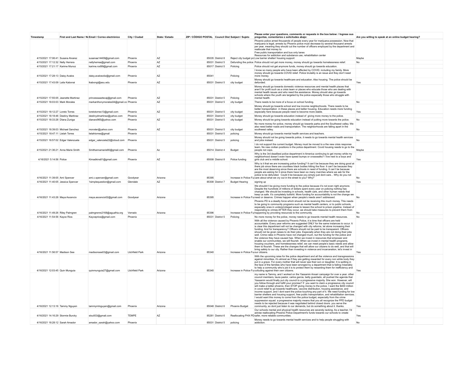| Timestamp                            | First and Last Name / No Email / Correo electrónico | City / Ciudad          | State / Estado | ZIP / CÓDIGO POSTAL Council Dist Subject / Sujeto |                  |                                    | Please enter your questions, comments or requests in the box below: / Ingrese sus<br>preguntas, comentarios o solicitudes abajo:                                                                                                                                                                                                                                                                                                                                                                                                                                                                                                                                                                                                                                                                                                                                                                                                                                                                                                                                                                                                 | Are you willing to speak at an online budget hearing? |  |
|--------------------------------------|-----------------------------------------------------|------------------------|----------------|---------------------------------------------------|------------------|------------------------------------|----------------------------------------------------------------------------------------------------------------------------------------------------------------------------------------------------------------------------------------------------------------------------------------------------------------------------------------------------------------------------------------------------------------------------------------------------------------------------------------------------------------------------------------------------------------------------------------------------------------------------------------------------------------------------------------------------------------------------------------------------------------------------------------------------------------------------------------------------------------------------------------------------------------------------------------------------------------------------------------------------------------------------------------------------------------------------------------------------------------------------------|-------------------------------------------------------|--|
|                                      |                                                     |                        |                |                                                   |                  |                                    | Phoenix police arrest thousands of people every year for marijuana possession. Now that<br>marijuana is legal, arrests by Phoenix police must decrease by several thousand arrests<br>per year, meaning they should cut the number of officers employed by the department and<br>reallocate that money to:<br>Free public transportation and bus only lanes<br>Resources for addiction and substance use, rehabilitation center                                                                                                                                                                                                                                                                                                                                                                                                                                                                                                                                                                                                                                                                                                  |                                                       |  |
| 4/15/2021 17:06:41 Susana Alvarez    | susanaa14409@gmail.com                              | Phoenix                | A7             |                                                   | 85035 District 8 |                                    | Reject city budget pro Low barrier shelter/ housing support                                                                                                                                                                                                                                                                                                                                                                                                                                                                                                                                                                                                                                                                                                                                                                                                                                                                                                                                                                                                                                                                      | Maybe                                                 |  |
| 4/15/2021 17:12:32 Nelly Herrera     | nellyherrea@gmail.com                               | Phoenix                | AZ             |                                                   | 85031 District 5 |                                    | Defunding the police Police should not get more money, money should go towards homelessness relief.                                                                                                                                                                                                                                                                                                                                                                                                                                                                                                                                                                                                                                                                                                                                                                                                                                                                                                                                                                                                                              | No                                                    |  |
| 4/15/2021 17:21:17 Karime Munoz      | karime.rod99@gmail.com                              | Phoenix                | AZ             |                                                   | 85017 District 5 | Policing                           | Police should not get anymore funds, money should go towards education                                                                                                                                                                                                                                                                                                                                                                                                                                                                                                                                                                                                                                                                                                                                                                                                                                                                                                                                                                                                                                                           |                                                       |  |
| 4/15/2021 17:28:13 Daisy Avalos      | daisy.avalosoliz@gmail.com                          | Phoenix                | A7             | 85041                                             |                  | Policing                           | I know so many people who have been affected by COVID, including my family. More<br>money should go towards COVID relief. Police brutality is an issue and they don't need<br>more money                                                                                                                                                                                                                                                                                                                                                                                                                                                                                                                                                                                                                                                                                                                                                                                                                                                                                                                                         |                                                       |  |
|                                      |                                                     |                        |                |                                                   |                  |                                    | Money should go towards healthcare and education. Also housing. The police should be                                                                                                                                                                                                                                                                                                                                                                                                                                                                                                                                                                                                                                                                                                                                                                                                                                                                                                                                                                                                                                             |                                                       |  |
| 4/15/2021 17:43:09   aila Kabonai    | lkabongi@asu.edu                                    | Phoenix                | <b>AZ</b>      |                                                   | 85031 District 5 | city budget                        | defunded<br>Money should go towards domestic violence resources and mental health places that<br>aren't for profit such as a crisis team or places who educate those who are dealing with<br>mental health issues and who need the assistance. Money should also go towards<br>schools where the youth are targeted by the police especially those who struggle with                                                                                                                                                                                                                                                                                                                                                                                                                                                                                                                                                                                                                                                                                                                                                             | Yes                                                   |  |
| 4/15/2021 17:55:05 Jeanette Martinez | princessaaztecaj@gmail.com                          | Phoenix                | A7             |                                                   | 85031 District 5 | Policing                           | mental health                                                                                                                                                                                                                                                                                                                                                                                                                                                                                                                                                                                                                                                                                                                                                                                                                                                                                                                                                                                                                                                                                                                    |                                                       |  |
| 4/15/2021 18:03:03 Mark Morales      | markanthonymorales04@gmail.col Phoenix              |                        | AZ             |                                                   | 85031 District 5 | city budget                        | There needs to be more of a focus on school funding.                                                                                                                                                                                                                                                                                                                                                                                                                                                                                                                                                                                                                                                                                                                                                                                                                                                                                                                                                                                                                                                                             | No                                                    |  |
|                                      |                                                     |                        |                |                                                   |                  |                                    | Money should go towards school and low income neighborhoods. There needs to be                                                                                                                                                                                                                                                                                                                                                                                                                                                                                                                                                                                                                                                                                                                                                                                                                                                                                                                                                                                                                                                   |                                                       |  |
| 4/15/2021 18:12:27   oreto Torres    | loretotorres13@gmail.com                            | Phoenix                | A7             |                                                   | 85031 District 5 | city budget                        | better transportation in these places and better housing. Education needs more funding<br>especially here because people need to become more stable                                                                                                                                                                                                                                                                                                                                                                                                                                                                                                                                                                                                                                                                                                                                                                                                                                                                                                                                                                              | Yes                                                   |  |
| 4/15/2021 18:18:46 Destiny Martinez  | destinydmartinez@yahoo.com                          | Phoenix                |                |                                                   | 85031 District 5 | city budget                        | Money should go towards education instead of giving more money to the police.                                                                                                                                                                                                                                                                                                                                                                                                                                                                                                                                                                                                                                                                                                                                                                                                                                                                                                                                                                                                                                                    |                                                       |  |
| 4/15/2021 18:33:28 Dlana Zuniga      | dianarz965@yahoo.com                                | Phoenix                | AZ             |                                                   | 85031 District 5 | city budget                        | Money should be going towards education instead of putting more towards the police.                                                                                                                                                                                                                                                                                                                                                                                                                                                                                                                                                                                                                                                                                                                                                                                                                                                                                                                                                                                                                                              | No.                                                   |  |
| 4/15/2021 18:39:03 Michael Sanchez   | monxter@vahoo.com                                   | Phoenix                | A7             |                                                   | 85031 District 5 | city budget                        | No more money for police, money should go towards parks and the Southwest valley. We<br>also need better roads and transportation. The neighborhoods are falling apart in the<br>southwest valley.                                                                                                                                                                                                                                                                                                                                                                                                                                                                                                                                                                                                                                                                                                                                                                                                                                                                                                                               | No                                                    |  |
| 4/15/2021 18:47:11 Lielah Torres     | lielahtorres@gmail                                  | Phoenix                |                |                                                   | 85031 District 5 | policing                           | Money should go towards mental health services and teachers                                                                                                                                                                                                                                                                                                                                                                                                                                                                                                                                                                                                                                                                                                                                                                                                                                                                                                                                                                                                                                                                      |                                                       |  |
| 4/15/2021 18:57:02 Edgar Valenzuela  | edgar valenzela22@icloud.com                        | Phoenix                |                |                                                   | 85031 District 5 | policing                           | Money should not be going towards police, it needs to go towards mental health services<br>and jobs instead                                                                                                                                                                                                                                                                                                                                                                                                                                                                                                                                                                                                                                                                                                                                                                                                                                                                                                                                                                                                                      | <b>No</b>                                             |  |
| 4/15/2021 21:36:21 Anna Marie Smith  | Smithannamarie90@gmail.com                          | Phoenix                | Az             |                                                   | 85014 District 4 | Budget                             | I do not support the current budget. Money must be moved to a the new crisis response<br>team. No new civilian positions in the police department. Covid housing needs to go to the<br>people not cops                                                                                                                                                                                                                                                                                                                                                                                                                                                                                                                                                                                                                                                                                                                                                                                                                                                                                                                           | Maybe                                                 |  |
| 4/16/2021 5:14:56 Police             | Kimadkins81@gmail.com                               | Phoenix                | AZ             |                                                   | 85008 District 8 | Police funding                     | Why is the 3rd deadliest police department in America continuing to get money while my<br>neighborhood doesn't even have speed bumps or crosswalks? I live next to a boys and<br>girls club and a middle school.                                                                                                                                                                                                                                                                                                                                                                                                                                                                                                                                                                                                                                                                                                                                                                                                                                                                                                                 | Yes                                                   |  |
| 4/16/2021 11:39:05 Ami Spencer       | ami.c.spencer@gmail.com                             | Goodyear               | Arizona        | 85395                                             |                  |                                    | Why is it that we are increasing police funding? It can't be because they are doing good at<br>there job since there are countless black bodies hitting the floor. It can't be because they<br>are the most deserving since there are schools in need of funding. It can't be because<br>people are asking for it since there have been so many marches where we ask for the<br>police to be defunded. Could it be because you simply just dont care Why do you not<br>Increase in Police Fu care about what we cry out in the street to you? Why?                                                                                                                                                                                                                                                                                                                                                                                                                                                                                                                                                                               | No                                                    |  |
| 4/16/2021 11:40:05 Jessica Spencer   | 1simplequestion@gmail.com                           | Glendale               | AZ             |                                                   | 85308 District 7 | <b>Budget Hearing</b>              | signing up                                                                                                                                                                                                                                                                                                                                                                                                                                                                                                                                                                                                                                                                                                                                                                                                                                                                                                                                                                                                                                                                                                                       | Yes                                                   |  |
| 4/16/2021 11:43:28 Mava Ascencio     | maya.ascencio02@gmail.com                           | Goodyear               | Arizona        | 85395                                             |                  |                                    | We shouldn't be giving more funding to the police because it's not even right anymore.<br>Despite the hundreds of millions of dollars spent every year on policing nothing has<br>changed. We should be investing in schools, health care, and other human needs that<br>keep us safe. It's completely bullshit. More funding for accountability is not the change we<br>Increase in Police Fu need or deserve. Crimes happen when people's needs aren't addressed.                                                                                                                                                                                                                                                                                                                                                                                                                                                                                                                                                                                                                                                              | No                                                    |  |
| 4/16/2021 11:49:26 Riley Palmgren    | palmgrenre2168@aguafria.org                         | Verrado                | Arizona        | 85396                                             |                  |                                    | Phoenix PD is a deadly force which should not be receiving this much money. This needs<br>to be going to community programs such as mental health centers, or to public schools.<br>especially ones in underprivileged areas to lessen the school to prison pipeline. Instead of<br>responding to crimes AFTER they occur, we should take measures to prevent them from<br>Increase in Police Fu happening by providing resources to the community.                                                                                                                                                                                                                                                                                                                                                                                                                                                                                                                                                                                                                                                                              | No                                                    |  |
| 4/16/2021 11:54:56 Kayce Rios        | Kayceprios@gmail.com                                | Phoenix                |                |                                                   | 85031 District 5 | Policing                           | No more money for the police, money needs to go towards mental health resources.                                                                                                                                                                                                                                                                                                                                                                                                                                                                                                                                                                                                                                                                                                                                                                                                                                                                                                                                                                                                                                                 | No                                                    |  |
| 4/16/2021 11:56:57 Madison See       | madisonsee03@gmail.com                              | <b>Litchfield Park</b> | Arizona        | 85340                                             |                  | Increase in Police Fu our citizens | With all the violence caused by Phoenix Police, it is time that officers are held<br>accountable. Every year reforms are suggested ONLY for the same instances to occur. It<br>is clear this department will not be changed with city reforms, let alone increasing their<br>funding. And for transparency? Officers should not be paid to be transparent. Officers<br>should not be given raises to do their jobs. Especially when they are not doing their jobs<br>well. Crime rates in Phoenix have not changed much, but the funding for the police and<br>the violence they have caused has. When we invest in resources that empower and<br>enable our communities, we will flourish. When we invest in mental health programs,<br>housing vouchers, and homelessness relief, we can meet people's basic needs and allow<br>them to flourish. These are the changes that will allow our citizens to do well, and that will<br>bring safety to our city. Rather than investing in violence and incarceration, let's invest in                                                                                               | Yes                                                   |  |
| 4/16/2021 12:03:45 Quin Munguia      | quinmunquia27@gmail.com                             | Litchfield Park        | Arizona        | 85340                                             |                  |                                    | With the upcoming raise for the police department and all the violence and transgressions<br>against minorities, it's almost as if they are getting rewarded for every non white body they<br>put in a grave. For every mother that will never see their son or daughter. It is spitting in<br>the face of the families who have been wronged by a department that is failing miserably<br>to help a community who's job it is to protect them by rewarding them for inefficiency and<br>Increase in Police Fu colluding against their own citizens.                                                                                                                                                                                                                                                                                                                                                                                                                                                                                                                                                                             | Yes                                                   |  |
| 4/16/2021 12:13:16 Tammy Nguyen      | tammymtnguyen@gmail.com                             | Phoenix                | Arizona        |                                                   | 85048 District 6 | Phoenix Budget                     | my name is Tammy, and I worked on the Yassamin Ansari campaign for over a year. other<br>council members, laura pastor, carlos garcia, betty guardado, all pushed the agenda that<br>Yassamin would finally put city council to a progressive majority. She won. However, will<br>you follow through and fulfill your promise? If you want to claim a progressive city council<br>will make a better phoenix, then STOP giving money to the police. I want the \$400 million<br>in covid relief to go towards healthcare, vaccine distribution, housing assistance, and<br>income support, and I dont want the police touching any part of it. We need funding for low<br>barrier shelters and housing support, free public transportation, and rehabilitation services.<br>I would want this money to come from the police budget, especially from the crime<br>suppression squad. a progressive majority means that you all recognize the PPD budget<br>needs to be rejected because it was negotiated behind closed doors. you serve the<br>community, so dont just listen to our demands, but do something about it. thanks. | Yes                                                   |  |
| 4/16/2021 14:16:29 Stormie Burcky    | slou933@gmail.com                                   | TFMPF                  | A7             |                                                   | 85281 District 6 |                                    | Our schools mental and physical health resources are severely lacking. As a teacher, I'd<br>advise reallocating Phoenix Police Department's funds towards our schools to create<br>Reallocating PHX PD safer, more reliable communities.                                                                                                                                                                                                                                                                                                                                                                                                                                                                                                                                                                                                                                                                                                                                                                                                                                                                                         | Yes                                                   |  |
| 4/16/2021 18:28:12 Sarah Amador      | amador sarah@yahoo.com                              | Phoenix                |                |                                                   | 85031 District 5 | policing                           | Money needs to go towards mental health services and to help people struggling with<br>addiction.                                                                                                                                                                                                                                                                                                                                                                                                                                                                                                                                                                                                                                                                                                                                                                                                                                                                                                                                                                                                                                | No                                                    |  |
|                                      |                                                     |                        |                |                                                   |                  |                                    |                                                                                                                                                                                                                                                                                                                                                                                                                                                                                                                                                                                                                                                                                                                                                                                                                                                                                                                                                                                                                                                                                                                                  |                                                       |  |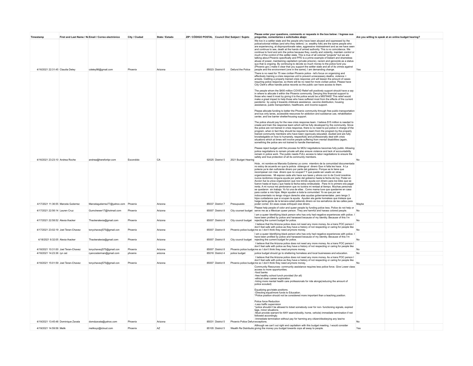| Timestamp                                                           | First and Last Name / No Email / Correo electrónico | City / Ciudad      | State / Estado     | ZIP / CÓDIGO POSTAL Council Dist Subject / Sujeto |                                      |                                      | Please enter your questions, comments or requests in the box below: / Ingrese sus<br>preguntas, comentarios o solicitudes abajo:                                                                                                                                                                                                                                                                                                                                                                                                                                                                                                                                                                                                                                                                                                                                                                                                                                                                                                                                                                                                                                                                                                                                                                                                                                                                                                                                                                                                                                                                                                                                                                                                                                                                                                                                                                                                                                                                                                                                                                                                                                                                                                                                                                                                   | Are you willing to speak at an online budget hearing? |  |
|---------------------------------------------------------------------|-----------------------------------------------------|--------------------|--------------------|---------------------------------------------------|--------------------------------------|--------------------------------------|------------------------------------------------------------------------------------------------------------------------------------------------------------------------------------------------------------------------------------------------------------------------------------------------------------------------------------------------------------------------------------------------------------------------------------------------------------------------------------------------------------------------------------------------------------------------------------------------------------------------------------------------------------------------------------------------------------------------------------------------------------------------------------------------------------------------------------------------------------------------------------------------------------------------------------------------------------------------------------------------------------------------------------------------------------------------------------------------------------------------------------------------------------------------------------------------------------------------------------------------------------------------------------------------------------------------------------------------------------------------------------------------------------------------------------------------------------------------------------------------------------------------------------------------------------------------------------------------------------------------------------------------------------------------------------------------------------------------------------------------------------------------------------------------------------------------------------------------------------------------------------------------------------------------------------------------------------------------------------------------------------------------------------------------------------------------------------------------------------------------------------------------------------------------------------------------------------------------------------------------------------------------------------------------------------------------------------|-------------------------------------------------------|--|
| 4/16/2021 22:31:45 Claudia Deley                                    | cdeley98@gmail.com                                  | Phoenix            | Arizona            |                                                   |                                      | 85023 District 6 Defund the Police   | We live in a settler state and the people who have been abused and oppressed by the<br>police/colonial militias (and who they defend, i.e. wealthy folk) are the same people who<br>are experiencing, at disproportionate rates, aggressive mistreatment and as we have seen<br>and continue to see, death at the hands of armed authority. This is no coincidence. We<br>continue to fund and arm the police because they, overtly and violently, maintain control or<br>much of the control of this settler state. This is true of all colonial "projects" but we are<br>talking about Phoenix specifically and PPD is a prime example of blatant and shameless<br>abuse of power, maintaining capitalism (private prisons), racism and genocide as a status<br>quo that is ongoing. By continuing to devote so much money to the police fund you<br>(Phoenix gov.) make it clear that you support the settler state and all of its crimes against<br>people and the environment (one in the same); I am demanding change.                                                                                                                                                                                                                                                                                                                                                                                                                                                                                                                                                                                                                                                                                                                                                                                                                                                                                                                                                                                                                                                                                                                                                                                                                                                                                                       | Yes                                                   |  |
| 4/16/2021 23:23:10 Andrea Roche                                     | andrea@hereforitpr.com                              | Escondido          | CA                 |                                                   |                                      | 92025 District 5 2021 Budget Hearing | There is no need for 75 new civilian Phoenix police - let's focus on organizing and<br>effectively training a crisis response unit to prevent unnecessary deaths, violence -<br>arrests. Instilling a properly trained crisis response unit will lessen the amount of cases<br>requiring police response so there will be no need for more civilian police. Please have<br>City Clerk's office handle police records so the public can have access to them.<br>The people whom the \$400 million COVID Relief will positively support should have a say<br>in where to allocate it within the Phoenix community. Denying this financial support to<br>those who need it most by giving it to the police would be a MISTAKE! This relief would<br>make a great impact to help those who have suffered most from the effects of the current<br>pandemic by using it towards childcare assistance, vaccine distribution, housing<br>assistance, public transportation, healthcare, and income support.<br>Please allocate funding to better the Phoenix community through free public transportation<br>and bus only lanes, accessible resources for addiction and substance use, rehabilitation<br>center, and low barrier shelter/housing support.<br>The police should pay for the new crisis response team. I believe \$15 million is needed to<br>create and train the response team which will be fully developed by the community. Since<br>the police are not trained in crisis response, there is no need to put police in charge of the<br>program, when in fact they should be required to learn from the program by the properly<br>trained community members who have been vigorously educated, studied and are fully<br>knowledgable on how to humanely, respectfully and professionally deal with crisis<br>situations which at times will involve people suffering from mental disabilities (again,<br>something the police are not trained to handle themselves).<br>Please reject budget until the process for MOU negotiations becomes fully public. Allowing<br>police negotiations to remain private will also ensure violence and lack of accountability<br>remain in police work. The public needs FULL access to labor negotiations to ensure the<br>safety and true protection of all its community members. | No                                                    |  |
|                                                                     |                                                     |                    |                    |                                                   |                                      |                                      | Hola, mi nombre es Marcela Gutierrez yo como miembro de la comunidad idocumentada<br>no estoy de acuerdo en que la policia obtenga el dinero Que ni falta les hace. A La<br>polecia ya le dan suficiente dinero por parte del gobierno. Porque se le tiene que<br>recompesar con mas dinero que no ocupan? Y que puede ser usado en otras<br>organizaciones. Mi esposo cada año hace sus taxes y ahora con lo de Covid nosotros<br>nunca recibimos ninguna avuda por parte del gobierno basta la fecha de hoy. Poder en<br>Accion fue la unica organizácion que nos brindo ayuda con dinero para los biles que se<br>fueron hasta el tope.y que hasta la fecha estoy endeudada . Para mi lo primero era pagar<br>renta. A mi nunca me perdonaron que no tuviera mi rentaal al tiempo. Muchas personas<br>se quedaron sin trabajo. Yo fui una de ellas . Como mama tuve que quedarme en casa<br>para cuidar a mis hijos. Mejor ayuden a toda la comunidad. Yo se que por ser<br>indocumentado no tengo ningun derecho alas ayudas gobernamentales pero tengo 3<br>hijos cuidadanos que si ocupan la ayuda. Ayuden ala gente homeless que tristeza que<br>haiga tanta gente de la tercera edad pidiendo dinero en los semaforos de las calles para                                                                                                                                                                                                                                                                                                                                                                                                                                                                                                                                                                                                                                                                                                                                                                                                                                                                                                                                                                                                                                                                                   |                                                       |  |
| 4/17/2021 11:36:55 Marcela Gutierrez                                | Marcelagutierrez77@yahoo.com Phoenix                |                    | Arizona            |                                                   | 85037 District 7                     | Presupuesto                          | poder comer. En esas cosas enfoquen ese dinero.                                                                                                                                                                                                                                                                                                                                                                                                                                                                                                                                                                                                                                                                                                                                                                                                                                                                                                                                                                                                                                                                                                                                                                                                                                                                                                                                                                                                                                                                                                                                                                                                                                                                                                                                                                                                                                                                                                                                                                                                                                                                                                                                                                                                                                                                                    | Maybe                                                 |  |
| 4/17/2021 22:56:14 Lauren Cruz<br>4/17/2021 22:58:52 Alexia thacker | Gumchewer17@hotmail.com<br>Thackeralexia@gmail.com  | Phoenix<br>Phoenix | Arizona<br>Arizona |                                                   | 85007 District 8<br>85007 District 8 |                                      | Please help people of color and queer people by funding police less. Police do not help or<br>City counsel budget serve me as a Mexican queer person. They are harmful and harass colored people.<br>I am a queer Identifying black person who has only had negative experiences with police. I<br>have been profiled by police and harassed because of my identity. Because of this I'm<br>City council budget rejecting the current budget for police.                                                                                                                                                                                                                                                                                                                                                                                                                                                                                                                                                                                                                                                                                                                                                                                                                                                                                                                                                                                                                                                                                                                                                                                                                                                                                                                                                                                                                                                                                                                                                                                                                                                                                                                                                                                                                                                                           | No                                                    |  |
| 4/17/2021 23:02:19 Joel Teran-Chavez                                | tonychavezj575@gmail.con                            | Phoenix            | Arizona            |                                                   | 85007 District 8                     |                                      | I believe that the Arizona police does not need any more money. As a trans POC person I<br>don't feel safe with police as they have a history of not respecting or caring for people like<br>Phoenix police budge me so I don't think they need anymore money.<br>I am a queer Identifying black person who has only had negative experiences with police. I                                                                                                                                                                                                                                                                                                                                                                                                                                                                                                                                                                                                                                                                                                                                                                                                                                                                                                                                                                                                                                                                                                                                                                                                                                                                                                                                                                                                                                                                                                                                                                                                                                                                                                                                                                                                                                                                                                                                                                       | No                                                    |  |
| 4/18/2021 8:32:05 Alexia thacker                                    | Thackeralexia@gmail.com                             | Phoenix            | Arizona            |                                                   | 85007 District 8                     | City council budget                  | have been profiled by police and harassed because of my identity. Because of this I'm<br>rejecting the current budget for police.<br>I believe that the Arizona police does not need any more money. As a trans POC person I                                                                                                                                                                                                                                                                                                                                                                                                                                                                                                                                                                                                                                                                                                                                                                                                                                                                                                                                                                                                                                                                                                                                                                                                                                                                                                                                                                                                                                                                                                                                                                                                                                                                                                                                                                                                                                                                                                                                                                                                                                                                                                       | No                                                    |  |
| 4/18/2021 10:31:00 Joel Teran-Chavez                                | tonychavezj575@gmail.con                            | Phoenix            | Arizona            |                                                   | 85007 District 8                     |                                      | don't feel safe with police as they have a history of not respecting or caring for people like<br>Phoenix police budge me so I don't think they need anymore money.                                                                                                                                                                                                                                                                                                                                                                                                                                                                                                                                                                                                                                                                                                                                                                                                                                                                                                                                                                                                                                                                                                                                                                                                                                                                                                                                                                                                                                                                                                                                                                                                                                                                                                                                                                                                                                                                                                                                                                                                                                                                                                                                                                | No                                                    |  |
| 4/18/2021 14:23:36 ryn ost                                          | ryancosterman@gmail.com                             | phoenix            | arizona            |                                                   | 85016 District 4                     | police budget                        | police budget should go to sheltering homeless and local businesses and education.                                                                                                                                                                                                                                                                                                                                                                                                                                                                                                                                                                                                                                                                                                                                                                                                                                                                                                                                                                                                                                                                                                                                                                                                                                                                                                                                                                                                                                                                                                                                                                                                                                                                                                                                                                                                                                                                                                                                                                                                                                                                                                                                                                                                                                                 | No                                                    |  |
| 4/18/2021 15:01:59 Joel Teran-Chavez                                | tonychavezj575@gmail.con                            | Phoenix            | Arizona            |                                                   | 85007 District 8                     |                                      | I believe that the Arizona police does not need any more money. As a trans POC person I<br>don't feel safe with police as they have a history of not respecting or caring for people like<br>Phoenix police budge me so I don't think they need anymore money.                                                                                                                                                                                                                                                                                                                                                                                                                                                                                                                                                                                                                                                                                                                                                                                                                                                                                                                                                                                                                                                                                                                                                                                                                                                                                                                                                                                                                                                                                                                                                                                                                                                                                                                                                                                                                                                                                                                                                                                                                                                                     |                                                       |  |
|                                                                     |                                                     |                    |                    |                                                   |                                      |                                      | Community Resources- community assistance requires less police force. Give Lower class<br>access to more opportunities<br>-food banks<br>-free healthy school lunch provided (for all)<br>-ethical clean career exploration<br>-hiring more mental health care professionals for ride alongs(reducing the amount of<br>police scouted)<br>Equalizing gov/state positions.<br>-Directing equal/more funds to Education.<br>*Police position should not be considered more important than a teaching position.<br>Police force Reduction<br>-Less traffic supervision<br>*police shouldn't be allowed to ticket somebody over for non- functioning signals, expired<br>tags, minor situations<br>-Must provide warrant for ANY search(bodily, home, vehicle) immediate termination if not<br>followed accordingly.<br>-Immediate termination without pay for harming any citizen/disobeying any law/no                                                                                                                                                                                                                                                                                                                                                                                                                                                                                                                                                                                                                                                                                                                                                                                                                                                                                                                                                                                                                                                                                                                                                                                                                                                                                                                                                                                                                               |                                                       |  |
| 4/19/2021 13:45:48 Dominique Zavala                                 | domdzavala@yahoo.com                                | Phoenix            | Arizona            |                                                   | 85031 District 5                     | Phoenix Police Defur exceptions.     | Although we can't out right end capitalism with this budget meeting, I would consider                                                                                                                                                                                                                                                                                                                                                                                                                                                                                                                                                                                                                                                                                                                                                                                                                                                                                                                                                                                                                                                                                                                                                                                                                                                                                                                                                                                                                                                                                                                                                                                                                                                                                                                                                                                                                                                                                                                                                                                                                                                                                                                                                                                                                                              | No                                                    |  |
| 4/19/2021 14:59:58 Melik                                            | melikxyz@icloud.com                                 | Phoenix            | A7                 |                                                   | 85105 District 5                     |                                      | Wealth Re Distributio giving the money you budget towards cops all away to people.                                                                                                                                                                                                                                                                                                                                                                                                                                                                                                                                                                                                                                                                                                                                                                                                                                                                                                                                                                                                                                                                                                                                                                                                                                                                                                                                                                                                                                                                                                                                                                                                                                                                                                                                                                                                                                                                                                                                                                                                                                                                                                                                                                                                                                                 | Yes                                                   |  |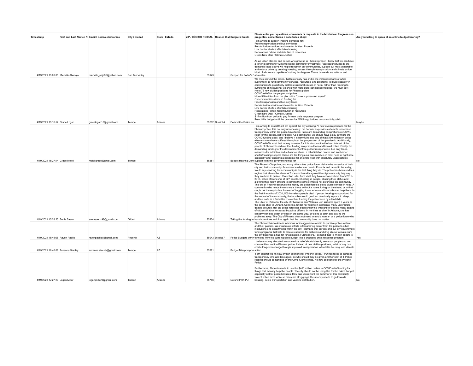| Timestamp                           | First and Last Name / No Email / Correo electrónico | City / Ciudad  | State / Estado | ZIP / CÓDIGO POSTAL Council Dist Subject / Sujeto |                  |                                  | Please enter your questions, comments or requests in the box below: / Ingrese sus<br>preguntas, comentarios o solicitudes abajo:                                                                                                                                                                                                                                                                                                                                                                                                                                                                                                                                                                                                                                                                                                                                                                                                                                                                                                                                                                                                                                                                                                                                                                                                                                                                                                                                                                                                                                                                                                                                                                                                                                                                                                                                                                             | Are you willing to speak at an online budget hearing? |  |
|-------------------------------------|-----------------------------------------------------|----------------|----------------|---------------------------------------------------|------------------|----------------------------------|--------------------------------------------------------------------------------------------------------------------------------------------------------------------------------------------------------------------------------------------------------------------------------------------------------------------------------------------------------------------------------------------------------------------------------------------------------------------------------------------------------------------------------------------------------------------------------------------------------------------------------------------------------------------------------------------------------------------------------------------------------------------------------------------------------------------------------------------------------------------------------------------------------------------------------------------------------------------------------------------------------------------------------------------------------------------------------------------------------------------------------------------------------------------------------------------------------------------------------------------------------------------------------------------------------------------------------------------------------------------------------------------------------------------------------------------------------------------------------------------------------------------------------------------------------------------------------------------------------------------------------------------------------------------------------------------------------------------------------------------------------------------------------------------------------------------------------------------------------------------------------------------------------------|-------------------------------------------------------|--|
| 4/19/2021 15:03:05 Michelle Abunaja | michelle naja96@yahoo.com                           | San Tan Valley |                | 85143                                             |                  | Support for Poder's Lattainable. | I am writing to support Poder's demands for:<br>Free transportation and bus only lanes<br>Rehabilitation services and a center in West Phoenix<br>Low barrier shelter/ affordable housing<br>Reparations / direct redistribution of resources<br>Green New Deal / Climate Justice<br>As an urban planner and person who grew up in Phoenix proper, I know that we can have<br>a thriving community with intentional community investment. Reallocating funds to the<br>demands listed above will help strengthen our communities, support our most vulnerable.<br>and reduce crime by creating housing, access through transportation and climate action.<br>Most of all- we are capable of making this happen. These demands are rational and                                                                                                                                                                                                                                                                                                                                                                                                                                                                                                                                                                                                                                                                                                                                                                                                                                                                                                                                                                                                                                                                                                                                                               |                                                       |  |
| 4/19/2021 15:16:52 Grace Logan      | gracelogan16@gmail.com                              | Tempe          | Arizona        |                                                   | 85282 District 4 | Defund the Police an             | We must defund the police, that historically has and is the institutional arm of white<br>supremacy, to fund community services, resources, and programs. To build capacity in<br>communities to proactively address structural causes of harm, rather than reacting to<br>symptoms of institutional violence with more state-sanctioned violence, we must say:<br>No to 75 new civilian positions for Phoenix police<br>COVID relief for the people, not police<br>Move \$10 million from the phx police "crime suppression squad"<br>Our communities demand funding for:<br>Free transportation and bus only lanes<br>Rehabilitation services and a center in West Phoenix<br>Low barrier shelter/ affordable housing<br>Reparations / direct redistribution of resources<br>Green New Deal / Climate Justice<br>\$15 million from police to pay for new crisis response program<br>Reject this budget until the process for MOU negotiations becomes fully public                                                                                                                                                                                                                                                                                                                                                                                                                                                                                                                                                                                                                                                                                                                                                                                                                                                                                                                                         | Maybe                                                 |  |
| 4/19/2021 15:27:14 Grace Moioli     | moioligrace@gmail.com                               | Tempe          |                | 85281                                             |                  |                                  | I am writing to assert that I am against the city accruing 75 new civilian positions for the<br>Phoenix police. It is not only unnecessary, but harmful as previous attempts to increase<br>transparency within the police have failed. I also am demanding comprehensive COVID<br>relief for the people, not for police. As a community, we should have a say in where the<br>COVID funding goes, and I believe it is harmful to use any of that \$400 million on police<br>when so many have suffered throughout the progression of this pandemic. Additionally,<br>COVID relief is what that money is meant for, it is simply not in the best interest of the<br>people of Phoenix to redirect that funding away from them and toward police. Finally, I'm<br>demanding funding for the development of free public transportation, bus only lanes,<br>resources for addiction and substance abuse, a rehabilitation center, and low barrier<br>shelter/housing support. These are the things our community is in most need of right now,<br>especially after enduring a pandemic for an entire year with absolutely unacceptable<br>Budget Hearing Dem support from the government thus far.                                                                                                                                                                                                                                                                                                                                                                                                                                                                                                                                                                                                                                                                                                              | No                                                    |  |
| 4/19/2021 15:28:25 Sonia Saenz      | soniasaenz98@gmail.com                              | Gilbert        | Arizona        | 85234                                             |                  |                                  | The Phoenix City police, and many other cities police force, claim to be in service of their<br>city and their community. As someone who was born in Phoenix and raised in the valley, I<br>would say servicing their community is the last thing they do. The police has been under a<br>regime that allows the abuse of force and brutality against the city/community they say<br>they are here to protect. Protection is far from what they have accomplished. From 2011-<br>2018, police officers shot at 627 people. Shooting at people, abusing their status and<br>allowing their fellow officers to commit the same crimes is not defending the community.<br>The city of Phoenix deserves the money the police force is being given to those in need. A<br>community who needs the money is those without a home. Living on the street, or in their<br>car, is not the way to live. Instead of haggling those who are without a home, help them. In<br>the first 9 months of 2020, 500 homeless people died. If proper housing was provided for<br>this subset of the community, that number would go down drastically. A place to sleep,<br>and feel safe, is a far better choice than funding the police force by a landslide.<br>The Chief of Police for the city of Phoenix is Jeri Williams. Jeri Williams spent 6 years as<br>the police chief in Oxnard, California, Under her regime in California, many unfortunate<br>deaths occured. Her old police force has been under the limelight for settling many deaths<br>of citizens that were caused by police officers. In her time as chief in Arizona, she has<br>similarly handled death by cops in the same way. By going to court and paying the<br>problems away. The City of Phoenix does not need to fund a woman or a police force who<br>Taking the funding frc has shown time and time again that the community does not matter. |                                                       |  |
| 4/19/2021 15:45:06 Raven Padilla    | ravenpadilla8@gmail.com                             | Phoenix        | AZ             |                                                   | 85043 District 7 |                                  | The Phoenix Metro Area is infamous for its aggressive and in its punitive police system<br>and their policies. We must make efforts in transferring power from the police to other<br>institutions and departments within the city. I demand that our city and our city government<br>funds programs that help to create resources for addiction and drug abuse to make sure<br>the city becomes a hub for rehabilitation. Furthermore, I demand that 15 million dollars is<br>Police Budgets within funneled from the current police budget into a proposed crisis response program.                                                                                                                                                                                                                                                                                                                                                                                                                                                                                                                                                                                                                                                                                                                                                                                                                                                                                                                                                                                                                                                                                                                                                                                                                                                                                                                        | Yes                                                   |  |
| 4/19/2021 16:46:08 Zuzanna Stechly  | zuzanna.stechly@gmail.com                           | Tempe          | AZ             | 85281                                             |                  | Budget Misapproprial action.     | I believe money allocated to coronavirus relief should directly serve our people and our<br>communities, not the Phoenix police. Instead of new civilian positions, relief money can<br>create long-term change through improved transportation, affordable housing, and climate                                                                                                                                                                                                                                                                                                                                                                                                                                                                                                                                                                                                                                                                                                                                                                                                                                                                                                                                                                                                                                                                                                                                                                                                                                                                                                                                                                                                                                                                                                                                                                                                                             |                                                       |  |
| 4/19/2021 17:27:10 Logan Miller     | loganjmiller0@gmail.com                             | Tucson         | Arizona        | 85746                                             |                  | Defund PHX PD                    | I am against the 75 new civilian positions for Phoenix police. PPD has failed to increase<br>transparency time and time again, so why should they be given another shot at it. Police<br>records should be handled by the City's Clerk's office. No new positions for the Phoenix<br>Police<br>Furthermore, Phoenix needs to use the \$400 million dollars in COVID relief funding for<br>things that actually help the people. The city should not be using this for the police budget,<br>especially not for police bonuses. How can you reward the behavior of this horrifically<br>violent police force while so many are struggling? This money needs to go towards<br>housing, public transportation and vaccine distribution.                                                                                                                                                                                                                                                                                                                                                                                                                                                                                                                                                                                                                                                                                                                                                                                                                                                                                                                                                                                                                                                                                                                                                                         | No                                                    |  |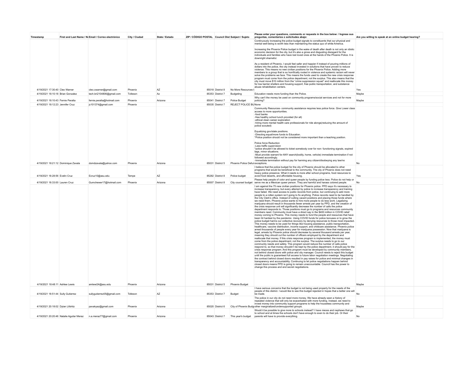| Timestamp                           | First and Last Name / No Email / Correo electrónico            | City / Ciudad | State / Estado | ZIP / CÓDIGO POSTAL Council Dist Subject / Sujeto |                  |                                 | Please enter your questions, comments or requests in the box below: / Ingrese sus<br>preguntas, comentarios o solicitudes abajo:                                                                                                                                                                                                                                                                                                                                                                                                                                                                                                                                                                                                                                                                                                                                                                                                                                                                                                                                                                                                                                                                                                                                                                                                                                                                                                                                                                                                                                                                                                                                                                                                                                                                                                                                                                                                                                                                                                                                                                                                                                                                                                                                                                                                                                                                                                                                                                                                                                                                                                                           | Are you willing to speak at an online budget hearing? |  |
|-------------------------------------|----------------------------------------------------------------|---------------|----------------|---------------------------------------------------|------------------|---------------------------------|------------------------------------------------------------------------------------------------------------------------------------------------------------------------------------------------------------------------------------------------------------------------------------------------------------------------------------------------------------------------------------------------------------------------------------------------------------------------------------------------------------------------------------------------------------------------------------------------------------------------------------------------------------------------------------------------------------------------------------------------------------------------------------------------------------------------------------------------------------------------------------------------------------------------------------------------------------------------------------------------------------------------------------------------------------------------------------------------------------------------------------------------------------------------------------------------------------------------------------------------------------------------------------------------------------------------------------------------------------------------------------------------------------------------------------------------------------------------------------------------------------------------------------------------------------------------------------------------------------------------------------------------------------------------------------------------------------------------------------------------------------------------------------------------------------------------------------------------------------------------------------------------------------------------------------------------------------------------------------------------------------------------------------------------------------------------------------------------------------------------------------------------------------------------------------------------------------------------------------------------------------------------------------------------------------------------------------------------------------------------------------------------------------------------------------------------------------------------------------------------------------------------------------------------------------------------------------------------------------------------------------------------------------|-------------------------------------------------------|--|
|                                     |                                                                |               |                |                                                   |                  |                                 | Continuously increasing the police budget signals to constituents that our physical and<br>mental well-being is worth less than maintaining the status quo of white America.                                                                                                                                                                                                                                                                                                                                                                                                                                                                                                                                                                                                                                                                                                                                                                                                                                                                                                                                                                                                                                                                                                                                                                                                                                                                                                                                                                                                                                                                                                                                                                                                                                                                                                                                                                                                                                                                                                                                                                                                                                                                                                                                                                                                                                                                                                                                                                                                                                                                               |                                                       |  |
|                                     |                                                                |               |                |                                                   |                  |                                 | Increasing the Phoenix Police budget in the wake of death after death is not only an idiotic<br>economic decision for the city, but it's also a gross and disgusting disregard for the<br>individuals and families who have lost loved ones at the hands of the Phoenix Police. It is<br>downright shameful.                                                                                                                                                                                                                                                                                                                                                                                                                                                                                                                                                                                                                                                                                                                                                                                                                                                                                                                                                                                                                                                                                                                                                                                                                                                                                                                                                                                                                                                                                                                                                                                                                                                                                                                                                                                                                                                                                                                                                                                                                                                                                                                                                                                                                                                                                                                                               |                                                       |  |
|                                     |                                                                |               |                |                                                   |                  |                                 | As a resident of Phoenix, I would feel safer and happier if instead of pouring millions of<br>dollars into the police, the city instead invested in solutions that have proven to reduce<br>violence. This means no new civilian positions for the Phoenix Police. Adding more<br>members to a group that is so horrifically rooted in violence and systemic racism will never                                                                                                                                                                                                                                                                                                                                                                                                                                                                                                                                                                                                                                                                                                                                                                                                                                                                                                                                                                                                                                                                                                                                                                                                                                                                                                                                                                                                                                                                                                                                                                                                                                                                                                                                                                                                                                                                                                                                                                                                                                                                                                                                                                                                                                                                             |                                                       |  |
|                                     |                                                                |               |                |                                                   |                  |                                 | solve the problems we face. This means the funds used to create the new crisis response<br>program must come from the police department, not the surplus. This also means that the<br>city must move \$10 million from the "crime suppression squad" and reallocate this money<br>for low barrier shelters and housing support, free public transportation, and substance                                                                                                                                                                                                                                                                                                                                                                                                                                                                                                                                                                                                                                                                                                                                                                                                                                                                                                                                                                                                                                                                                                                                                                                                                                                                                                                                                                                                                                                                                                                                                                                                                                                                                                                                                                                                                                                                                                                                                                                                                                                                                                                                                                                                                                                                                  |                                                       |  |
| 4/19/2021 17:30:40 Cleo Warner      | cleo.cwarner@gmail.com                                         | Phoenix       | A7             |                                                   | 85018 District 8 | No More Resources               | abuse rehabilitation centers                                                                                                                                                                                                                                                                                                                                                                                                                                                                                                                                                                                                                                                                                                                                                                                                                                                                                                                                                                                                                                                                                                                                                                                                                                                                                                                                                                                                                                                                                                                                                                                                                                                                                                                                                                                                                                                                                                                                                                                                                                                                                                                                                                                                                                                                                                                                                                                                                                                                                                                                                                                                                               | Yes                                                   |  |
| 4/19/2021 18:10:18 Brian Gonzalez   | tech.bri2104806@gmail.com                                      | Tolleson      | Az             |                                                   | 85353 District 7 | Budgeting                       | Education needs more funding than the Police.                                                                                                                                                                                                                                                                                                                                                                                                                                                                                                                                                                                                                                                                                                                                                                                                                                                                                                                                                                                                                                                                                                                                                                                                                                                                                                                                                                                                                                                                                                                                                                                                                                                                                                                                                                                                                                                                                                                                                                                                                                                                                                                                                                                                                                                                                                                                                                                                                                                                                                                                                                                                              | Maybe                                                 |  |
| 4/19/2021 18:10:43 Fernie Peralta   | fernie.peralta@hotmail.com                                     | Phoenix       | Arizona        |                                                   | 85041 District 7 | Police Budget                   | Why can't the money be used on community programs/social services and not for more<br>policing?                                                                                                                                                                                                                                                                                                                                                                                                                                                                                                                                                                                                                                                                                                                                                                                                                                                                                                                                                                                                                                                                                                                                                                                                                                                                                                                                                                                                                                                                                                                                                                                                                                                                                                                                                                                                                                                                                                                                                                                                                                                                                                                                                                                                                                                                                                                                                                                                                                                                                                                                                            | Maybe                                                 |  |
| 4/19/2021 18:12:23 Jennifer Cruz    | jc101374@gmail.com                                             | Phoenix       |                |                                                   | 85035 District 7 | REJECT POLICE BU None           |                                                                                                                                                                                                                                                                                                                                                                                                                                                                                                                                                                                                                                                                                                                                                                                                                                                                                                                                                                                                                                                                                                                                                                                                                                                                                                                                                                                                                                                                                                                                                                                                                                                                                                                                                                                                                                                                                                                                                                                                                                                                                                                                                                                                                                                                                                                                                                                                                                                                                                                                                                                                                                                            |                                                       |  |
|                                     |                                                                |               |                |                                                   |                  |                                 | Community Resources- community assistance requires less police force. Give Lower class<br>access to more opportunities.<br>-food banks<br>-free healthy school lunch provided (for all)<br>-ethical clean career exploration<br>-hiring more mental health care professionals for ride alongs(reducing the amount of<br>police scouted)<br>Equalizing gov/state positions.<br>-Directing equal/more funds to Education.<br>*Police position should not be considered more important than a teaching position.<br>Police force Reduction<br>-Less traffic supervision<br>*police shouldn't be allowed to ticket somebody over for non- functioning signals, expired<br>tags, minor situations                                                                                                                                                                                                                                                                                                                                                                                                                                                                                                                                                                                                                                                                                                                                                                                                                                                                                                                                                                                                                                                                                                                                                                                                                                                                                                                                                                                                                                                                                                                                                                                                                                                                                                                                                                                                                                                                                                                                                               |                                                       |  |
|                                     |                                                                |               |                |                                                   |                  |                                 | -Must provide warrant for ANY search(bodily, home, vehicle) immediate termination if not<br>followed accordingly.<br>-Immediate termination without pay for harming any citizen/disobeying any law/no                                                                                                                                                                                                                                                                                                                                                                                                                                                                                                                                                                                                                                                                                                                                                                                                                                                                                                                                                                                                                                                                                                                                                                                                                                                                                                                                                                                                                                                                                                                                                                                                                                                                                                                                                                                                                                                                                                                                                                                                                                                                                                                                                                                                                                                                                                                                                                                                                                                      |                                                       |  |
| 4/19/2021 18:21:12 Dominique Zavala | domdzavala@yahoo.com                                           | Phoenix       | Arizona        |                                                   | 85031 District 5 | Phoenix Police Defur exceptions | I believe that the police budget for the city of Phoenix should be allocated to other                                                                                                                                                                                                                                                                                                                                                                                                                                                                                                                                                                                                                                                                                                                                                                                                                                                                                                                                                                                                                                                                                                                                                                                                                                                                                                                                                                                                                                                                                                                                                                                                                                                                                                                                                                                                                                                                                                                                                                                                                                                                                                                                                                                                                                                                                                                                                                                                                                                                                                                                                                      | No                                                    |  |
| 4/19/2021 18:28:56 Evelin Cruz      | Ecruz10@asu.edu                                                | Tempe         | AZ             |                                                   | 85282 District 8 | Police budget                   | programs that would be beneficial to the community. The city of Phoenix does not need<br>heavy police presence. What it needs is more after school programs, food resources to<br>avoid food deserts, and affordable housing.                                                                                                                                                                                                                                                                                                                                                                                                                                                                                                                                                                                                                                                                                                                                                                                                                                                                                                                                                                                                                                                                                                                                                                                                                                                                                                                                                                                                                                                                                                                                                                                                                                                                                                                                                                                                                                                                                                                                                                                                                                                                                                                                                                                                                                                                                                                                                                                                                              | Yes                                                   |  |
| 4/19/2021 18:33:00 Lauren Cruz      | Gumchewer17@hotmail.com                                        | Phoenix       | Arizona        |                                                   | 85007 District 8 |                                 | Please help people of color and queer people by funding police less. Police do not help or<br>City counsel budget serve me as a Mexican queer person. They are harmful and harass colored people.                                                                                                                                                                                                                                                                                                                                                                                                                                                                                                                                                                                                                                                                                                                                                                                                                                                                                                                                                                                                                                                                                                                                                                                                                                                                                                                                                                                                                                                                                                                                                                                                                                                                                                                                                                                                                                                                                                                                                                                                                                                                                                                                                                                                                                                                                                                                                                                                                                                          | No                                                    |  |
|                                     |                                                                |               |                |                                                   |                  |                                 | I am against the 75 new civilian positions for Phoenix police. PPD says it's necessary to<br>increase transparency, but every attempt by police to increase transparency and training<br>have failed. We need access to public records from police, but continuing to add more<br>people to a rotten system isn't going to fix anything. Police records need to be handled by<br>the City Clerk's office. Instead of cutting vacant positions and placing those funds where<br>we need them, Phoenix police wants to hire more people to do less work. Legalizing<br>marijuana should result in thousands fewer arrests per year by PPD, and the creation of<br>the crisis response unit will significantly decrease the number of calls the police<br>department responds to. Those positions must go to programs and resources community<br>members need. Community must have a direct say in the \$400 million in COVID relief<br>money coming to Phoenix. This money needs to fund the people and resources that have<br>been hit hardest by the pandemic. Using COVID funds for police bonuses or to grow the<br>police budget harms our collective recovery by denying resources to those most impacted.<br>This money needs to be used for things like housing assistance, public transportation,<br>healthcare, vaccine distribution, income support, and childcare assistance. Phoenix police<br>arrest thousands of people every year for marijuana possession. Now that marijuana is<br>legal, arrests by Phoenix police should decrease by several thousand arrests per year,<br>meaning they should cut the number of officers employed by the department and<br>reallocate that money. If this crisis response program is implemented, the money must<br>come from the police department, not the surplus. The surplus needs to go to our<br>community needs and safety. This program would reduce the number of calls police<br>respond to, so that money shouldn't be kept by the police department, it should pay for the<br>crisis response program. And this program must be developed by community members,<br>not behind closed doors with police and city manager. Council needs to reject this budget<br>until the public is guaranteed full access to future labor negotiation meetings. Negotiating<br>the contract behind closed doors resulted in pay raises for police and minimal changes in<br>transparency and accountability. Continuing to let police negotiations happen behind<br>closed doors means PPD is going to remain unaccountable. Council has the power to<br>change this process and end secret negotiations. |                                                       |  |
| 4/19/2021 18:48:11 Ashlee Lewis     | amlewi24@asu.edu                                               | Phoenix       | Arizona        |                                                   | 85031 District 5 | Phoenix Budget                  | I have serious concerns that the budget is not being used properly for the needs of the                                                                                                                                                                                                                                                                                                                                                                                                                                                                                                                                                                                                                                                                                                                                                                                                                                                                                                                                                                                                                                                                                                                                                                                                                                                                                                                                                                                                                                                                                                                                                                                                                                                                                                                                                                                                                                                                                                                                                                                                                                                                                                                                                                                                                                                                                                                                                                                                                                                                                                                                                                    | Maybe                                                 |  |
| 4/19/2021 18:51:44 Sully Gutierrez  | sullygutierrez05@gmail.com                                     | Tolleson      | AZ             |                                                   | 85353 District 7 | Budget                          | people of this district. I would like to see this budget rejected in hopes that a better one will<br>be made                                                                                                                                                                                                                                                                                                                                                                                                                                                                                                                                                                                                                                                                                                                                                                                                                                                                                                                                                                                                                                                                                                                                                                                                                                                                                                                                                                                                                                                                                                                                                                                                                                                                                                                                                                                                                                                                                                                                                                                                                                                                                                                                                                                                                                                                                                                                                                                                                                                                                                                                               | No                                                    |  |
| 4/19/2021 20:18:02 Dylan Lifshitz   | pavakyaz@gmail.com                                             | Phoenix       | Arizona        |                                                   | 85020 District 6 |                                 | The police in our city do not need more money. We have already seen a history of<br>repeated violence that will only be exacerbated with more funding. Instead, we need to<br>invest money into community support programs to help the houseless community and<br>City of Phoenix Budg other marginalized/undersupported groups.                                                                                                                                                                                                                                                                                                                                                                                                                                                                                                                                                                                                                                                                                                                                                                                                                                                                                                                                                                                                                                                                                                                                                                                                                                                                                                                                                                                                                                                                                                                                                                                                                                                                                                                                                                                                                                                                                                                                                                                                                                                                                                                                                                                                                                                                                                                           | Maybe                                                 |  |
|                                     |                                                                |               |                |                                                   |                  |                                 | Would it be possible to give more to schools instead? I have nieces and nephews that go<br>to school and at times the schools don't have enough to even to do their job. Or their                                                                                                                                                                                                                                                                                                                                                                                                                                                                                                                                                                                                                                                                                                                                                                                                                                                                                                                                                                                                                                                                                                                                                                                                                                                                                                                                                                                                                                                                                                                                                                                                                                                                                                                                                                                                                                                                                                                                                                                                                                                                                                                                                                                                                                                                                                                                                                                                                                                                          | No                                                    |  |
|                                     | 4/19/2021 20:20:46 Natalie Aguilar Meraz n.a.meraz77@gmail.com | Phoenix       | Arizona        |                                                   | 85043 District 7 | This year's budget              | parents will have to provide everything.                                                                                                                                                                                                                                                                                                                                                                                                                                                                                                                                                                                                                                                                                                                                                                                                                                                                                                                                                                                                                                                                                                                                                                                                                                                                                                                                                                                                                                                                                                                                                                                                                                                                                                                                                                                                                                                                                                                                                                                                                                                                                                                                                                                                                                                                                                                                                                                                                                                                                                                                                                                                                   |                                                       |  |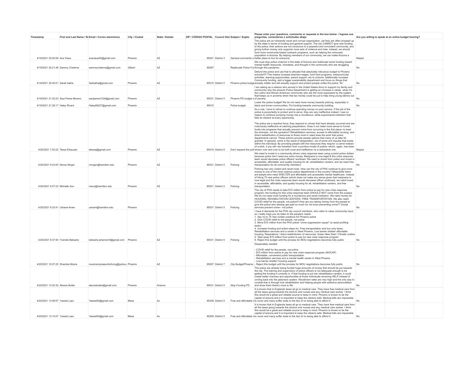| Timestamp                                                            | First and Last Name / No Email / Correo electrónico         | City / Ciudad | State / Estado | ZIP / CÓDIGO POSTAL Council Dist Subject / Sujeto |                                 | Please enter your questions, comments or requests in the box below: / Ingrese sus<br>preguntas, comentarios o solicitudes abajo:                                                                                                                                                                                                                                                                                                                                                                                                                                                                                                                                                                                                                                                                                                                                                                                                                                                                                                                                                                                                                                                                        | Are you willing to speak at an online budget hearing? |  |
|----------------------------------------------------------------------|-------------------------------------------------------------|---------------|----------------|---------------------------------------------------|---------------------------------|---------------------------------------------------------------------------------------------------------------------------------------------------------------------------------------------------------------------------------------------------------------------------------------------------------------------------------------------------------------------------------------------------------------------------------------------------------------------------------------------------------------------------------------------------------------------------------------------------------------------------------------------------------------------------------------------------------------------------------------------------------------------------------------------------------------------------------------------------------------------------------------------------------------------------------------------------------------------------------------------------------------------------------------------------------------------------------------------------------------------------------------------------------------------------------------------------------|-------------------------------------------------------|--|
|                                                                      |                                                             |               |                |                                                   |                                 | The police are an inherently racist and corrupt organization, yet they are often propped up<br>by the state in terms of funding and general support. The city CANNOT give new funding<br>to the police; their actions are not conducive to a peaceful and nonviolent community, and<br>giving further money only supports more acts of violence and hate. Instead, we should<br>fund more community-based outreach programs, such as helping the unhoused<br>population in Arizona. By helping members of our community, we can make Arizona a                                                                                                                                                                                                                                                                                                                                                                                                                                                                                                                                                                                                                                                          |                                                       |  |
| 4/19/2021 20:20:58 Ava Claus                                         | avaclaus05@gmail.com                                        | Phoenix       | AZ             | 85021 District 3                                  |                                 | General comments o better place to live for everyone.<br>We must stop police violence in the state of Arizona and reallocate some funding toward                                                                                                                                                                                                                                                                                                                                                                                                                                                                                                                                                                                                                                                                                                                                                                                                                                                                                                                                                                                                                                                        | Maybe                                                 |  |
| 4/19/2021 20:21:48 Sammy Cristerna                                   | sammycristerna@gmail.com                                    | Gilbert       | A7             | 85297                                             |                                 | mental health resources, homeless, and thought in the community who are struggling<br>Reallocate Police Furthrough this pandemic.                                                                                                                                                                                                                                                                                                                                                                                                                                                                                                                                                                                                                                                                                                                                                                                                                                                                                                                                                                                                                                                                       | No                                                    |  |
| 4/19/2021 20:45:01 Sarah bathe                                       | Sarbathe@gmail.com                                          | Phoenix       | AZ             | 85015 District 5                                  |                                 | Defund the police and use that to allocate that absolutely ridiculous budget to Phoenix<br>schools!!!!! This means increase teachers wages, fund food programs, extracurricular<br>activities, learning opportunities, parent support, etc to schools. Additionally increase<br>Community funding, add a bigger sustainability department and focus on things that<br>Phoenix police budge actually matter and will actually support and protect people unlike the police "do".                                                                                                                                                                                                                                                                                                                                                                                                                                                                                                                                                                                                                                                                                                                         | No                                                    |  |
|                                                                      |                                                             |               |                |                                                   |                                 | I am asking as a veteran who served in the United States Army to support my family and<br>community why the phoenix Police Department is getting an increase in raises when it's<br>the Latino and African American community who are the most oppressed by the system<br>that keeps us in poverrty when that tax money could be put to help bring young latinos out                                                                                                                                                                                                                                                                                                                                                                                                                                                                                                                                                                                                                                                                                                                                                                                                                                    |                                                       |  |
| 4/19/2021 21:22:23 Saul Perea Moreno                                 | saulperea1234@gmail.com                                     | Phoenix       | A7             | 85031 District 5                                  | Phoenix PD budget c of poverty. | Lower the police budget! We do not need more money towards policing, especially in                                                                                                                                                                                                                                                                                                                                                                                                                                                                                                                                                                                                                                                                                                                                                                                                                                                                                                                                                                                                                                                                                                                      | No                                                    |  |
| 4/19/2021 21:26:17 Haley Rivard                                      | Haley66227@gmail.com                                        | Phoenix       |                | 85015                                             | Police budget                   | black and brown communities. Put funding towards community building<br>As a rule, I tend to refuse to continue spending money on poor service. If the job of the                                                                                                                                                                                                                                                                                                                                                                                                                                                                                                                                                                                                                                                                                                                                                                                                                                                                                                                                                                                                                                        | No                                                    |  |
| 4/20/2021 7:02:22 Tessa Eihausen                                     | etessaj@gmail.com                                           | Phoenix       | A7             | 85018 District 8                                  |                                 | police is purportedly to protect and to serve, they are very ineffective indeed; I see no<br>reason to continue pumping money into a murderous, white supremacist institution that<br>fails its citizens at every opportunity.<br>The police are a reactive force: they respond to crimes that have already occurred and are<br>notoriously ineffective at catching perpetrators. Does it not make more sense to funnel<br>funds into programs that actually prevent crime from occurring in the first place--to treat<br>the sickness, not the symptom? Rehabilitation services, access to affordable housing, and<br>direct redistribution of resources to those most in need does the work that police<br>departments cannot: These actions provide people options that many of us take for<br>granted. In general, crime is the result of desperation, not of some evil impulse that exists<br>within the individual. By providing people with the resources they require--a carrot instead<br>of a stick, if you will--we transition from a punitive model of justice--which, again, has been<br>Don't expand the poli shown over and over to be both cruel and ineffective--to a restorative one. | Maybe                                                 |  |
|                                                                      |                                                             |               |                |                                                   |                                 | We need to invest in a community-driven crisis response team using current police dollars                                                                                                                                                                                                                                                                                                                                                                                                                                                                                                                                                                                                                                                                                                                                                                                                                                                                                                                                                                                                                                                                                                               |                                                       |  |
| 4/20/2021 9:23:05 Nonso Mogor                                        | nmogor@hamilton.edu                                         | Phoenix       | AZ             | 85031 District 5                                  | Policing                        | because police don't need any extra money. Marijuana is now legal & this crisis response<br>team would decrease police officers' workload. We need to divest from police and invest in<br>accessible, affordable, and quality housing for all, rehabilitation centers, and we need free<br>transportation for all community members.                                                                                                                                                                                                                                                                                                                                                                                                                                                                                                                                                                                                                                                                                                                                                                                                                                                                    | No                                                    |  |
| 4/20/2021 9:27:23 Michelle Sun                                       | msun@hamilton.edu                                           | Phoenix       | A7             | 85031 District 5 Policing                         |                                 | Policing has very violent and racist roots. How can the city of PHX continue to give more<br>money to one of the most violence police departments in the country? Meanwhile there<br>are people who need SHELTER and affordable and accessible mental healthcare. Instead<br>of hiring 75 new police officers (which does not make any sense given that marijuana is<br>now legal and the crisis response team would decrease officer workload), we need invest<br>in accessible, affordable, and quality housing for all, rehabilitation centers, and free<br>transportation                                                                                                                                                                                                                                                                                                                                                                                                                                                                                                                                                                                                                           | No                                                    |  |
|                                                                      |                                                             |               |                |                                                   |                                 | The city of PHX needs to take \$15 million from police to pay for new crisis response<br>program; the funding for this crisis response team SHOULD NOT come from the surplus.<br>We do not need more funding for a murderous and racist institution. We need money for<br>HOUSING, REHABILITATION CENTERS, FREE TRANSPORTATION. We also need<br>COVID relief for the people, not police!!! How are you taking money from the people to<br>give the police who already get paid so much for not even preventing crime?? Social                                                                                                                                                                                                                                                                                                                                                                                                                                                                                                                                                                                                                                                                           | No                                                    |  |
| 4/20/2021 9:32:41 Urbana Anam<br>4/20/2021 9:37:50 Yvenide Belizaire | uanam@hamilton.edu<br>belizaire.johanna18@gmail.com Phoenix | Phoenix       | AZ             | 85031 District 5<br>85031 District 5 Policing     | Policing                        | services prevent crime-- not police<br>I have 6 demands for the PHX city council members, who claim to value community input,<br>so I really hope you do listen to the people's needs<br>1. Say no to 75 new civilian positions for Phoenix police<br>2. Give COVID relief to the people, not police<br>3. Move \$10 million from the PHX police "crime suppression squad" (a racial profiling<br>tactic)<br>4. Increase funding and action-steps for: Free transportation and bus only lanes,<br>Rehabilitation services and a center in West Phoenix, Low barrier shelter/ affordable<br>housing, Reparations / direct redistribution of resources, Green New Deal / Climate Justice<br>5. Take away \$15 million from police to pay for new crisis response program<br>6. Reject this budget until the process for MOU negotiations becomes fully public                                                                                                                                                                                                                                                                                                                                             | No                                                    |  |
| 4/20/2021 10:07:25 Shamika Moore                                     | musicismyreasonforliving@yahoo. Phoenix                     |               | AZ             |                                                   |                                 | Desperately needed:<br>- COVID relief for the people, not police<br>- \$15 million from police to pay for new crisis response program (NOCAP)<br>- Affordable, convenient public transportation<br>- Rehabilitation services and a mental health center in West Phoenix<br>- Low barrier shelter/ housing support<br>85007 District 7 City Budget/Phoenix - Reject this budget until the process for MOU negotiations becomes fully public                                                                                                                                                                                                                                                                                                                                                                                                                                                                                                                                                                                                                                                                                                                                                              | No                                                    |  |
| 4/20/2021 13:02:32 Alexxis Butler                                    | alexxisbutler@gmail.com                                     | Phoenix       | Arizona        | 85031 District 5 Stop Funding PD                  |                                 | The police are already being funded huge amounts of money that should be put towards<br>the city. The training and supervision of police officers is not adequate enough to be<br>getting the funding it currently is. If that funding is put into rehabilitation centers, it could<br>create better chances and opportunities at those individuals receiving HELP instead of<br>circling back into the jail/prison system. Recidivism rates are very high and the only way to<br>combat that is through true rehabilitation and helping people with addictive personalities<br>and show them there's more to life.                                                                                                                                                                                                                                                                                                                                                                                                                                                                                                                                                                                     | N <sub>c</sub>                                        |  |
| 4/20/2021 13:09:57 Yassiel Lazo                                      | Yassiel00@gmail.com                                         | Mesa          | Az             | 85209 District 5                                  |                                 | It is known that in Englands taxes all go to medical care. They have free medical care from<br>all the taxes going towards the doctors and nurses and any medical care worker. I think<br>this would be a great and reliable source to keep in mind. Phoenix is known to be the<br>capital of arizona and it is important to keep the citizens safe. Medical bills are impossible<br>Free and affordable r to cover and many suffer dude to the fact of no being able to afford it.                                                                                                                                                                                                                                                                                                                                                                                                                                                                                                                                                                                                                                                                                                                     | No                                                    |  |
| 4/20/2021 13:10:57 Yassiel Lazo                                      | Yassiel00@gmail.com                                         | Mesa          | Az             |                                                   |                                 | It is known that in Englands taxes all go to medical care. They have free medical care from<br>all the taxes going towards the doctors and nurses and any medical care worker. I think<br>this would be a great and reliable source to keep in mind. Phoenix is known to be the<br>capital of arizona and it is important to keep the citizens safe. Medical bills are impossible<br>85209 District 5 Free and affordable r to cover and many suffer dude to the fact of no being able to afford it.                                                                                                                                                                                                                                                                                                                                                                                                                                                                                                                                                                                                                                                                                                    | N <sub>c</sub>                                        |  |
|                                                                      |                                                             |               |                |                                                   |                                 |                                                                                                                                                                                                                                                                                                                                                                                                                                                                                                                                                                                                                                                                                                                                                                                                                                                                                                                                                                                                                                                                                                                                                                                                         |                                                       |  |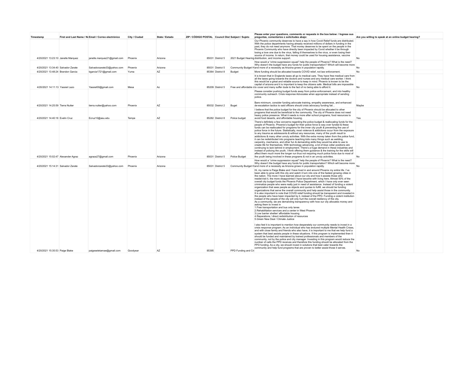| Timestamp                          | First and Last Name / No Email / Correo electrónico | City / Ciudad | State / Estado | ZIP / CÓDIGO POSTAL Council Dist Subject / Sujeto |                  |                     | Please enter your questions, comments or requests in the box below: / Ingrese sus<br>preguntas, comentarios o solicitudes abaio:                                                                                                                                                                                                                                                                                                                                                                                                                                                                                                                                                                                                                                                                                                                                                                                                                                                                                                                                                                                                                                                                                                                                                                                                                                                                                                                                                                                                                                                                                                                                                                                                                                                                 | Are you willing to speak at an online budget hearing? |  |
|------------------------------------|-----------------------------------------------------|---------------|----------------|---------------------------------------------------|------------------|---------------------|--------------------------------------------------------------------------------------------------------------------------------------------------------------------------------------------------------------------------------------------------------------------------------------------------------------------------------------------------------------------------------------------------------------------------------------------------------------------------------------------------------------------------------------------------------------------------------------------------------------------------------------------------------------------------------------------------------------------------------------------------------------------------------------------------------------------------------------------------------------------------------------------------------------------------------------------------------------------------------------------------------------------------------------------------------------------------------------------------------------------------------------------------------------------------------------------------------------------------------------------------------------------------------------------------------------------------------------------------------------------------------------------------------------------------------------------------------------------------------------------------------------------------------------------------------------------------------------------------------------------------------------------------------------------------------------------------------------------------------------------------------------------------------------------------|-------------------------------------------------------|--|
| 4/20/2021 13:23:10 Janelle Marquez | janelle.marquez21@gmail.com                         | Phoenix       | Arizona        |                                                   | 85031 District 5 |                     | Our Phoenix community deserves to have a say in how Covid Relief funds are distributed.<br>With the police departments having already received millions of dollars in funding in the<br>past, they do not need anymore. That money deserves to be spent on the people in the<br>Phoenix Community who have directly been impacted by Covid whether it be through<br>losing a love one due to the virus, falling ill themselves to the virus, or even losing their<br>source of income. In return, that money could be used for housing assistance, vaccine<br>2021 Budget Hearing distribution, and income support.                                                                                                                                                                                                                                                                                                                                                                                                                                                                                                                                                                                                                                                                                                                                                                                                                                                                                                                                                                                                                                                                                                                                                                              | No                                                    |  |
| 4/20/2021 13:34:40 Salvador Zarate | Salvadorzarate33@yahoo.com                          | Phoenix       | Arizona        |                                                   | 85031 District 5 |                     | How would a "crime suppression squad" help the people of Phoenix? What is the need?<br>Why doesn't the budget have any funds for public transportation? Which will become more<br>Community Budget H and more of a necessity as Arizona grows in population rapidly.                                                                                                                                                                                                                                                                                                                                                                                                                                                                                                                                                                                                                                                                                                                                                                                                                                                                                                                                                                                                                                                                                                                                                                                                                                                                                                                                                                                                                                                                                                                             | N <sub>o</sub>                                        |  |
| 4/20/2021 13:48:24 Brandon Garcia  | bgarcia1721@gmail.com                               | Yuma          | AZ             |                                                   | 85364 District 8 | Budget              | More funding should be allocated towards COVID relief, not law enforcement.                                                                                                                                                                                                                                                                                                                                                                                                                                                                                                                                                                                                                                                                                                                                                                                                                                                                                                                                                                                                                                                                                                                                                                                                                                                                                                                                                                                                                                                                                                                                                                                                                                                                                                                      | No                                                    |  |
| 4/20/2021 14:11:13 Yassiel Lazo    | Yassiel00@gmail.com                                 | Mesa          | Az             |                                                   | 85209 District 5 |                     | It is known that in Englands taxes all go to medical care. They have free medical care from<br>all the taxes going towards the doctors and nurses and any medical care worker. I think<br>this would be a great and reliable source to keep in mind. Phoenix is known to be the<br>capital of arizona and it is important to keep the citizens safe. Medical bills are impossible<br>Free and affordable r to cover and many suffer dude to the fact of no being able to afford it.                                                                                                                                                                                                                                                                                                                                                                                                                                                                                                                                                                                                                                                                                                                                                                                                                                                                                                                                                                                                                                                                                                                                                                                                                                                                                                              | <b>No</b>                                             |  |
| 4/20/2021 14:25:59 Tierra Nutter   | tierra.nutter@yahoo.com                             | Phoenix       | AZ             |                                                   | 85032 District 2 | Buget               | Please consider pushing budget funds away from police enforcement, and into healthy<br>community outreach. Crisis response Advocates when appropriate instead of sending<br>police.<br>Bare minimum, consider funding advocate training, empathy awareness, and enhanced<br>de-escalation tactics to said officers should crisis advocacy funding fail                                                                                                                                                                                                                                                                                                                                                                                                                                                                                                                                                                                                                                                                                                                                                                                                                                                                                                                                                                                                                                                                                                                                                                                                                                                                                                                                                                                                                                           | Maybe                                                 |  |
| 4/20/2021 14:40:18 Evelin Cruz     | Ecruz10@asu.edu                                     | Tempe         | AZ             |                                                   | 85282 District 8 | Police budget       | I believe that the police budget for the city of Phoenix should be allocated to other<br>programs that would be beneficial to the community. The city of Phoenix does not need<br>heavy police presence. What it needs is more after school programs, food resources to<br>avoid food deserts, and affordable housing.                                                                                                                                                                                                                                                                                                                                                                                                                                                                                                                                                                                                                                                                                                                                                                                                                                                                                                                                                                                                                                                                                                                                                                                                                                                                                                                                                                                                                                                                           | Yes                                                   |  |
| 4/20/2021 15:02:47 Alexander Agraz | agraza27@gmail.com                                  | Phoenix       | Arizona        |                                                   | 85031 District 5 | Police Budget       | There's definitely a few concerns regarding the police budget & reallocating funds for the<br>people of Phoenix. Phoenix's budget for their police force is way over funded & these<br>funds can be reallocated for programs for the inner city youth & preventing the use of<br>police force in the future. Statistically, most violence & addictions occur from the exposure<br>to any trauma as adolescents & without any resources, many of the youth result to<br>addictions & many other unruly activities. With the extra money taken from the police fund,<br>it can be redistributed into programs teaching kids many things such as welding,<br>carpentry, mechanics, and other fun & demanding skills they would be able to use to<br>create life for themselves. With technology advancing, a lot of blue collar positions are<br>continuing to lack behind in employment. There's a huge demand in these industries and<br>instead of policing the youth. I think offering them quidance & the training for the skills will<br>affect them much more the longer run thus not requiring much police force due to most of<br>the youth being involved in these programs & not in an unruly activities.                                                                                                                                                                                                                                                                                                                                                                                                                                                                                                                                                                                | No                                                    |  |
| 4/20/2021 15:14:31 Salvador Zarate | Salvadorzarate33@yahoo.com                          | Phoenix       | Arizona        |                                                   | 85031 District 5 |                     | How would a "crime suppression squad" help the people of Phoenix? What is the need?<br>Why doesn't the budget have any funds for public transportation? Which will become more<br>Community Budget H and more of a necessity as Arizona grows in population rapidly.                                                                                                                                                                                                                                                                                                                                                                                                                                                                                                                                                                                                                                                                                                                                                                                                                                                                                                                                                                                                                                                                                                                                                                                                                                                                                                                                                                                                                                                                                                                             | No                                                    |  |
|                                    |                                                     |               |                |                                                   |                  |                     | Hi, my name is Paige Blake and I have lived in and around Phoenix my entire life. I've<br>been able to grow with this city and watch it turn into one of the fastest growing cities in<br>the nation. The more I have learned about our city and how it assists those who<br>reside/visit it, the more disappointed I have become with living here. Almost 50% of the<br>overall city budget funds the Phoenix Police Department, which I have only ever seen<br>criminalize people who were really just in need of assistance. Instead of funding a violent<br>organization that sees people as objects and quotas to fulfill, we should be funding<br>organizations that serve the overall community and help assist those in the community.<br>It is also important to note that COVID relief funding should be transparent and invested in<br>the people who have been impacted by it, instead of the PPD. Funding a violent institution<br>instead of the people of the city will only hurt the overall resiliency of the city.<br>As a community, we are demanding transparency with how our city allocates money and<br>asking them to invest in<br>1. Free transportation and bus only lanes<br>2. Rehabilitation services and a center in West Phoenix<br>3. Low barrier shelter/ affordable housing<br>4. Reparations / direct redistribution of resources<br>5.Green New Deal / Climate Justice<br>I also feel it is important to mention how desperately our community needs to invest in a<br>crisis response program. As an individual who has endured multiple Mental Health Crises.<br>and with close family and friends who also have, it is important to me that we help fund a<br>system that best assists people in these situations. If this program is implemented then it |                                                       |  |
| 4/20/2021 15:35:53 Paige Blake     | paigeseletamae@gmail.com                            | Goodvear      | AZ             | 85395                                             |                  | PPD Funding and Cri | should be funded and maintained by trained professionals and members of the<br>community, not by the police and city manager. Investing in this program would reduce the<br>number of calls the PPD receives and therefore this funding should be allocated from the<br>PPD funding. As a city, we should invest in solutions that best cater towards the<br>community and help fund programs that are proven to better assist those it serves.                                                                                                                                                                                                                                                                                                                                                                                                                                                                                                                                                                                                                                                                                                                                                                                                                                                                                                                                                                                                                                                                                                                                                                                                                                                                                                                                                  | No                                                    |  |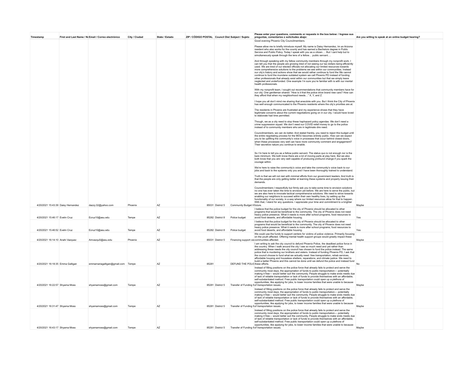| Timestamp                          | First and Last Name / No Email / Correo electrónico | City / Ciudad | State / Estado | ZIP / CÓDIGO POSTAL Council Dist Subject / Sujeto |                  |                                             | Please enter your questions, comments or requests in the box below: / Ingrese sus<br>preguntas, comentarios o solicitudes abaio:                                                                                                                                                                                                                                                                                                                                                                                                                                                                                                                                                                                                                                       | Are you willing to speak at an online budget hearing? |  |
|------------------------------------|-----------------------------------------------------|---------------|----------------|---------------------------------------------------|------------------|---------------------------------------------|------------------------------------------------------------------------------------------------------------------------------------------------------------------------------------------------------------------------------------------------------------------------------------------------------------------------------------------------------------------------------------------------------------------------------------------------------------------------------------------------------------------------------------------------------------------------------------------------------------------------------------------------------------------------------------------------------------------------------------------------------------------------|-------------------------------------------------------|--|
|                                    |                                                     |               |                |                                                   |                  |                                             | Good evening Phoenix City Councilmembers.                                                                                                                                                                                                                                                                                                                                                                                                                                                                                                                                                                                                                                                                                                                              |                                                       |  |
|                                    |                                                     |               |                |                                                   |                  |                                             | Please allow me to briefly introduce myself. My name is Daisy Hernandez, Im an Arizona<br>resident who also works for the county and has earned a Bachelors degree in Public<br>Service and Public Policy. Today I speak with you as a citizen But I cant help but to<br>simultaneously speak through the lens of a fellow public servant                                                                                                                                                                                                                                                                                                                                                                                                                              |                                                       |  |
|                                    |                                                     |               |                |                                                   |                  |                                             | And through speaking with my fellow community members through my nonprofit work, I<br>can tell you that the people are growing tired of not seeing our tax dollars being efficiently<br>used. We are tired of our elected officials not allocating our limited resources towards<br>more comprehensive solutions to the problems we see within our communities. Instead<br>our city's history and actions show that we would rather continue to fund the We cannot<br>continue to fund the mundane outdated system we call Phoenix PD instead of funding<br>other professionals that already exist within our communities but that we simply leave<br>neglected and underfunded. One example I'm sure you're familiar with is with our mental<br>health professionals. |                                                       |  |
|                                    |                                                     |               |                |                                                   |                  |                                             | With my nonprofit team, I sought out recommendations that community members have for<br>our city. One gentleman shared: "How is it that the police drive brand new cars? How can<br>they afford that when my neighborhood needs" X, Y, and Z.                                                                                                                                                                                                                                                                                                                                                                                                                                                                                                                          |                                                       |  |
|                                    |                                                     |               |                |                                                   |                  |                                             | I hope you all don't mind me sharing that anecdote with you. But I think the City of Phoenix<br>has well enough communicated to the Phoenix residents where the city's priorities are at.                                                                                                                                                                                                                                                                                                                                                                                                                                                                                                                                                                              |                                                       |  |
|                                    |                                                     |               |                |                                                   |                  |                                             | The residents in Phoenix are frustrated and my experience shows that they have<br>legitimate concerns about the current negotiations going on in our city. I would have loved<br>to elaborate had time permitted.                                                                                                                                                                                                                                                                                                                                                                                                                                                                                                                                                      |                                                       |  |
|                                    |                                                     |               |                |                                                   |                  |                                             | Though, we as a city need to stop these haphazard policy agendas. We don't need a<br>crime suppression squad. We don't need our COVID relief money to go to the police<br>instead of to community members who are in legitimate dire need.                                                                                                                                                                                                                                                                                                                                                                                                                                                                                                                             |                                                       |  |
|                                    |                                                     |               |                |                                                   |                  |                                             | Councilmembers, we can do better. And stated frankly, you need to reject this budget until<br>the entire negotiating process for the MOU becomes entirely public. How can we expect<br>you to be uplifting the community's voice in processes that occur behind closed doors,<br>when these processes very well can have more community comment and engagement?<br>Their secretive nature you continue to enable.                                                                                                                                                                                                                                                                                                                                                      |                                                       |  |
|                                    |                                                     |               |                |                                                   |                  |                                             | So I'm here to tell you as a fellow public servant. The status quo is not enough nor is the<br>bare minimum. We both know there are a lot of moving parts at play here. But we also<br>both know that you are very well capable of producing profound change if you spark the<br>courage within                                                                                                                                                                                                                                                                                                                                                                                                                                                                        |                                                       |  |
|                                    |                                                     |               |                |                                                   |                  |                                             | We're here to raise the community's voice and take the community's voice back to our<br>jobs and back to the systems only you and I have been thoroughly trained to understand.                                                                                                                                                                                                                                                                                                                                                                                                                                                                                                                                                                                        |                                                       |  |
|                                    |                                                     |               |                |                                                   |                  |                                             | Truth is that we will not rest with minimal efforts from our government leaders. And truth is<br>that the people are only getting better at learning these systems and properly issuing their<br>demands                                                                                                                                                                                                                                                                                                                                                                                                                                                                                                                                                               |                                                       |  |
| 4/20/2021 15:43:39 Daisy Hernandez | dazzy.32@yahoo.com                                  | Phoenix       | AZ             |                                                   |                  | 85031 District 5 Community Budget H future. | Councilmembers I respectfully but firmly ask you to take some time to envision solutions<br>no one has ever taken the time to envision yet before. We are here to serve the public, but<br>we are also here to innovate tactical comprehensive solutions. We need to strive towards<br>enabling our neighbors to succeed within their own healthy lives, by setting up the<br>functionality of our society, in a way where our limited resources allow for that to happen.<br>With that, I stand for any questions. I appreciate your time and commitment to a brighter                                                                                                                                                                                                | Maybe                                                 |  |
|                                    |                                                     |               |                |                                                   |                  |                                             | I believe that the police budget for the city of Phoenix should be allocated to other<br>programs that would be beneficial to the community. The city of Phoenix does not need<br>heavy police presence. What it needs is more after school programs, food resources to                                                                                                                                                                                                                                                                                                                                                                                                                                                                                                |                                                       |  |
| 4/20/2021 15:46:17 Fvelin Cruz     | Ecruz10@asu.edu                                     | Tempe         | AZ             |                                                   | 85282 District 8 | Police budget                               | avoid food deserts, and affordable housing.                                                                                                                                                                                                                                                                                                                                                                                                                                                                                                                                                                                                                                                                                                                            | Yes                                                   |  |
| 4/20/2021 15:46:52 Evelin Cruz     | Ecruz10@asu.edu                                     | Tempe         | AZ             |                                                   | 85282 District 8 | Police budget                               | I believe that the police budget for the city of Phoenix should be allocated to other<br>programs that would be beneficial to the community. The city of Phoenix does not need<br>heavy police presence. What it needs is more after school programs, food resources to<br>avoid food deserts, and affordable housing.                                                                                                                                                                                                                                                                                                                                                                                                                                                 | Yes                                                   |  |
| 4/20/2021 16:14:10 Anahi Vazquez   | Amvazqu5@asu.edu                                    | Phoenix       | AZ             |                                                   | 85031 District 5 |                                             | We could use the funds to support centers for victims of police violence. Primarily focusing<br>on the youth affected. Offering mental health support groups would greatly impact these<br>Financing support ce communities affected                                                                                                                                                                                                                                                                                                                                                                                                                                                                                                                                   | Maybe                                                 |  |
|                                    |                                                     |               |                |                                                   |                  |                                             | I am writing to ask the city council to defund Phoenix Police, the deadliest police force in<br>the country. When I walk around the city I see so much need and yet rather than<br>addressing these needs the city council has chosen to fund the police instead. The same<br>police that is murdering our brothers and sisters. Instead of funding Phoenix PD, I ask that<br>the council choose to fund what we actually need: free transportation, rehab services,<br>affordable housing and houseless shelters, reparations, and climate justice. We need to<br>build a better Phoenix and this cannot be done until we defund the police and instead fund                                                                                                          |                                                       |  |
| 4/20/2021 16:18:35 Emma Galligan   | emmamariagalligan@gmail.com Tempe                   |               | AZ             | 85281                                             |                  | DEFUND THE POLIC these efforts.             | Instead of filling positions on the police force that already fails to protect and serve the<br>community most days, the appropriation of funds to public transportation- potentially                                                                                                                                                                                                                                                                                                                                                                                                                                                                                                                                                                                  |                                                       |  |
|                                    |                                                     |               |                |                                                   |                  |                                             | making it free-would better suit the community. People struggle to make ends meets due<br>of lack of reliable transportation or lack of funds to provide themselves with an affordable,<br>self-substantiated method. Free public transportation could open up a plethora of<br>opportunities, like applying for jobs, to lower income families that were unable to because                                                                                                                                                                                                                                                                                                                                                                                            |                                                       |  |
| 4/20/2021 16:22:57 Shyama Moss     | shyamamoss@gmail.com                                | Tempe         | AZ             |                                                   |                  |                                             | 85281 District 5 Transfer of Funding fi of transportation issues.<br>Instead of filling positions on the police force that already fails to protect and serve the                                                                                                                                                                                                                                                                                                                                                                                                                                                                                                                                                                                                      | Maybe                                                 |  |
| 4/20/2021 16:31:47 Shyama Moss     | shyamamoss@gmail.com                                | Tempe         | AZ             |                                                   | 85281 District 5 |                                             | community most days, the appropriation of funds to public transportation- potentially<br>making it free— would better suit the community. People struggle to make ends meets due<br>of lack of reliable transportation or lack of funds to provide themselves with an affordable,<br>self-substantiated method. Free public transportation could open up a plethora of<br>opportunities, like applying for jobs, to lower income families that were unable to because<br>Transfer of Funding fi of transportation issues.                                                                                                                                                                                                                                              | Maybe                                                 |  |
|                                    |                                                     |               |                |                                                   |                  |                                             | Instead of filling positions on the police force that already fails to protect and serve the<br>community most days, the appropriation of funds to public transportation- potentially<br>making it free-would better suit the community. People struggle to make ends meets due<br>of lack of reliable transportation or lack of funds to provide themselves with an affordable,<br>self-substantiated method. Free public transportation could open up a plethora of                                                                                                                                                                                                                                                                                                  |                                                       |  |
| 4/20/2021 16:43:17 Shyama Moss     | shyamamoss@gmail.com                                | Tempe         | AZ             |                                                   |                  |                                             | opportunities, like applying for jobs, to lower income families that were unable to because<br>85281 District 5 Transfer of Funding fi of transportation issues.                                                                                                                                                                                                                                                                                                                                                                                                                                                                                                                                                                                                       | Maybe                                                 |  |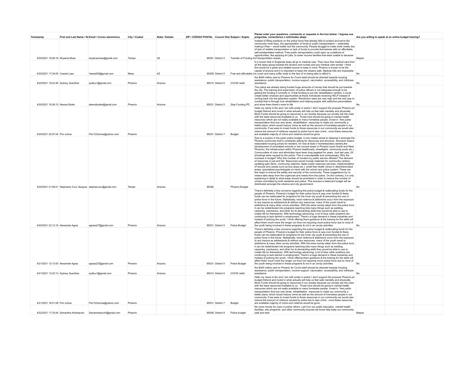| Timestamp                          | First and Last Name / No Email / Correo electrónico             | City / Ciudad | State / Estado | ZIP / CÓDIGO POSTAL Council Dist Subject / Sujeto |                  |                 | Please enter your questions, comments or requests in the box below: / Ingrese sus<br>preguntas, comentarios o solicitudes abajo:                                                                                                                                                                                                                                                                                                                                                                                                                                                                                                                                                                                                                                                                                                                                                                                                                                                                                                                                                                                                                                                                                                                                                                                                                                                                                                                                                                                                                                          | Are you willing to speak at an online budget hearing? |  |
|------------------------------------|-----------------------------------------------------------------|---------------|----------------|---------------------------------------------------|------------------|-----------------|---------------------------------------------------------------------------------------------------------------------------------------------------------------------------------------------------------------------------------------------------------------------------------------------------------------------------------------------------------------------------------------------------------------------------------------------------------------------------------------------------------------------------------------------------------------------------------------------------------------------------------------------------------------------------------------------------------------------------------------------------------------------------------------------------------------------------------------------------------------------------------------------------------------------------------------------------------------------------------------------------------------------------------------------------------------------------------------------------------------------------------------------------------------------------------------------------------------------------------------------------------------------------------------------------------------------------------------------------------------------------------------------------------------------------------------------------------------------------------------------------------------------------------------------------------------------------|-------------------------------------------------------|--|
| 4/20/2021 16:56:16 Shyama Moss     | shvamamoss@gmail.com                                            | Tempe         | A7             |                                                   | 85281 District 5 |                 | Instead of filling positions on the police force that already fails to protect and serve the<br>community most days, the appropriation of funds to public transportation- potentially<br>making it free-would better suit the community. People struggle to make ends meets due<br>of lack of reliable transportation or lack of funds to provide themselves with an affordable,<br>self-substantiated method. Free public transportation could open up a plethora of<br>opportunities, like applying for jobs, to lower income families that were unable to because<br>Transfer of Funding fi of transportation issues.                                                                                                                                                                                                                                                                                                                                                                                                                                                                                                                                                                                                                                                                                                                                                                                                                                                                                                                                                  | Maybe                                                 |  |
| 4/20/2021 17:34:05 Yassiel Lazo    | Yassiel00@gmail.com                                             | Mesa          | AZ             |                                                   | 85209 District 5 |                 | It is known that in Englands taxes all go to medical care. They have free medical care from<br>all the taxes going towards the doctors and nurses and any medical care worker. I think<br>this would be a great and reliable source to keep in mind. Phoenix is known to be the<br>capital of arizona and it is important to keep the citizens safe. Medical bills are impossible<br>Free and affordable n to cover and many suffer dude to the fact of no being able to afford it.                                                                                                                                                                                                                                                                                                                                                                                                                                                                                                                                                                                                                                                                                                                                                                                                                                                                                                                                                                                                                                                                                       | N <sub>0</sub>                                        |  |
| 4/20/2021 19:22:46 Sydney Guenther | sydlou1@gmail.com                                               | Phoenix       | Arizona        |                                                   | 85014 District 6 | COVID relief    | the \$400 million sent to Phoenix for Covid relief should be directed towards housing<br>assistance, public transportation, income support, vaccination accessibility, and childcare<br>assistance                                                                                                                                                                                                                                                                                                                                                                                                                                                                                                                                                                                                                                                                                                                                                                                                                                                                                                                                                                                                                                                                                                                                                                                                                                                                                                                                                                        | N <sub>0</sub>                                        |  |
| 4/20/2021 19:38:15 Alexxis Butler  | alexxisbutler@gmail.com                                         | Phoenix       | Arizona        |                                                   | 85031 District 5 | Stop Funding PD | The police are already being funded huge amounts of money that should be put towards<br>the city. The training and supervision of police officers is not adequate enough to be<br>getting the funding it currently is. If that funding is put into rehabilitation centers, it could<br>create better chances and opportunities at those individuals receiving HELP instead of<br>circling back into the jail/prison system. Recidivism rates are very high and the only way to<br>combat that is through true rehabilitation and helping people with addictive personalities<br>and show them there's more to life.                                                                                                                                                                                                                                                                                                                                                                                                                                                                                                                                                                                                                                                                                                                                                                                                                                                                                                                                                       | No                                                    |  |
| 4/20/2021 20:57:04 Flor ochoa      | Flor123ochoa@yahoo.com                                          | Phoenix       |                |                                                   | 85031 District 7 | Budget          | Hello my name is flor and I am with poder in action I don't support the propose Phoenix pd<br>budget Defund and invest in what actually will help us feel safe mentally and physically.<br>More Funds should be going to resources in our society because our society are the ones<br>with the least resources Available to us . Those fund should be going to mental health<br>resources which are not really available to many homeless people, invest in free public<br>transportation And bus only lanes, rehabilitation resources to make our community a<br>better place, which would reduce crime as well as the amount of homeless people in our<br>community. If we were to invest funds to those resources in our community we would also<br>reduce the amount of violence caused by police fue to less crime, once these resources<br>are available majority of crime and violence would be gone.                                                                                                                                                                                                                                                                                                                                                                                                                                                                                                                                                                                                                                                              |                                                       |  |
|                                    | 4/20/2021 21:09:21 Stephanie Cruz Vazquez stephacruzv@gmail.com | Tempe         | Arizona        | 85282                                             |                  | Phoenix Budget  | Due to a surplus in the given police budget, it only makes sense to disperse it amongst the<br>Phoenix community that is constantly asking for resources and structure. Structure means<br>reasonable housing prices for resident, for now at least 3 homelessness centers, the<br>development of remodeled schools in low income areas in Phoenix (such South and West<br>Phoenix), the infrastructure within Phoenix itself(roads, streetlights, community pools etc.)<br>Communities of color and ethnicities have been long targeted for years. Just last year, 26<br>shootings were caused by the police. This is unacceptable and unnecessary. Why the<br>increase in budget? Why this number of murders by public service officials? The demand<br>of resources is just and fair. Resources would include materials for community centers,<br>updating park items, community watches, faster public response services, implementation<br>of recycle bins (areas such as bus stops etc.), small free health clinics in disenfranchised<br>areas, specialized psychologists on hand with the school and police system. These are<br>few ways to ensure the safety and security of the community. These suggestions by no<br>means take away from the urgencies and needs from the police. On the contrary, it is only<br>explaining in detail to what areas should be prioritized in order to reduce the number of<br>crimes committed by both residents and police. This ensures a balanced budget will be<br>distributed amongst the citizens and city government. | No                                                    |  |
| 4/20/2021 22:12:16 Alexander Agraz | agraza27@gmail.com                                              | Phoenix       | Arizona        |                                                   | 85031 District 5 | Police Budget   | There's definitely a few concerns regarding the police budget & reallocating funds for the<br>people of Phoenix. Phoenix's budget for their police force is way over funded & these<br>funds can be reallocated for programs for the inner city youth & preventing the use of<br>police force in the future. Statistically, most violence & addictions occur from the exposure<br>to any trauma as adolescents & without any resources, many of the youth result to<br>addictions & many other unruly activities. With the extra money taken from the police fund,<br>it can be redistributed into programs teaching kids many things such as welding,<br>carpentry, mechanics, and other fun & demanding skills they would be able to use to<br>create life for themselves. With technology advancing, a lot of blue collar positions are<br>continuing to lack behind in employment. There's a huge demand in these industries and<br>instead of policing the youth, I think offering them guidance & the training for the skills will<br>affect them much more the longer run thus not requiring much police force due to most of<br>the youth being involved in these programs & not in an unruly activities.                                                                                                                                                                                                                                                                                                                                                         | N <sub>0</sub>                                        |  |
| 4/21/2021 12:13:55 Alexander Agraz | agraza27@gmail.com                                              | Phoenix       | Arizona        |                                                   | 85031 District 5 | Police Budget   | There's definitely a few concerns regarding the police budget & reallocating funds for the<br>people of Phoenix. Phoenix's budget for their police force is way over funded & these<br>funds can be reallocated for programs for the inner city youth & preventing the use of<br>police force in the future. Statistically, most violence & addictions occur from the exposure<br>to any trauma as adolescents & without any resources, many of the youth result to<br>addictions & many other unruly activities. With the extra money taken from the police fund,<br>it can be redistributed into programs teaching kids many things such as welding,<br>carpentry, mechanics, and other fun & demanding skills they would be able to use to<br>create life for themselves. With technology advancing, a lot of blue collar positions are<br>continuing to lack behind in employment. There's a huge demand in these industries and<br>instead of policing the youth, I think offering them guidance & the training for the skills will<br>affect them much more the longer run thus not requiring much police force due to most of<br>the youth being involved in these programs & not in an unruly activities.                                                                                                                                                                                                                                                                                                                                                         | N <sub>0</sub>                                        |  |
| 4/21/2021 13:22:13 Sydney Guenther | sydlou1@gmail.com                                               | Phoenix       | Arizona        |                                                   | 85014 District 6 | COVID relief    | the \$400 million sent to Phoenix for Covid relief should be directed towards housing<br>assistance, public transportation, income support, vaccination accessibility, and childcare<br>assistance                                                                                                                                                                                                                                                                                                                                                                                                                                                                                                                                                                                                                                                                                                                                                                                                                                                                                                                                                                                                                                                                                                                                                                                                                                                                                                                                                                        | <b>No</b>                                             |  |
| 4/21/2021 18:01:08 Flor ochoa      | Flor123ochoa@yahoo.com                                          | Phoenix       |                |                                                   | 85031 District 7 | Budget          | Hello my name is flor and I am with poder in action I don't support the propose Phoenix pd<br>budget Defund and invest in what actually will help us feel safe mentally and physically.<br>More Funds should be going to resources in our society because our society are the ones<br>with the least resources Available to us . Those fund should be going to mental health<br>resources which are not really available to many homeless people, invest in free public<br>transportation And bus only lanes, rehabilitation resources to make our community a<br>better place, which would reduce crime as well as the amount of homeless people in our<br>community. If we were to invest funds to those resources in our community we would also<br>reduce the amount of violence caused by police fue to less crime, once these resources<br>are available majority of crime and violence would be gone.                                                                                                                                                                                                                                                                                                                                                                                                                                                                                                                                                                                                                                                              |                                                       |  |
|                                    | 4/22/2021 17:33:44 Samantha Andreacchi Samandreacchi@gmail.com  | Phoenix       |                |                                                   | 85008 District 8 | Police budget   | No more money for cops or police reform. Let's fun our public education, mental health<br>facilities, arts programs, and other community sources we know help keep our community<br>safe and well.                                                                                                                                                                                                                                                                                                                                                                                                                                                                                                                                                                                                                                                                                                                                                                                                                                                                                                                                                                                                                                                                                                                                                                                                                                                                                                                                                                        | Maybe                                                 |  |
|                                    |                                                                 |               |                |                                                   |                  |                 |                                                                                                                                                                                                                                                                                                                                                                                                                                                                                                                                                                                                                                                                                                                                                                                                                                                                                                                                                                                                                                                                                                                                                                                                                                                                                                                                                                                                                                                                                                                                                                           |                                                       |  |